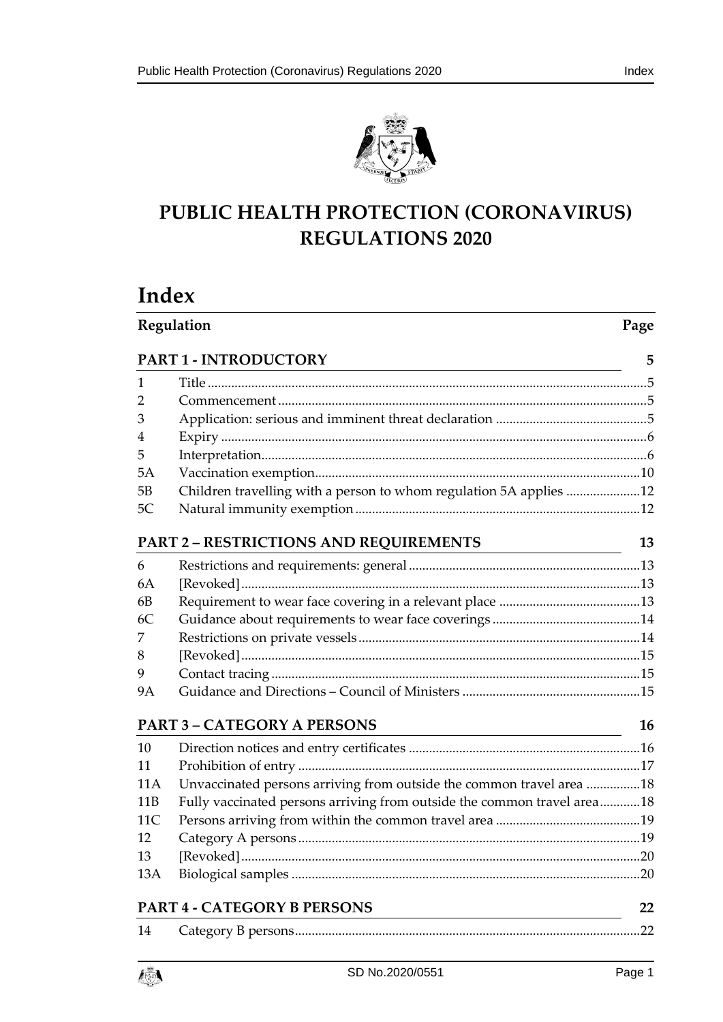



# **PUBLIC HEALTH PROTECTION (CORONAVIRUS) REGULATIONS 2020**

# **Index**

| Regulation      |                                                                         |           |  |
|-----------------|-------------------------------------------------------------------------|-----------|--|
|                 | PART 1 - INTRODUCTORY                                                   | 5         |  |
| 1               |                                                                         |           |  |
| 2               |                                                                         |           |  |
| 3               |                                                                         |           |  |
| 4               |                                                                         |           |  |
| 5               |                                                                         |           |  |
| 5A              |                                                                         |           |  |
| 5B              | Children travelling with a person to whom regulation 5A applies 12      |           |  |
| 5C              |                                                                         |           |  |
|                 | <b>PART 2 - RESTRICTIONS AND REQUIREMENTS</b>                           | 13        |  |
| 6               |                                                                         |           |  |
| 6A              |                                                                         |           |  |
| 6B              |                                                                         |           |  |
| 6C              |                                                                         |           |  |
| 7               |                                                                         |           |  |
| 8               |                                                                         |           |  |
| 9               |                                                                         |           |  |
| <b>9A</b>       |                                                                         |           |  |
|                 | <b>PART 3 - CATEGORY A PERSONS</b>                                      | <b>16</b> |  |
| 10              |                                                                         |           |  |
| 11              |                                                                         |           |  |
| 11A             | Unvaccinated persons arriving from outside the common travel area 18    |           |  |
| 11B             | Fully vaccinated persons arriving from outside the common travel area18 |           |  |
| 11 <sup>C</sup> |                                                                         |           |  |
| 12              |                                                                         |           |  |
| 13              |                                                                         |           |  |
| 13A             |                                                                         |           |  |
|                 | <b>PART 4 - CATEGORY B PERSONS</b>                                      |           |  |
| 14              |                                                                         | .22       |  |
|                 |                                                                         |           |  |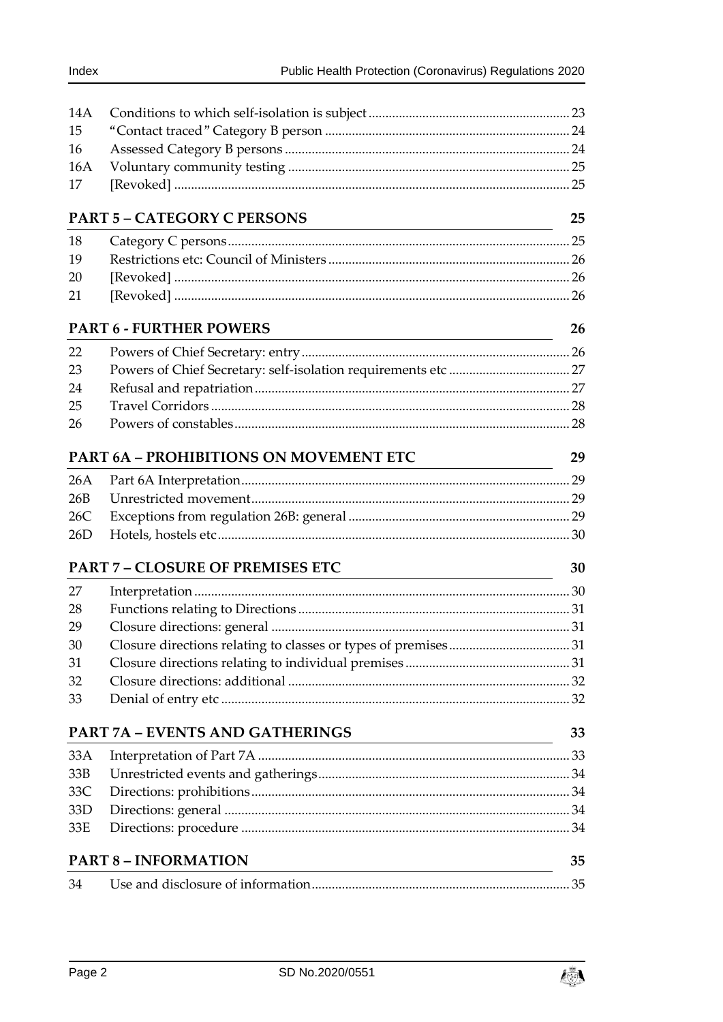| 14A |                                                                                                                                                        |    |
|-----|--------------------------------------------------------------------------------------------------------------------------------------------------------|----|
| 15  |                                                                                                                                                        |    |
| 16  |                                                                                                                                                        |    |
| 16A |                                                                                                                                                        |    |
| 17  |                                                                                                                                                        |    |
|     | <b>PART 5 - CATEGORY C PERSONS</b>                                                                                                                     | 25 |
| 18  |                                                                                                                                                        |    |
| 19  |                                                                                                                                                        |    |
| 20  |                                                                                                                                                        |    |
| 21  |                                                                                                                                                        |    |
|     | <b>PART 6 - FURTHER POWERS</b><br><u> 1989 - Johann Barbara, martin amerikan basar dan berasal dalam basa dalam basa dalam basa dalam basa dalam b</u> | 26 |
| 22  |                                                                                                                                                        |    |
| 23  |                                                                                                                                                        |    |
| 24  |                                                                                                                                                        |    |
| 25  |                                                                                                                                                        |    |
| 26  |                                                                                                                                                        |    |
|     | <b>PART 6A - PROHIBITIONS ON MOVEMENT ETC</b>                                                                                                          | 29 |
| 26A |                                                                                                                                                        |    |
| 26B |                                                                                                                                                        |    |
| 26C |                                                                                                                                                        |    |
| 26D |                                                                                                                                                        |    |
|     | <b>PART 7 - CLOSURE OF PREMISES ETC</b>                                                                                                                | 30 |
| 27  |                                                                                                                                                        |    |
| 28  |                                                                                                                                                        |    |
| 29  |                                                                                                                                                        |    |
| 30  |                                                                                                                                                        |    |
| 31  |                                                                                                                                                        |    |
| 32  |                                                                                                                                                        |    |
| 33  |                                                                                                                                                        |    |
|     | PART 7A - EVENTS AND GATHERINGS<br><u> 1980 - Johann Barn, mars eta bainar eta baina eta baina eta baina eta baina eta baina eta baina eta baina e</u> | 33 |
| 33A |                                                                                                                                                        |    |
| 33B |                                                                                                                                                        |    |
| 33C |                                                                                                                                                        |    |
| 33D |                                                                                                                                                        |    |
| 33E |                                                                                                                                                        |    |
|     | <b>PART 8 - INFORMATION</b>                                                                                                                            | 35 |
| 34  |                                                                                                                                                        |    |

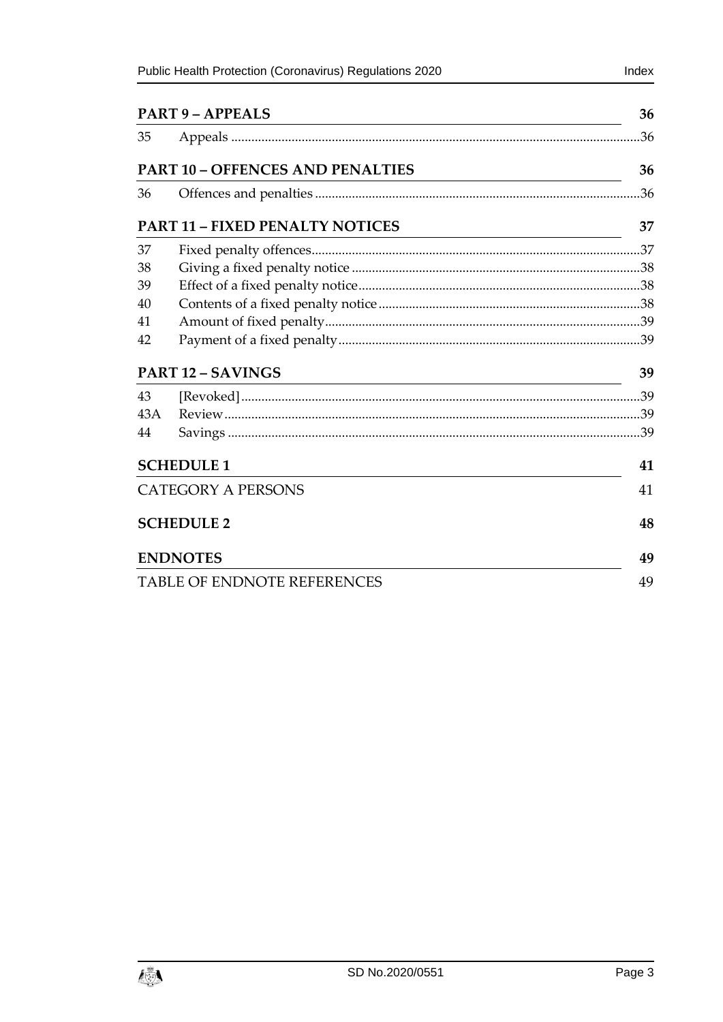| <b>PART 9 - APPEALS</b><br><u> 1980 - Johann Barn, mars ann an t-Amhain Aonaichte ann an t-Aonaichte ann an t-Aonaichte ann an t-Aonaichte a</u> |                                         |     |
|--------------------------------------------------------------------------------------------------------------------------------------------------|-----------------------------------------|-----|
| 35                                                                                                                                               |                                         | .36 |
|                                                                                                                                                  | <b>PART 10 - OFFENCES AND PENALTIES</b> | 36  |
| 36                                                                                                                                               |                                         | .36 |
|                                                                                                                                                  | <b>PART 11 - FIXED PENALTY NOTICES</b>  | 37  |
| 37                                                                                                                                               |                                         |     |
| 38                                                                                                                                               |                                         |     |
| 39                                                                                                                                               |                                         |     |
| 40                                                                                                                                               |                                         |     |
| 41                                                                                                                                               |                                         |     |
| 42                                                                                                                                               |                                         |     |
|                                                                                                                                                  | <b>PART 12 - SAVINGS</b>                | 39  |
| 43                                                                                                                                               |                                         |     |
| 43A                                                                                                                                              |                                         |     |
| 44                                                                                                                                               |                                         |     |
| <b>SCHEDULE 1</b>                                                                                                                                | 41                                      |     |
| <b>CATEGORY A PERSONS</b>                                                                                                                        |                                         | 41  |
|                                                                                                                                                  | <b>SCHEDULE 2</b>                       | 48  |
|                                                                                                                                                  | <b>ENDNOTES</b>                         | 49  |
|                                                                                                                                                  | <b>TABLE OF ENDNOTE REFERENCES</b>      | 49  |

Index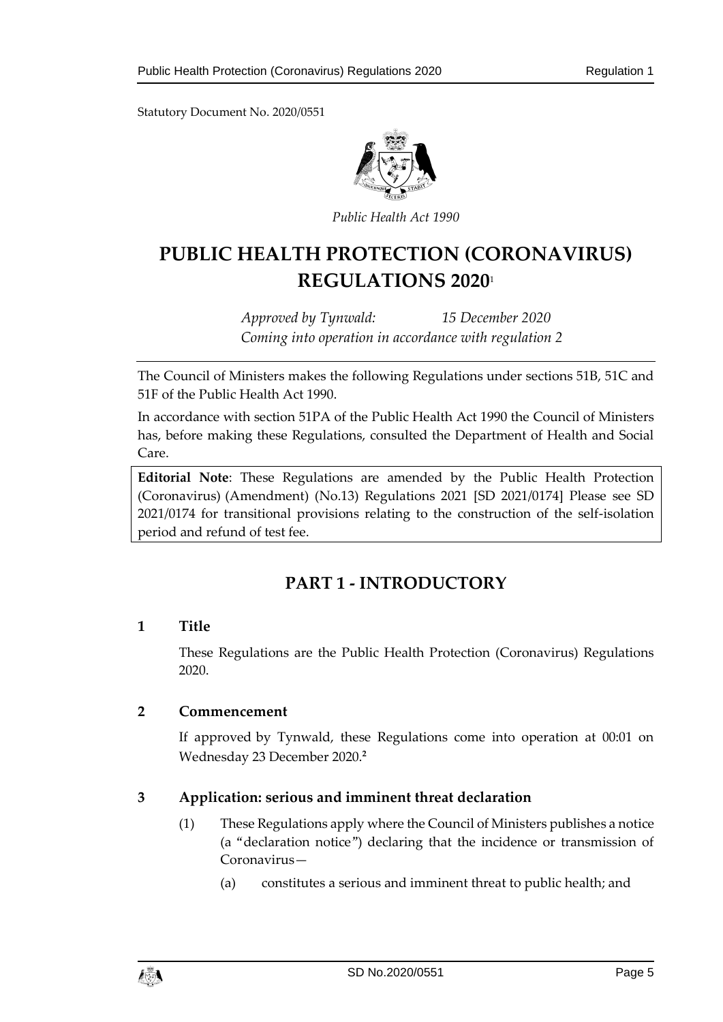Statutory Document No. 2020/0551



*Public Health Act 1990*

# **PUBLIC HEALTH PROTECTION (CORONAVIRUS) REGULATIONS 2020**<sup>1</sup>

*Approved by Tynwald: 15 December 2020 Coming into operation in accordance with regulation 2*

The Council of Ministers makes the following Regulations under sections 51B, 51C and 51F of the Public Health Act 1990.

In accordance with section 51PA of the Public Health Act 1990 the Council of Ministers has, before making these Regulations, consulted the Department of Health and Social Care.

**Editorial Note**: These Regulations are amended by the Public Health Protection (Coronavirus) (Amendment) (No.13) Regulations 2021 [SD 2021/0174] Please see SD 2021/0174 for transitional provisions relating to the construction of the self-isolation period and refund of test fee.

# **PART 1 - INTRODUCTORY**

#### <span id="page-4-1"></span><span id="page-4-0"></span>**1 Title**

These Regulations are the Public Health Protection (Coronavirus) Regulations 2020.

#### <span id="page-4-2"></span>**2 Commencement**

If approved by Tynwald, these Regulations come into operation at 00:01 on Wednesday 23 December 2020.**<sup>2</sup>**

#### <span id="page-4-3"></span>**3 Application: serious and imminent threat declaration**

- (1) These Regulations apply where the Council of Ministers publishes a notice (a "declaration notice") declaring that the incidence or transmission of Coronavirus—
	- (a) constitutes a serious and imminent threat to public health; and

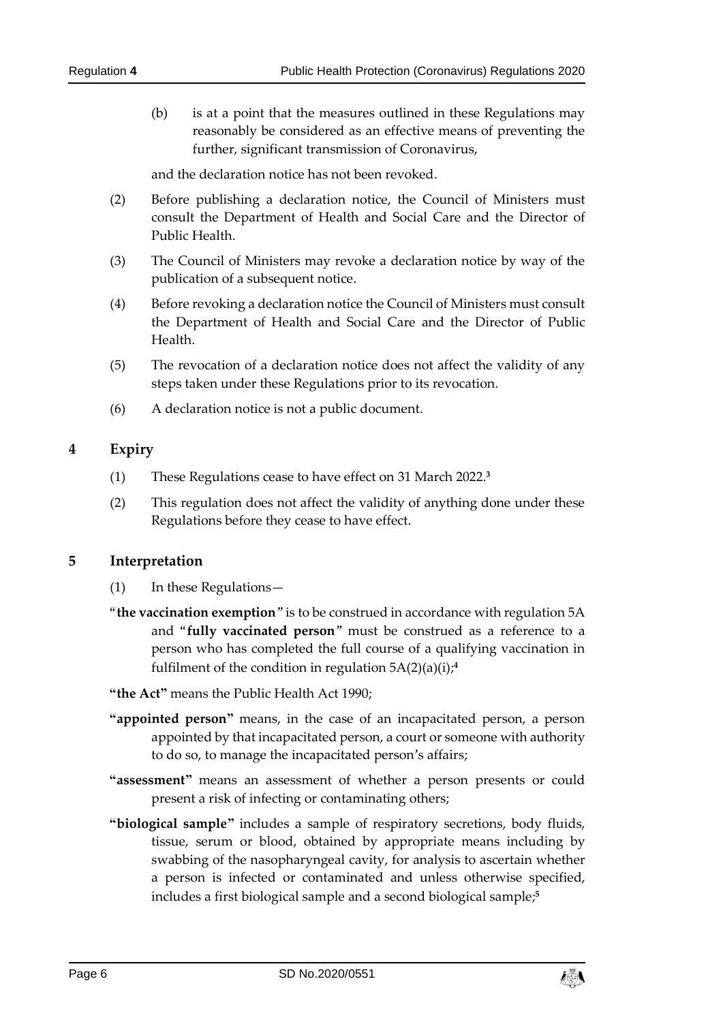(b) is at a point that the measures outlined in these Regulations may reasonably be considered as an effective means of preventing the further, significant transmission of Coronavirus,

and the declaration notice has not been revoked.

- (2) Before publishing a declaration notice, the Council of Ministers must consult the Department of Health and Social Care and the Director of Public Health.
- (3) The Council of Ministers may revoke a declaration notice by way of the publication of a subsequent notice.
- (4) Before revoking a declaration notice the Council of Ministers must consult the Department of Health and Social Care and the Director of Public Health.
- (5) The revocation of a declaration notice does not affect the validity of any steps taken under these Regulations prior to its revocation.
- (6) A declaration notice is not a public document.

#### <span id="page-5-0"></span>**4 Expiry**

- (1) These Regulations cease to have effect on 31 March 2022. **3**
- (2) This regulation does not affect the validity of anything done under these Regulations before they cease to have effect.

#### <span id="page-5-1"></span>**5 Interpretation**

- (1) In these Regulations—
- "**the vaccination exemption**" is to be construed in accordance with regulation 5A and "**fully vaccinated person**" must be construed as a reference to a person who has completed the full course of a qualifying vaccination in fulfilment of the condition in regulation 5A(2)(a)(i); **4**
- **"the Act"** means the Public Health Act 1990;
- **"appointed person"** means, in the case of an incapacitated person, a person appointed by that incapacitated person, a court or someone with authority to do so, to manage the incapacitated person's affairs;
- **"assessment"** means an assessment of whether a person presents or could present a risk of infecting or contaminating others;
- **"biological sample"** includes a sample of respiratory secretions, body fluids, tissue, serum or blood, obtained by appropriate means including by swabbing of the nasopharyngeal cavity, for analysis to ascertain whether a person is infected or contaminated and unless otherwise specified, includes a first biological sample and a second biological sample; **5**

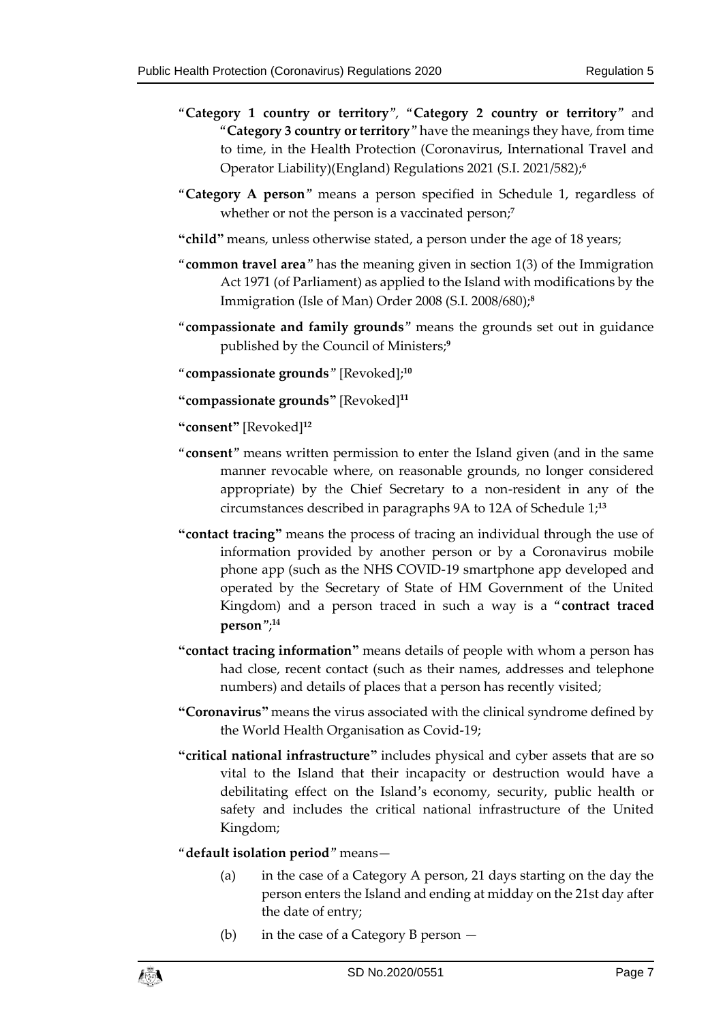- "**Category 1 country or territory**", "**Category 2 country or territory**" and "**Category 3 country or territory**" have the meanings they have, from time to time, in the Health Protection (Coronavirus, International Travel and Operator Liability)(England) Regulations 2021 (S.I. 2021/582);**<sup>6</sup>**
- "**Category A person**" means a person specified in Schedule 1, regardless of whether or not the person is a vaccinated person;<sup>7</sup>
- **"child"** means, unless otherwise stated, a person under the age of 18 years;
- "**common travel area**" has the meaning given in section 1(3) of the Immigration Act 1971 (of Parliament) as applied to the Island with modifications by the Immigration (Isle of Man) Order 2008 (S.I. 2008/680);**<sup>8</sup>**
- "**compassionate and family grounds**" means the grounds set out in guidance published by the Council of Ministers;**<sup>9</sup>**

"**compassionate grounds**" [Revoked]; **10**

**"compassionate grounds"** [Revoked]**<sup>11</sup>**

**"consent"** [Revoked]**<sup>12</sup>**

- "**consent**" means written permission to enter the Island given (and in the same manner revocable where, on reasonable grounds, no longer considered appropriate) by the Chief Secretary to a non-resident in any of the circumstances described in paragraphs 9A to 12A of Schedule 1; **13**
- **"contact tracing"** means the process of tracing an individual through the use of information provided by another person or by a Coronavirus mobile phone app (such as the NHS COVID-19 smartphone app developed and operated by the Secretary of State of HM Government of the United Kingdom) and a person traced in such a way is a "**contract traced person**"; **14**
- **"contact tracing information"** means details of people with whom a person has had close, recent contact (such as their names, addresses and telephone numbers) and details of places that a person has recently visited;
- **"Coronavirus"** means the virus associated with the clinical syndrome defined by the World Health Organisation as Covid-19;
- **"critical national infrastructure"** includes physical and cyber assets that are so vital to the Island that their incapacity or destruction would have a debilitating effect on the Island's economy, security, public health or safety and includes the critical national infrastructure of the United Kingdom;

#### "**default isolation period**" means—

- (a) in the case of a Category A person, 21 days starting on the day the person enters the Island and ending at midday on the 21st day after the date of entry;
- (b) in the case of a Category B person —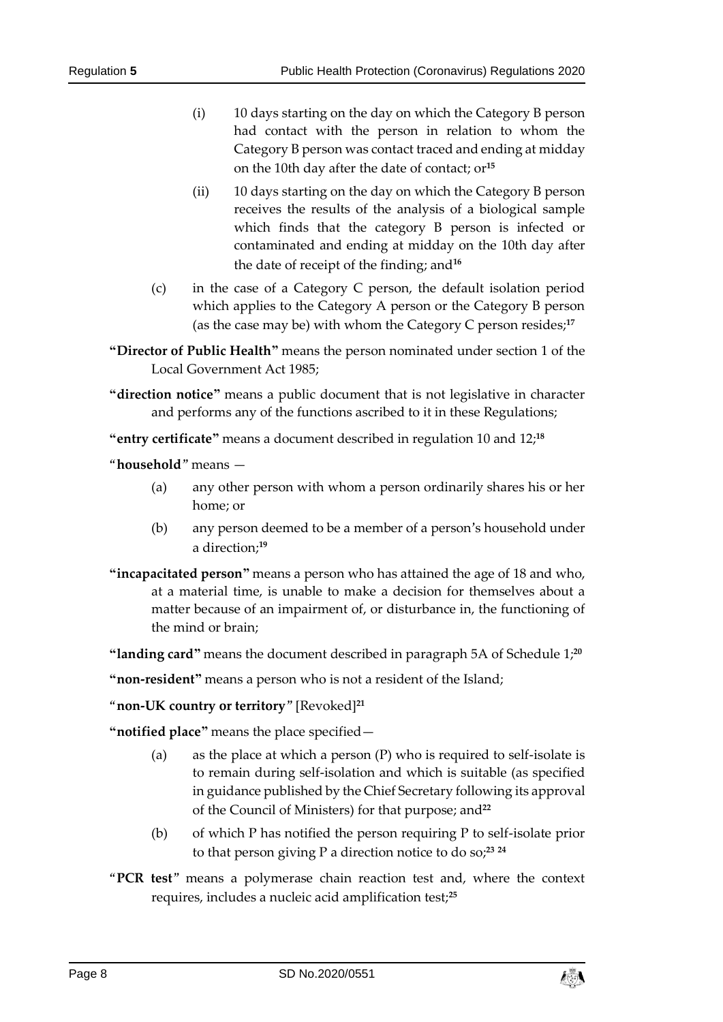- (i) 10 days starting on the day on which the Category B person had contact with the person in relation to whom the Category B person was contact traced and ending at midday on the 10th day after the date of contact; or**<sup>15</sup>**
- (ii) 10 days starting on the day on which the Category B person receives the results of the analysis of a biological sample which finds that the category B person is infected or contaminated and ending at midday on the 10th day after the date of receipt of the finding; and**<sup>16</sup>**
- (c) in the case of a Category C person, the default isolation period which applies to the Category A person or the Category B person (as the case may be) with whom the Category C person resides;**<sup>17</sup>**
- **"Director of Public Health"** means the person nominated under section 1 of the Local Government Act 1985;
- **"direction notice"** means a public document that is not legislative in character and performs any of the functions ascribed to it in these Regulations;

**"entry certificate"** means a document described in regulation 10 and 12; **18**

"**household**" means —

- (a) any other person with whom a person ordinarily shares his or her home; or
- (b) any person deemed to be a member of a person's household under a direction;**<sup>19</sup>**
- **"incapacitated person"** means a person who has attained the age of 18 and who, at a material time, is unable to make a decision for themselves about a matter because of an impairment of, or disturbance in, the functioning of the mind or brain;
- **"landing card"** means the document described in paragraph 5A of Schedule 1; **20**

**"non-resident"** means a person who is not a resident of the Island;

"**non-UK country or territory**" [Revoked]**<sup>21</sup>**

**"notified place"** means the place specified—

- (a) as the place at which a person (P) who is required to self-isolate is to remain during self-isolation and which is suitable (as specified in guidance published by the Chief Secretary following its approval of the Council of Ministers) for that purpose; and**<sup>22</sup>**
- (b) of which P has notified the person requiring P to self-isolate prior to that person giving P a direction notice to do so;**<sup>23</sup> <sup>24</sup>**
- "**PCR test**" means a polymerase chain reaction test and, where the context requires, includes a nucleic acid amplification test;**25**

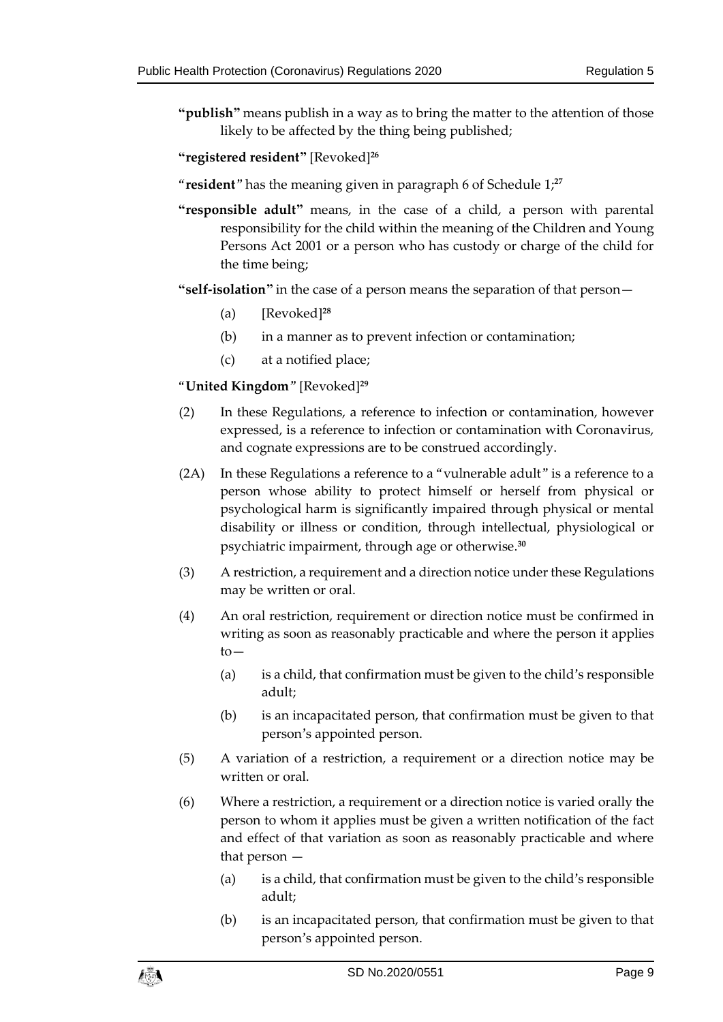**"publish"** means publish in a way as to bring the matter to the attention of those likely to be affected by the thing being published;

#### **"registered resident"** [Revoked]**<sup>26</sup>**

"**resident**" has the meaning given in paragraph 6 of Schedule 1; **27**

**"responsible adult"** means, in the case of a child, a person with parental responsibility for the child within the meaning of the Children and Young Persons Act 2001 or a person who has custody or charge of the child for the time being;

**"self-isolation"** in the case of a person means the separation of that person—

- (a) [Revoked]**<sup>28</sup>**
- (b) in a manner as to prevent infection or contamination;
- (c) at a notified place;

#### "**United Kingdom**" [Revoked]**<sup>29</sup>**

- (2) In these Regulations, a reference to infection or contamination, however expressed, is a reference to infection or contamination with Coronavirus, and cognate expressions are to be construed accordingly.
- (2A) In these Regulations a reference to a "vulnerable adult" is a reference to a person whose ability to protect himself or herself from physical or psychological harm is significantly impaired through physical or mental disability or illness or condition, through intellectual, physiological or psychiatric impairment, through age or otherwise.**<sup>30</sup>**
- (3) A restriction, a requirement and a direction notice under these Regulations may be written or oral.
- (4) An oral restriction, requirement or direction notice must be confirmed in writing as soon as reasonably practicable and where the person it applies to—
	- (a) is a child, that confirmation must be given to the child's responsible adult;
	- (b) is an incapacitated person, that confirmation must be given to that person's appointed person.
- (5) A variation of a restriction, a requirement or a direction notice may be written or oral.
- (6) Where a restriction, a requirement or a direction notice is varied orally the person to whom it applies must be given a written notification of the fact and effect of that variation as soon as reasonably practicable and where that person —
	- (a) is a child, that confirmation must be given to the child's responsible adult;
	- (b) is an incapacitated person, that confirmation must be given to that person's appointed person.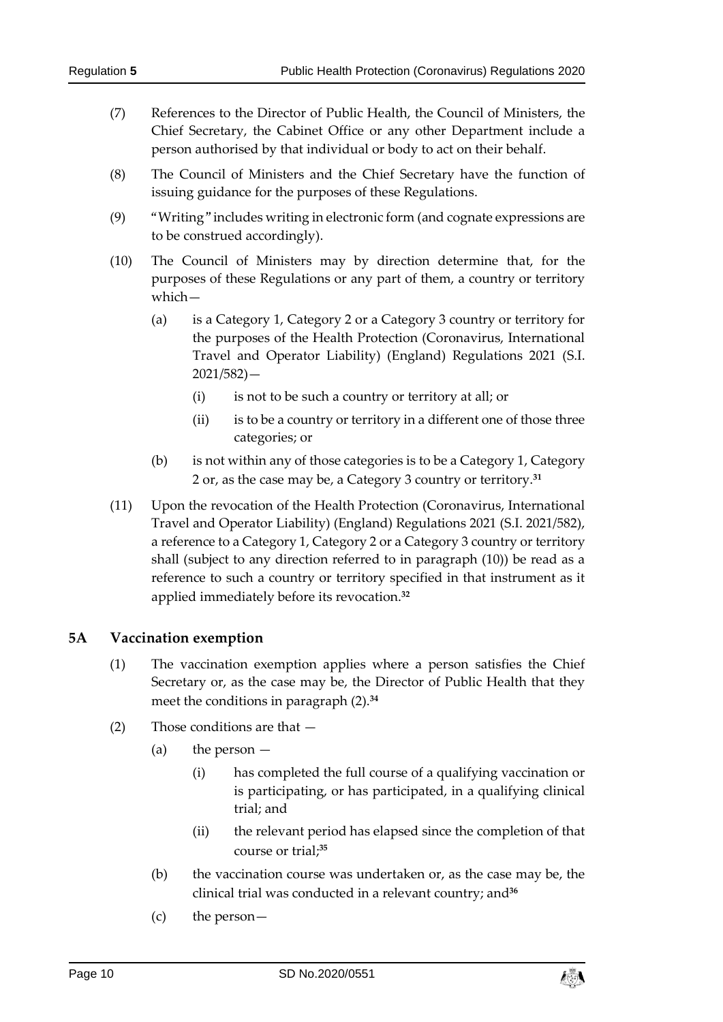- (7) References to the Director of Public Health, the Council of Ministers, the Chief Secretary, the Cabinet Office or any other Department include a person authorised by that individual or body to act on their behalf.
- (8) The Council of Ministers and the Chief Secretary have the function of issuing guidance for the purposes of these Regulations.
- (9) "Writing" includes writing in electronic form (and cognate expressions are to be construed accordingly).
- (10) The Council of Ministers may by direction determine that, for the purposes of these Regulations or any part of them, a country or territory which—
	- (a) is a Category 1, Category 2 or a Category 3 country or territory for the purposes of the Health Protection (Coronavirus, International Travel and Operator Liability) (England) Regulations 2021 (S.I. 2021/582)—
		- (i) is not to be such a country or territory at all; or
		- (ii) is to be a country or territory in a different one of those three categories; or
	- (b) is not within any of those categories is to be a Category 1, Category 2 or, as the case may be, a Category 3 country or territory.**<sup>31</sup>**
- (11) Upon the revocation of the Health Protection (Coronavirus, International Travel and Operator Liability) (England) Regulations 2021 (S.I. 2021/582), a reference to a Category 1, Category 2 or a Category 3 country or territory shall (subject to any direction referred to in paragraph (10)) be read as a reference to such a country or territory specified in that instrument as it applied immediately before its revocation.**<sup>32</sup>**

#### <span id="page-9-0"></span>**5A Vaccination exemption**

- (1) The vaccination exemption applies where a person satisfies the Chief Secretary or, as the case may be, the Director of Public Health that they meet the conditions in paragraph (2).**<sup>34</sup>**
- (2) Those conditions are that
	- (a) the person
		- (i) has completed the full course of a qualifying vaccination or is participating, or has participated, in a qualifying clinical trial; and
		- (ii) the relevant period has elapsed since the completion of that course or trial; **35**
	- (b) the vaccination course was undertaken or, as the case may be, the clinical trial was conducted in a relevant country; and**<sup>36</sup>**
	- (c) the person—

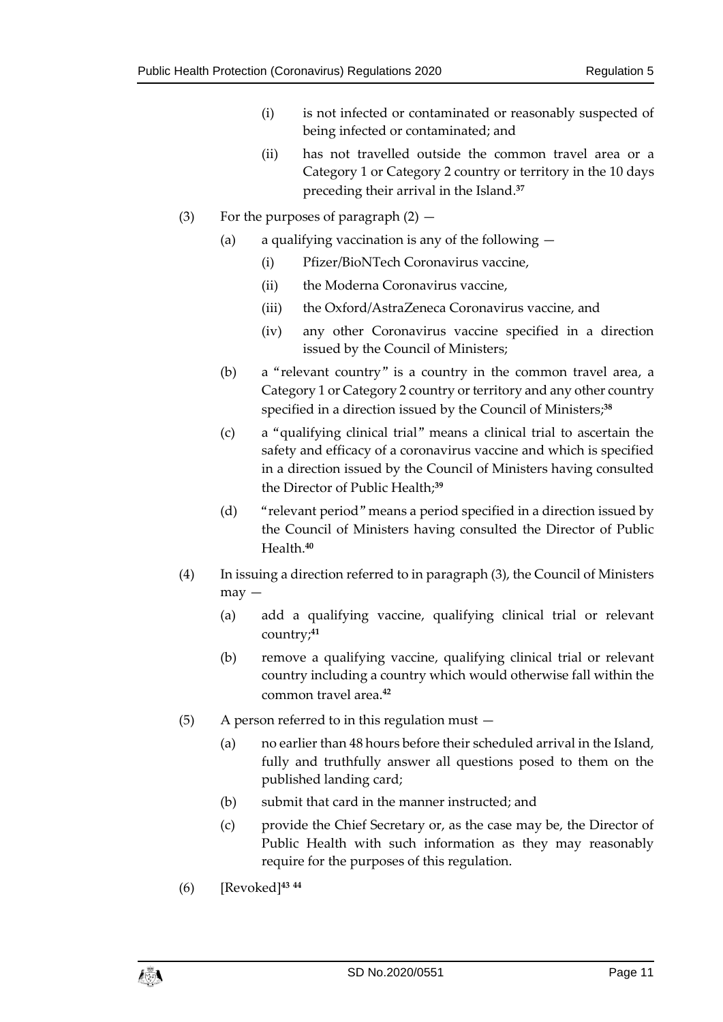- (i) is not infected or contaminated or reasonably suspected of being infected or contaminated; and
- (ii) has not travelled outside the common travel area or a Category 1 or Category 2 country or territory in the 10 days preceding their arrival in the Island.**<sup>37</sup>**
- (3) For the purposes of paragraph  $(2)$ 
	- (a) a qualifying vaccination is any of the following  $-$ 
		- (i) Pfizer/BioNTech Coronavirus vaccine,
		- (ii) the Moderna Coronavirus vaccine,
		- (iii) the Oxford/AstraZeneca Coronavirus vaccine, and
		- (iv) any other Coronavirus vaccine specified in a direction issued by the Council of Ministers;
	- (b) a "relevant country" is a country in the common travel area, a Category 1 or Category 2 country or territory and any other country specified in a direction issued by the Council of Ministers; **38**
	- (c) a "qualifying clinical trial" means a clinical trial to ascertain the safety and efficacy of a coronavirus vaccine and which is specified in a direction issued by the Council of Ministers having consulted the Director of Public Health;**<sup>39</sup>**
	- (d) "relevant period" means a period specified in a direction issued by the Council of Ministers having consulted the Director of Public Health.**<sup>40</sup>**
- (4) In issuing a direction referred to in paragraph (3), the Council of Ministers  $may -$ 
	- (a) add a qualifying vaccine, qualifying clinical trial or relevant country;**<sup>41</sup>**
	- (b) remove a qualifying vaccine, qualifying clinical trial or relevant country including a country which would otherwise fall within the common travel area.**<sup>42</sup>**
- (5) A person referred to in this regulation must
	- (a) no earlier than 48 hours before their scheduled arrival in the Island, fully and truthfully answer all questions posed to them on the published landing card;
	- (b) submit that card in the manner instructed; and
	- (c) provide the Chief Secretary or, as the case may be, the Director of Public Health with such information as they may reasonably require for the purposes of this regulation.
- (6) [Revoked]**<sup>43</sup> <sup>44</sup>**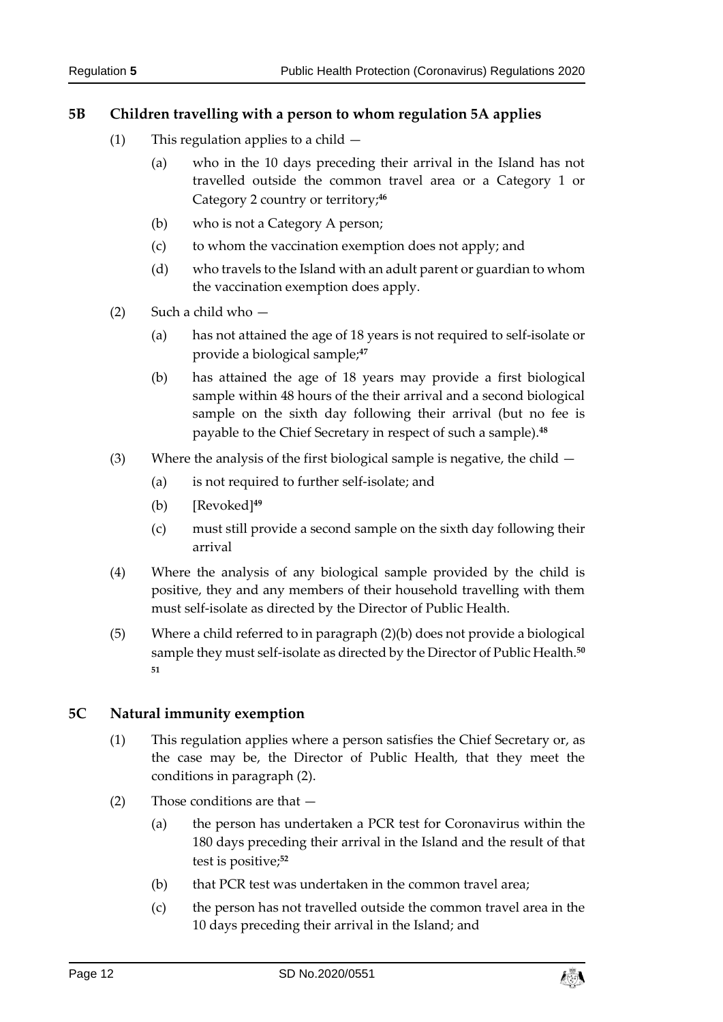#### <span id="page-11-0"></span>**5B Children travelling with a person to whom regulation 5A applies**

- (1) This regulation applies to a child
	- (a) who in the 10 days preceding their arrival in the Island has not travelled outside the common travel area or a Category 1 or Category 2 country or territory; **46**
	- (b) who is not a Category A person;
	- (c) to whom the vaccination exemption does not apply; and
	- (d) who travels to the Island with an adult parent or guardian to whom the vaccination exemption does apply.
- (2) Such a child who
	- (a) has not attained the age of 18 years is not required to self-isolate or provide a biological sample;**<sup>47</sup>**
	- (b) has attained the age of 18 years may provide a first biological sample within 48 hours of the their arrival and a second biological sample on the sixth day following their arrival (but no fee is payable to the Chief Secretary in respect of such a sample).**<sup>48</sup>**
- (3) Where the analysis of the first biological sample is negative, the child
	- (a) is not required to further self-isolate; and
	- (b) [Revoked]**<sup>49</sup>**
	- (c) must still provide a second sample on the sixth day following their arrival
- (4) Where the analysis of any biological sample provided by the child is positive, they and any members of their household travelling with them must self-isolate as directed by the Director of Public Health.
- (5) Where a child referred to in paragraph (2)(b) does not provide a biological sample they must self-isolate as directed by the Director of Public Health.**<sup>50</sup> 51**

#### <span id="page-11-1"></span>**5C Natural immunity exemption**

- (1) This regulation applies where a person satisfies the Chief Secretary or, as the case may be, the Director of Public Health, that they meet the conditions in paragraph (2).
- (2) Those conditions are that
	- (a) the person has undertaken a PCR test for Coronavirus within the 180 days preceding their arrival in the Island and the result of that test is positive;**<sup>52</sup>**
	- (b) that PCR test was undertaken in the common travel area;
	- (c) the person has not travelled outside the common travel area in the 10 days preceding their arrival in the Island; and

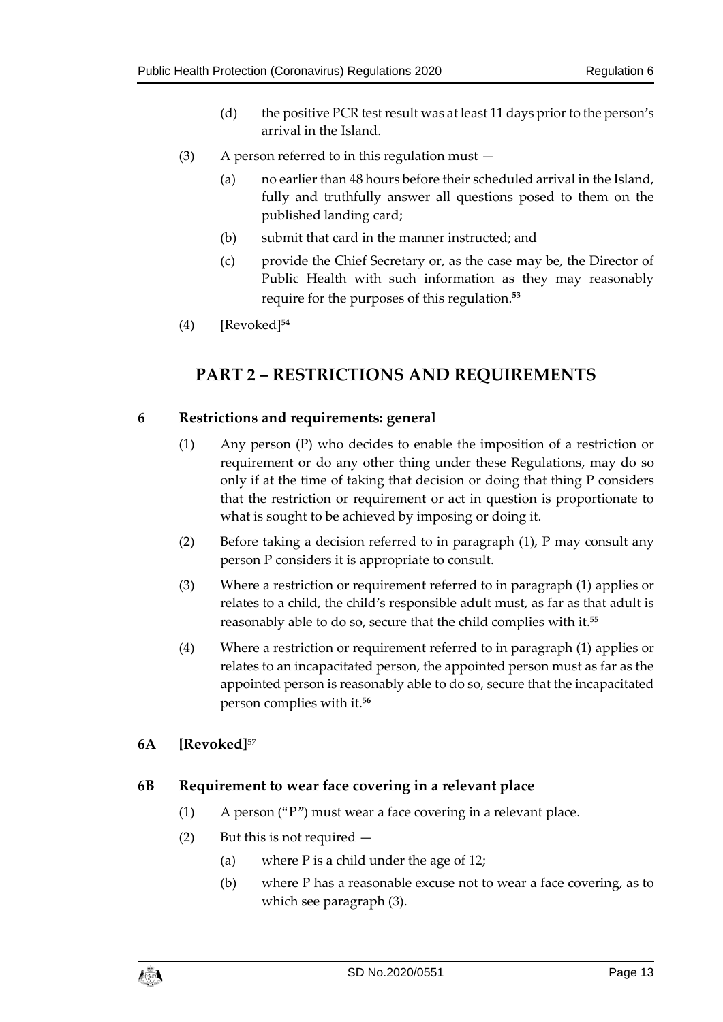- (d) the positive PCR test result was at least 11 days prior to the person's arrival in the Island.
- (3) A person referred to in this regulation must
	- (a) no earlier than 48 hours before their scheduled arrival in the Island, fully and truthfully answer all questions posed to them on the published landing card;
	- (b) submit that card in the manner instructed; and
	- (c) provide the Chief Secretary or, as the case may be, the Director of Public Health with such information as they may reasonably require for the purposes of this regulation.**<sup>53</sup>**
- <span id="page-12-0"></span>(4) [Revoked]**<sup>54</sup>**

# **PART 2 – RESTRICTIONS AND REQUIREMENTS**

#### <span id="page-12-1"></span>**6 Restrictions and requirements: general**

- (1) Any person (P) who decides to enable the imposition of a restriction or requirement or do any other thing under these Regulations, may do so only if at the time of taking that decision or doing that thing P considers that the restriction or requirement or act in question is proportionate to what is sought to be achieved by imposing or doing it.
- (2) Before taking a decision referred to in paragraph (1), P may consult any person P considers it is appropriate to consult.
- (3) Where a restriction or requirement referred to in paragraph (1) applies or relates to a child, the child's responsible adult must, as far as that adult is reasonably able to do so, secure that the child complies with it.**<sup>55</sup>**
- (4) Where a restriction or requirement referred to in paragraph (1) applies or relates to an incapacitated person, the appointed person must as far as the appointed person is reasonably able to do so, secure that the incapacitated person complies with it.**<sup>56</sup>**

#### <span id="page-12-2"></span>**6A [Revoked]**<sup>57</sup>

#### <span id="page-12-3"></span>**6B Requirement to wear face covering in a relevant place**

- (1) A person ("P") must wear a face covering in a relevant place.
- (2) But this is not required
	- (a) where P is a child under the age of 12;
	- (b) where P has a reasonable excuse not to wear a face covering, as to which see paragraph (3).

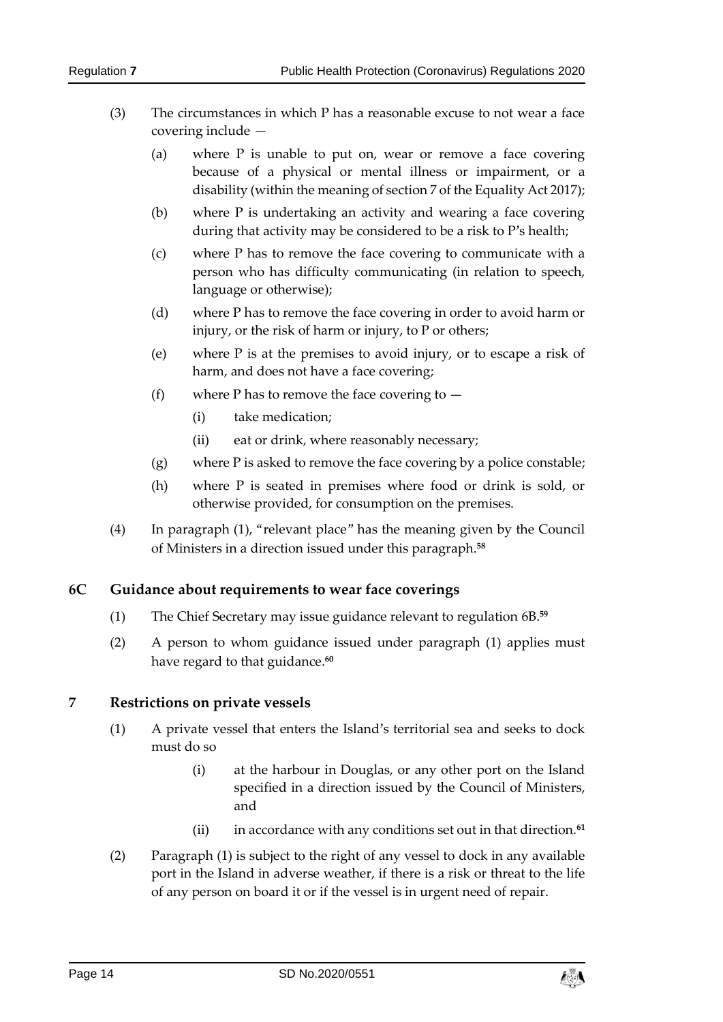- (3) The circumstances in which P has a reasonable excuse to not wear a face covering include —
	- (a) where P is unable to put on, wear or remove a face covering because of a physical or mental illness or impairment, or a disability (within the meaning of section 7 of the Equality Act 2017);
	- (b) where P is undertaking an activity and wearing a face covering during that activity may be considered to be a risk to P's health;
	- (c) where P has to remove the face covering to communicate with a person who has difficulty communicating (in relation to speech, language or otherwise);
	- (d) where P has to remove the face covering in order to avoid harm or injury, or the risk of harm or injury, to P or others;
	- (e) where P is at the premises to avoid injury, or to escape a risk of harm, and does not have a face covering;
	- (f) where P has to remove the face covering to  $-$ 
		- (i) take medication;
		- (ii) eat or drink, where reasonably necessary;
	- (g) where P is asked to remove the face covering by a police constable;
	- (h) where P is seated in premises where food or drink is sold, or otherwise provided, for consumption on the premises.
- (4) In paragraph (1), "relevant place" has the meaning given by the Council of Ministers in a direction issued under this paragraph.**<sup>58</sup>**

#### <span id="page-13-0"></span>**6C Guidance about requirements to wear face coverings**

- (1) The Chief Secretary may issue guidance relevant to regulation 6B. **59**
- (2) A person to whom guidance issued under paragraph (1) applies must have regard to that guidance.**<sup>60</sup>**

#### <span id="page-13-1"></span>**7 Restrictions on private vessels**

- (1) A private vessel that enters the Island's territorial sea and seeks to dock must do so
	- (i) at the harbour in Douglas, or any other port on the Island specified in a direction issued by the Council of Ministers, and
	- (ii) in accordance with any conditions set out in that direction.**<sup>61</sup>**
- (2) Paragraph (1) is subject to the right of any vessel to dock in any available port in the Island in adverse weather, if there is a risk or threat to the life of any person on board it or if the vessel is in urgent need of repair.

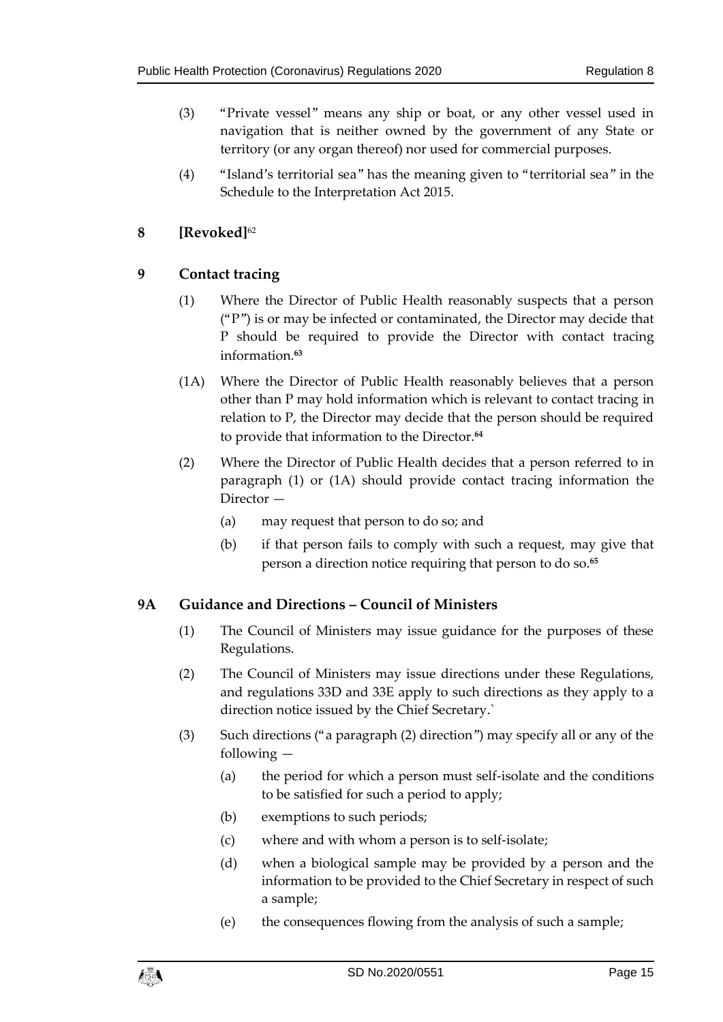- (3) "Private vessel" means any ship or boat, or any other vessel used in navigation that is neither owned by the government of any State or territory (or any organ thereof) nor used for commercial purposes.
- (4) "Island's territorial sea" has the meaning given to "territorial sea" in the Schedule to the Interpretation Act 2015.

#### <span id="page-14-0"></span>**8 [Revoked]**<sup>62</sup>

#### <span id="page-14-1"></span>**9 Contact tracing**

- (1) Where the Director of Public Health reasonably suspects that a person  $($ "P") is or may be infected or contaminated, the Director may decide that P should be required to provide the Director with contact tracing information.**<sup>63</sup>**
- (1A) Where the Director of Public Health reasonably believes that a person other than P may hold information which is relevant to contact tracing in relation to P, the Director may decide that the person should be required to provide that information to the Director.**<sup>64</sup>**
- (2) Where the Director of Public Health decides that a person referred to in paragraph (1) or (1A) should provide contact tracing information the Director —
	- (a) may request that person to do so; and
	- (b) if that person fails to comply with such a request, may give that person a direction notice requiring that person to do so.**<sup>65</sup>**

#### <span id="page-14-2"></span>**9A Guidance and Directions – Council of Ministers**

- (1) The Council of Ministers may issue guidance for the purposes of these Regulations.
- (2) The Council of Ministers may issue directions under these Regulations, and regulations 33D and 33E apply to such directions as they apply to a direction notice issued by the Chief Secretary.`
- (3) Such directions ("a paragraph (2) direction") may specify all or any of the following —
	- (a) the period for which a person must self-isolate and the conditions to be satisfied for such a period to apply;
	- (b) exemptions to such periods;
	- (c) where and with whom a person is to self-isolate;
	- (d) when a biological sample may be provided by a person and the information to be provided to the Chief Secretary in respect of such a sample;
	- (e) the consequences flowing from the analysis of such a sample;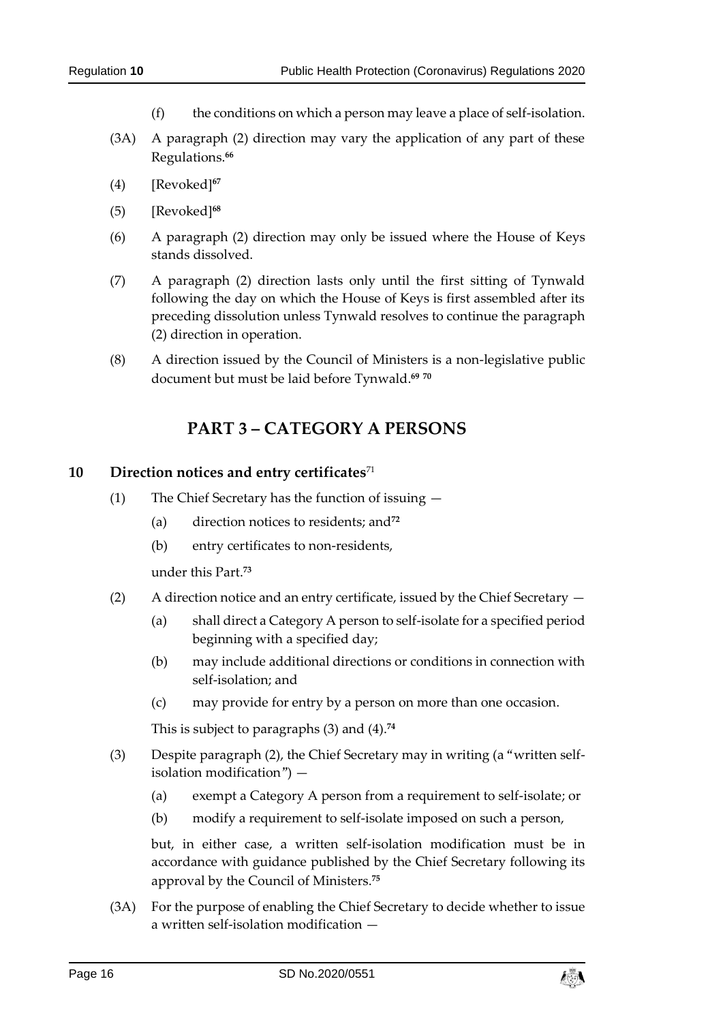- (f) the conditions on which a person may leave a place of self-isolation.
- (3A) A paragraph (2) direction may vary the application of any part of these Regulations.**<sup>66</sup>**
- (4) [Revoked]**<sup>67</sup>**
- (5) [Revoked]**<sup>68</sup>**
- (6) A paragraph (2) direction may only be issued where the House of Keys stands dissolved.
- (7) A paragraph (2) direction lasts only until the first sitting of Tynwald following the day on which the House of Keys is first assembled after its preceding dissolution unless Tynwald resolves to continue the paragraph (2) direction in operation.
- <span id="page-15-0"></span>(8) A direction issued by the Council of Ministers is a non-legislative public document but must be laid before Tynwald. **69 70**

## **PART 3 – CATEGORY A PERSONS**

#### <span id="page-15-1"></span>**10 Direction notices and entry certificates**<sup>71</sup>

- (1) The Chief Secretary has the function of issuing
	- (a) direction notices to residents; and**<sup>72</sup>**
	- (b) entry certificates to non-residents,

under this Part.**<sup>73</sup>**

- (2) A direction notice and an entry certificate, issued by the Chief Secretary
	- (a) shall direct a Category A person to self-isolate for a specified period beginning with a specified day;
	- (b) may include additional directions or conditions in connection with self-isolation; and
	- (c) may provide for entry by a person on more than one occasion.

This is subject to paragraphs (3) and (4).**<sup>74</sup>**

- (3) Despite paragraph (2), the Chief Secretary may in writing (a "written selfisolation modification") —
	- (a) exempt a Category A person from a requirement to self-isolate; or
	- (b) modify a requirement to self-isolate imposed on such a person,

but, in either case, a written self-isolation modification must be in accordance with guidance published by the Chief Secretary following its approval by the Council of Ministers.**<sup>75</sup>**

(3A) For the purpose of enabling the Chief Secretary to decide whether to issue a written self-isolation modification —

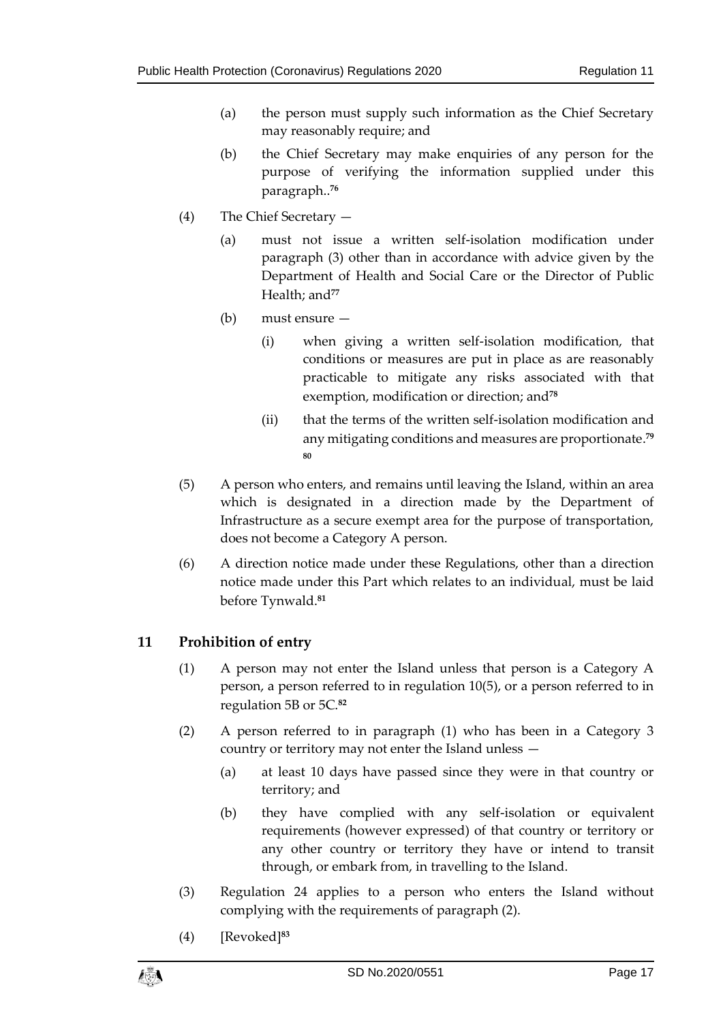- (a) the person must supply such information as the Chief Secretary may reasonably require; and
- (b) the Chief Secretary may make enquiries of any person for the purpose of verifying the information supplied under this paragraph.. **76**
- (4) The Chief Secretary
	- (a) must not issue a written self-isolation modification under paragraph (3) other than in accordance with advice given by the Department of Health and Social Care or the Director of Public Health; and**<sup>77</sup>**
	- (b) must ensure
		- (i) when giving a written self-isolation modification, that conditions or measures are put in place as are reasonably practicable to mitigate any risks associated with that exemption, modification or direction; and**<sup>78</sup>**
		- (ii) that the terms of the written self-isolation modification and any mitigating conditions and measures are proportionate. **79 80**
- (5) A person who enters, and remains until leaving the Island, within an area which is designated in a direction made by the Department of Infrastructure as a secure exempt area for the purpose of transportation, does not become a Category A person.
- (6) A direction notice made under these Regulations, other than a direction notice made under this Part which relates to an individual, must be laid before Tynwald. **81**

#### <span id="page-16-0"></span>**11 Prohibition of entry**

- (1) A person may not enter the Island unless that person is a Category A person, a person referred to in regulation 10(5), or a person referred to in regulation 5B or 5C.**<sup>82</sup>**
- (2) A person referred to in paragraph (1) who has been in a Category 3 country or territory may not enter the Island unless —
	- (a) at least 10 days have passed since they were in that country or territory; and
	- (b) they have complied with any self-isolation or equivalent requirements (however expressed) of that country or territory or any other country or territory they have or intend to transit through, or embark from, in travelling to the Island.
- (3) Regulation 24 applies to a person who enters the Island without complying with the requirements of paragraph (2).
- (4) [Revoked]**<sup>83</sup>**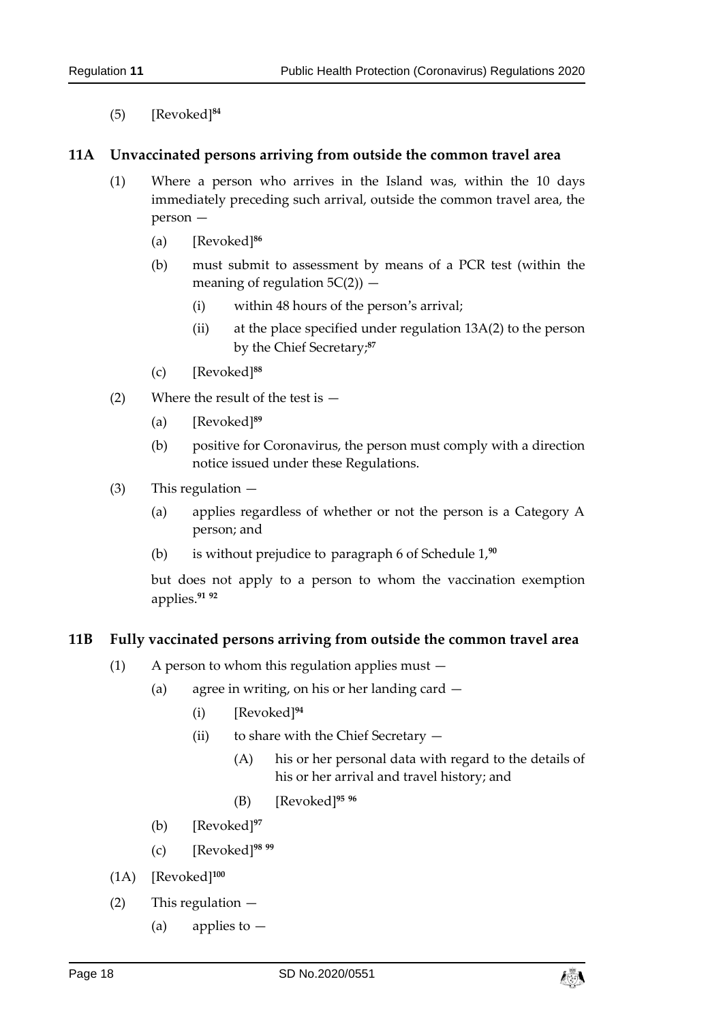(5) [Revoked]**<sup>84</sup>**

#### <span id="page-17-0"></span>**11A Unvaccinated persons arriving from outside the common travel area**

- (1) Where a person who arrives in the Island was, within the 10 days immediately preceding such arrival, outside the common travel area, the person —
	- (a) [Revoked]**<sup>86</sup>**
	- (b) must submit to assessment by means of a PCR test (within the meaning of regulation  $5C(2)$  –
		- (i) within 48 hours of the person's arrival;
		- (ii) at the place specified under regulation 13A(2) to the person by the Chief Secretary; **87**
	- (c) [Revoked]**<sup>88</sup>**
- (2) Where the result of the test is
	- (a) [Revoked]**<sup>89</sup>**
	- (b) positive for Coronavirus, the person must comply with a direction notice issued under these Regulations.
- (3) This regulation
	- (a) applies regardless of whether or not the person is a Category A person; and
	- (b) is without prejudice to paragraph 6 of Schedule 1, **90**

but does not apply to a person to whom the vaccination exemption applies. **91 92**

#### <span id="page-17-1"></span>**11B Fully vaccinated persons arriving from outside the common travel area**

- (1) A person to whom this regulation applies must
	- (a) agree in writing, on his or her landing card
		- (i) [Revoked]**<sup>94</sup>**
		- (ii) to share with the Chief Secretary
			- (A) his or her personal data with regard to the details of his or her arrival and travel history; and
			- (B) [Revoked]**<sup>95</sup> <sup>96</sup>**
	- (b) [Revoked]**<sup>97</sup>**
	- (c) [Revoked]**<sup>98</sup> <sup>99</sup>**
- (1A) [Revoked]**<sup>100</sup>**
- (2) This regulation
	- (a) applies to  $-$

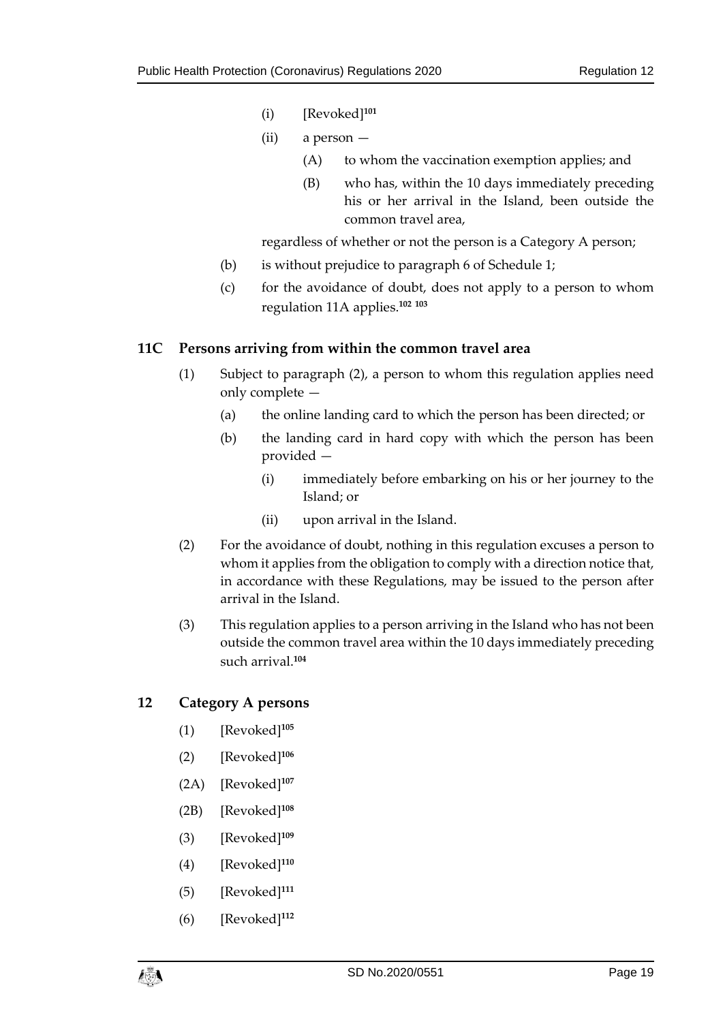- (i) [Revoked]**<sup>101</sup>**
- (ii) a person
	- (A) to whom the vaccination exemption applies; and
	- (B) who has, within the 10 days immediately preceding his or her arrival in the Island, been outside the common travel area,

regardless of whether or not the person is a Category A person;

- (b) is without prejudice to paragraph 6 of Schedule 1;
- (c) for the avoidance of doubt, does not apply to a person to whom regulation 11A applies.**<sup>102</sup> <sup>103</sup>**

#### <span id="page-18-0"></span>**11C Persons arriving from within the common travel area**

- (1) Subject to paragraph (2), a person to whom this regulation applies need only complete —
	- (a) the online landing card to which the person has been directed; or
	- (b) the landing card in hard copy with which the person has been provided —
		- (i) immediately before embarking on his or her journey to the Island; or
		- (ii) upon arrival in the Island.
- (2) For the avoidance of doubt, nothing in this regulation excuses a person to whom it applies from the obligation to comply with a direction notice that, in accordance with these Regulations, may be issued to the person after arrival in the Island.
- (3) This regulation applies to a person arriving in the Island who has not been outside the common travel area within the 10 days immediately preceding such arrival.**<sup>104</sup>**

#### <span id="page-18-1"></span>**12 Category A persons**

- (1) [Revoked]**<sup>105</sup>**
- (2) [Revoked] **106**
- (2A) [Revoked]**<sup>107</sup>**
- (2B) [Revoked]**<sup>108</sup>**
- (3) [Revoked]**<sup>109</sup>**
- (4) [Revoked]**<sup>110</sup>**
- (5) [Revoked]**<sup>111</sup>**
- (6) [Revoked]**<sup>112</sup>**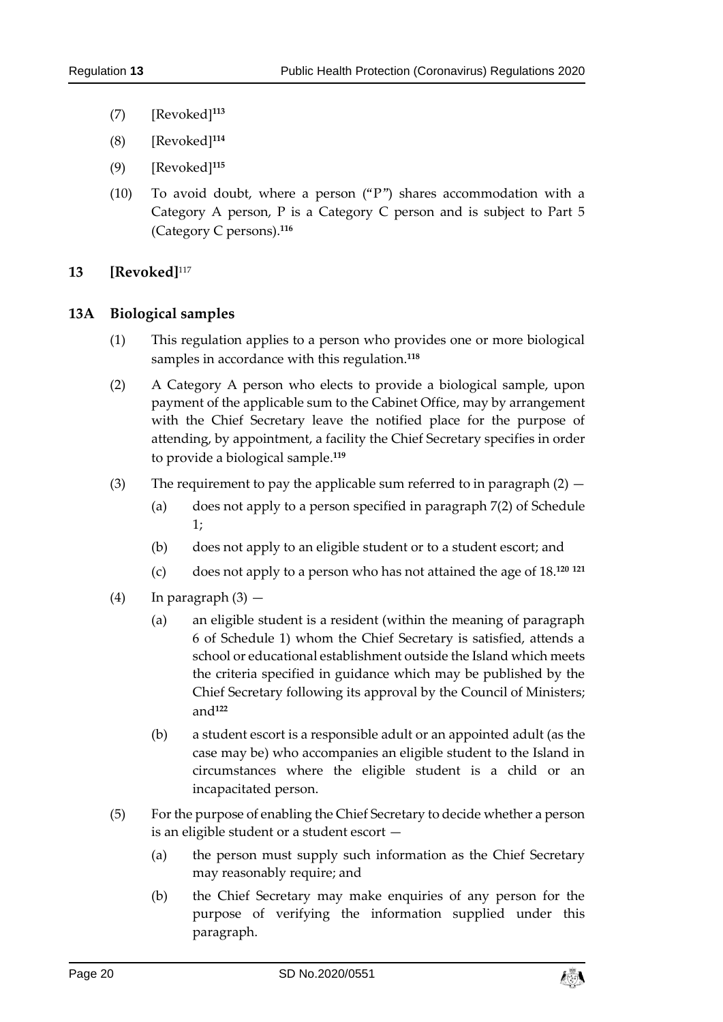- (7) [Revoked]**<sup>113</sup>**
- (8) [Revoked]**<sup>114</sup>**
- (9) [Revoked]**<sup>115</sup>**
- (10) To avoid doubt, where a person ("P") shares accommodation with a Category A person, P is a Category C person and is subject to Part 5 (Category C persons).**<sup>116</sup>**

#### <span id="page-19-0"></span>**13 [Revoked]**<sup>117</sup>

#### <span id="page-19-1"></span>**13A Biological samples**

- (1) This regulation applies to a person who provides one or more biological samples in accordance with this regulation.**<sup>118</sup>**
- (2) A Category A person who elects to provide a biological sample, upon payment of the applicable sum to the Cabinet Office, may by arrangement with the Chief Secretary leave the notified place for the purpose of attending, by appointment, a facility the Chief Secretary specifies in order to provide a biological sample.**<sup>119</sup>**
- (3) The requirement to pay the applicable sum referred to in paragraph  $(2)$ 
	- (a) does not apply to a person specified in paragraph 7(2) of Schedule 1;
	- (b) does not apply to an eligible student or to a student escort; and
	- (c) does not apply to a person who has not attained the age of 18. **120 121**
- $(4)$  In paragraph  $(3)$ 
	- (a) an eligible student is a resident (within the meaning of paragraph 6 of Schedule 1) whom the Chief Secretary is satisfied, attends a school or educational establishment outside the Island which meets the criteria specified in guidance which may be published by the Chief Secretary following its approval by the Council of Ministers; and**<sup>122</sup>**
	- (b) a student escort is a responsible adult or an appointed adult (as the case may be) who accompanies an eligible student to the Island in circumstances where the eligible student is a child or an incapacitated person.
- (5) For the purpose of enabling the Chief Secretary to decide whether a person is an eligible student or a student escort —
	- (a) the person must supply such information as the Chief Secretary may reasonably require; and
	- (b) the Chief Secretary may make enquiries of any person for the purpose of verifying the information supplied under this paragraph.

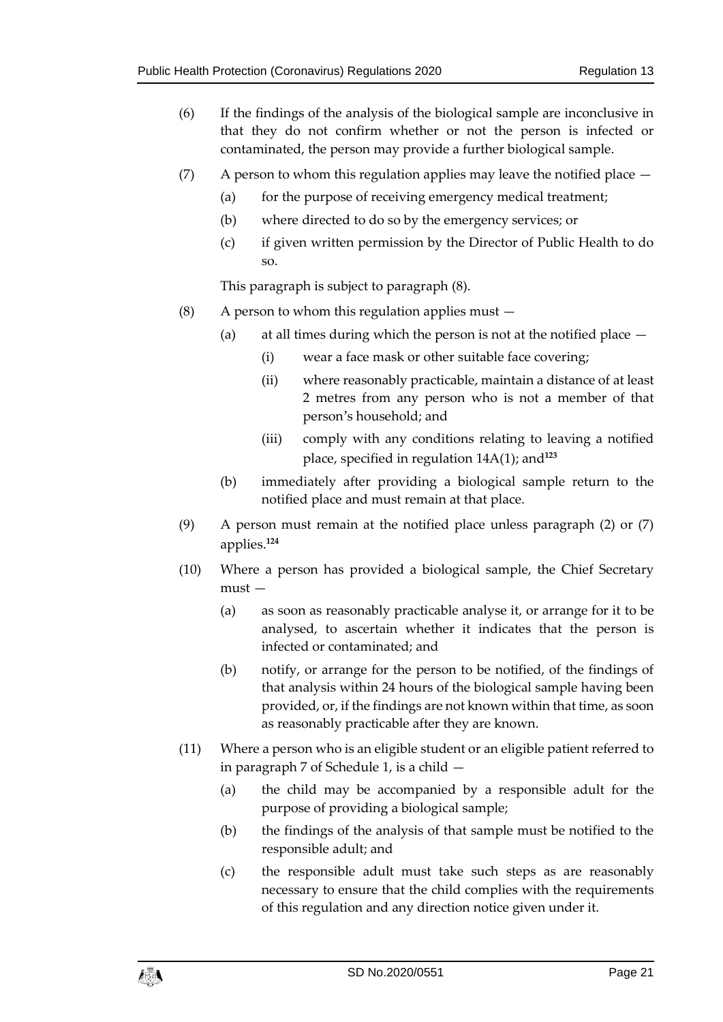- (6) If the findings of the analysis of the biological sample are inconclusive in that they do not confirm whether or not the person is infected or contaminated, the person may provide a further biological sample.
- (7) A person to whom this regulation applies may leave the notified place  $-$ 
	- (a) for the purpose of receiving emergency medical treatment;
	- (b) where directed to do so by the emergency services; or
	- (c) if given written permission by the Director of Public Health to do so.

This paragraph is subject to paragraph (8).

- (8) A person to whom this regulation applies must  $-$ 
	- (a) at all times during which the person is not at the notified place
		- (i) wear a face mask or other suitable face covering;
		- (ii) where reasonably practicable, maintain a distance of at least 2 metres from any person who is not a member of that person's household; and
		- (iii) comply with any conditions relating to leaving a notified place, specified in regulation 14A(1); and**<sup>123</sup>**
	- (b) immediately after providing a biological sample return to the notified place and must remain at that place.
- (9) A person must remain at the notified place unless paragraph (2) or (7) applies.**<sup>124</sup>**
- (10) Where a person has provided a biological sample, the Chief Secretary must —
	- (a) as soon as reasonably practicable analyse it, or arrange for it to be analysed, to ascertain whether it indicates that the person is infected or contaminated; and
	- (b) notify, or arrange for the person to be notified, of the findings of that analysis within 24 hours of the biological sample having been provided, or, if the findings are not known within that time, as soon as reasonably practicable after they are known.
- (11) Where a person who is an eligible student or an eligible patient referred to in paragraph 7 of Schedule 1, is a child —
	- (a) the child may be accompanied by a responsible adult for the purpose of providing a biological sample;
	- (b) the findings of the analysis of that sample must be notified to the responsible adult; and
	- (c) the responsible adult must take such steps as are reasonably necessary to ensure that the child complies with the requirements of this regulation and any direction notice given under it.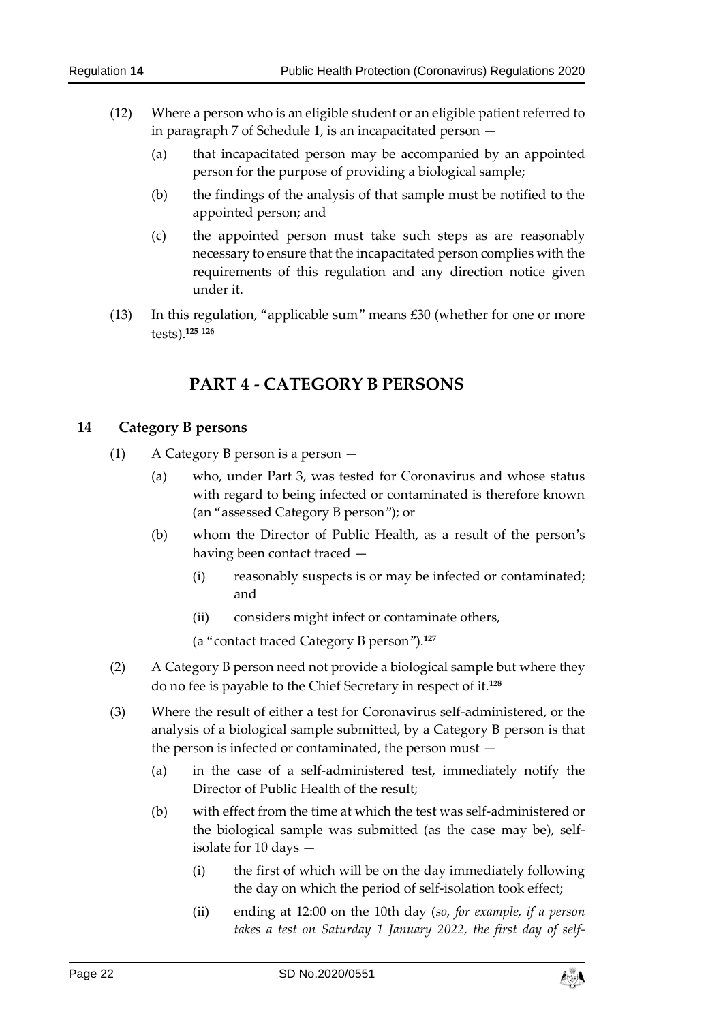- (12) Where a person who is an eligible student or an eligible patient referred to in paragraph 7 of Schedule 1, is an incapacitated person —
	- (a) that incapacitated person may be accompanied by an appointed person for the purpose of providing a biological sample;
	- (b) the findings of the analysis of that sample must be notified to the appointed person; and
	- (c) the appointed person must take such steps as are reasonably necessary to ensure that the incapacitated person complies with the requirements of this regulation and any direction notice given under it.
- <span id="page-21-0"></span>(13) In this regulation, "applicable sum" means £30 (whether for one or more tests).**<sup>125</sup> <sup>126</sup>**

# **PART 4 - CATEGORY B PERSONS**

#### <span id="page-21-1"></span>**14 Category B persons**

- (1) A Category B person is a person
	- (a) who, under Part 3, was tested for Coronavirus and whose status with regard to being infected or contaminated is therefore known (an "assessed Category B person"); or
	- (b) whom the Director of Public Health, as a result of the person's having been contact traced —
		- (i) reasonably suspects is or may be infected or contaminated; and
		- (ii) considers might infect or contaminate others,

(a "contact traced Category B person").**<sup>127</sup>**

- (2) A Category B person need not provide a biological sample but where they do no fee is payable to the Chief Secretary in respect of it.**<sup>128</sup>**
- (3) Where the result of either a test for Coronavirus self-administered, or the analysis of a biological sample submitted, by a Category B person is that the person is infected or contaminated, the person must —
	- (a) in the case of a self-administered test, immediately notify the Director of Public Health of the result;
	- (b) with effect from the time at which the test was self-administered or the biological sample was submitted (as the case may be), selfisolate for 10 days —
		- (i) the first of which will be on the day immediately following the day on which the period of self-isolation took effect;
		- (ii) ending at 12:00 on the 10th day (*so, for example, if a person takes a test on Saturday 1 January 2022, the first day of self-*

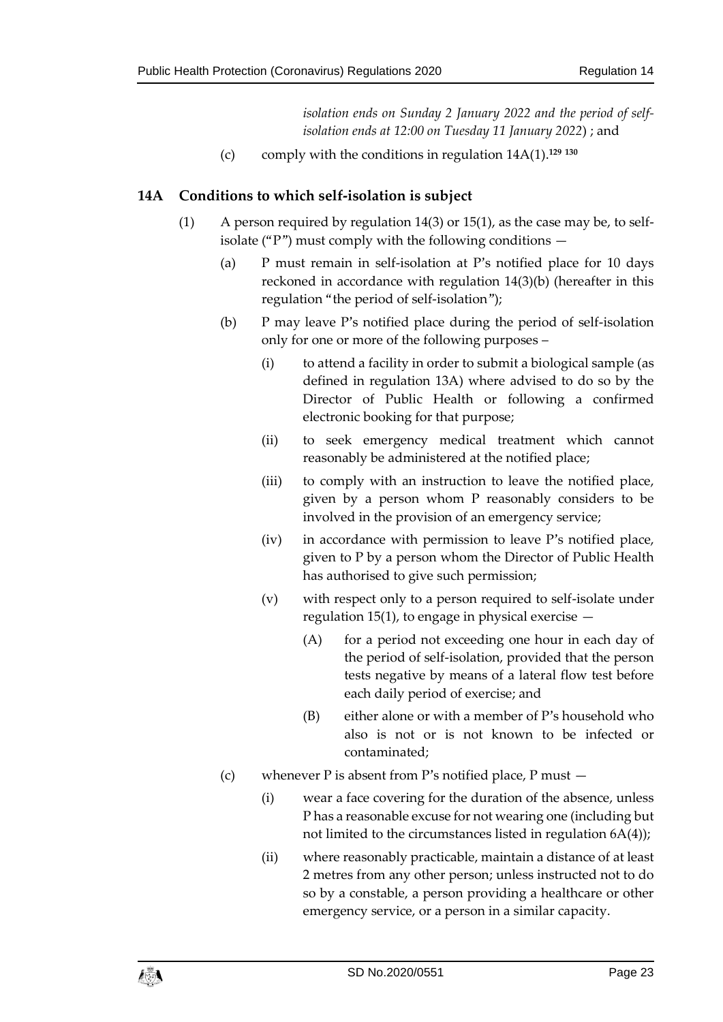*isolation ends on Sunday 2 January 2022 and the period of selfisolation ends at 12:00 on Tuesday 11 January 2022*) ; and

(c) comply with the conditions in regulation 14A(1).**<sup>129</sup> <sup>130</sup>**

#### <span id="page-22-0"></span>**14A Conditions to which self-isolation is subject**

- (1) A person required by regulation 14(3) or 15(1), as the case may be, to selfisolate ("P") must comply with the following conditions  $-$ 
	- (a) P must remain in self-isolation at P's notified place for 10 days reckoned in accordance with regulation 14(3)(b) (hereafter in this regulation "the period of self-isolation");
	- (b) P may leave P's notified place during the period of self-isolation only for one or more of the following purposes –
		- (i) to attend a facility in order to submit a biological sample (as defined in regulation 13A) where advised to do so by the Director of Public Health or following a confirmed electronic booking for that purpose;
		- (ii) to seek emergency medical treatment which cannot reasonably be administered at the notified place;
		- (iii) to comply with an instruction to leave the notified place, given by a person whom P reasonably considers to be involved in the provision of an emergency service;
		- (iv) in accordance with permission to leave P's notified place, given to P by a person whom the Director of Public Health has authorised to give such permission;
		- (v) with respect only to a person required to self-isolate under regulation 15(1), to engage in physical exercise  $-$ 
			- (A) for a period not exceeding one hour in each day of the period of self-isolation, provided that the person tests negative by means of a lateral flow test before each daily period of exercise; and
			- (B) either alone or with a member of P's household who also is not or is not known to be infected or contaminated;
	- (c) whenever P is absent from P's notified place, P must
		- (i) wear a face covering for the duration of the absence, unless P has a reasonable excuse for not wearing one (including but not limited to the circumstances listed in regulation 6A(4));
		- (ii) where reasonably practicable, maintain a distance of at least 2 metres from any other person; unless instructed not to do so by a constable, a person providing a healthcare or other emergency service, or a person in a similar capacity.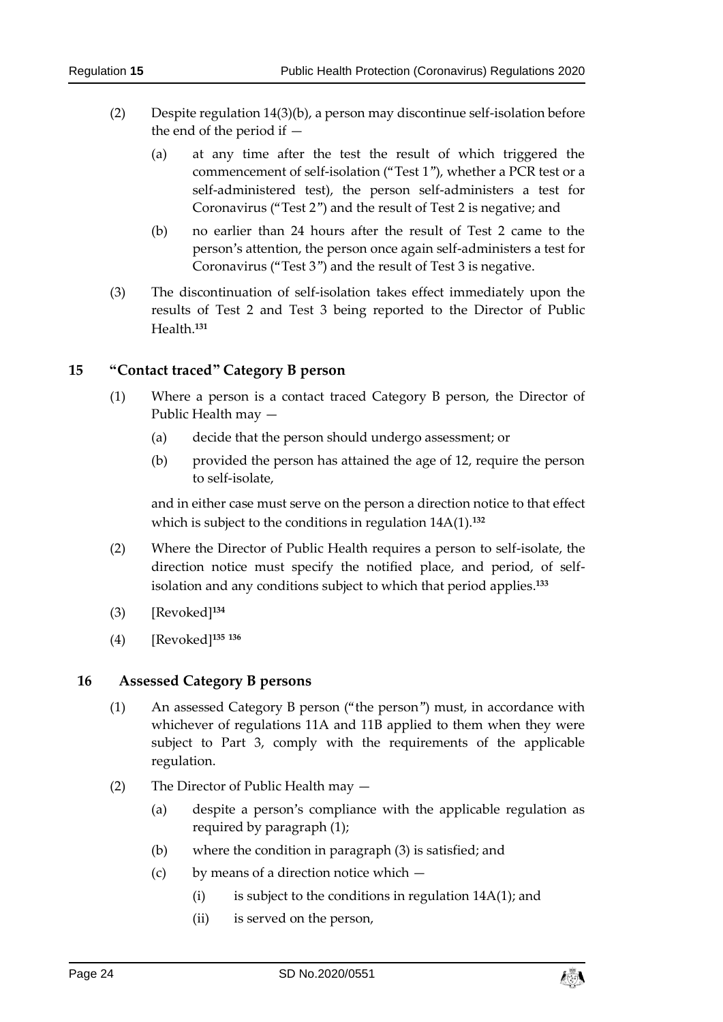- (2) Despite regulation 14(3)(b), a person may discontinue self-isolation before the end of the period if —
	- (a) at any time after the test the result of which triggered the commencement of self-isolation ("Test 1"), whether a PCR test or a self-administered test), the person self-administers a test for Coronavirus ("Test 2") and the result of Test 2 is negative; and
	- (b) no earlier than 24 hours after the result of Test 2 came to the person's attention, the person once again self-administers a test for Coronavirus ("Test 3") and the result of Test 3 is negative.
- (3) The discontinuation of self-isolation takes effect immediately upon the results of Test 2 and Test 3 being reported to the Director of Public Health.**<sup>131</sup>**

#### <span id="page-23-0"></span>**15 "Contact traced" Category B person**

- (1) Where a person is a contact traced Category B person, the Director of Public Health may —
	- (a) decide that the person should undergo assessment; or
	- (b) provided the person has attained the age of 12, require the person to self-isolate,

and in either case must serve on the person a direction notice to that effect which is subject to the conditions in regulation 14A(1).**<sup>132</sup>**

- (2) Where the Director of Public Health requires a person to self-isolate, the direction notice must specify the notified place, and period, of selfisolation and any conditions subject to which that period applies. **133**
- (3) [Revoked]**<sup>134</sup>**
- (4) [Revoked]**<sup>135</sup> <sup>136</sup>**

#### <span id="page-23-1"></span>**16 Assessed Category B persons**

- (1) An assessed Category B person ("the person") must, in accordance with whichever of regulations 11A and 11B applied to them when they were subject to Part 3, comply with the requirements of the applicable regulation.
- (2) The Director of Public Health may
	- (a) despite a person's compliance with the applicable regulation as required by paragraph (1);
	- (b) where the condition in paragraph (3) is satisfied; and
	- (c) by means of a direction notice which
		- (i) is subject to the conditions in regulation  $14A(1)$ ; and
		- (ii) is served on the person,

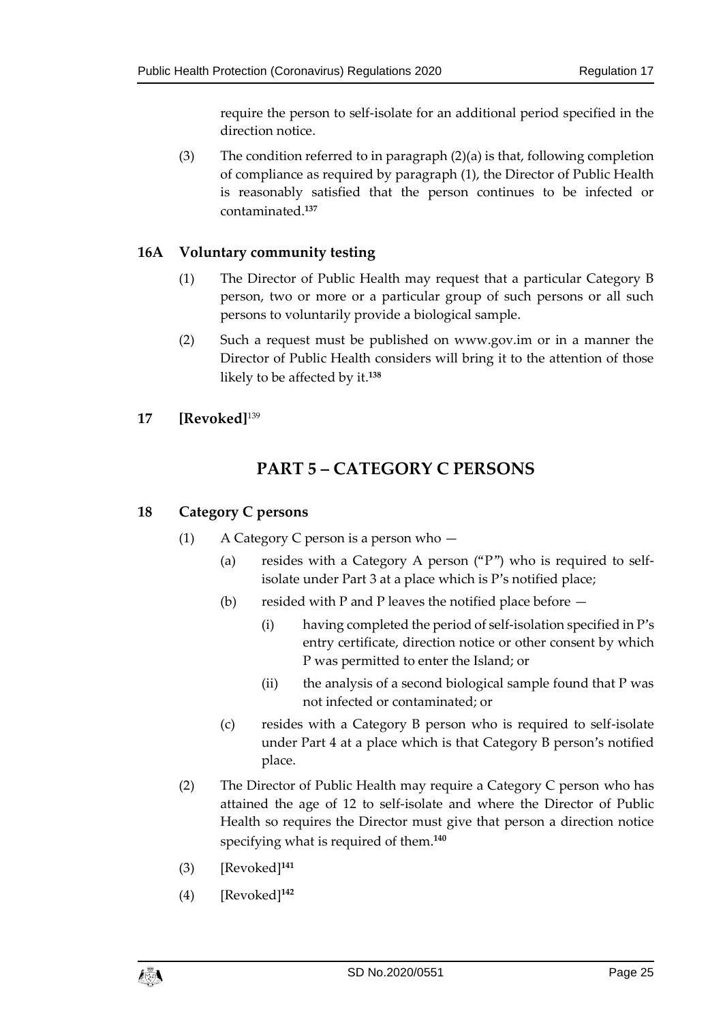require the person to self-isolate for an additional period specified in the direction notice.

(3) The condition referred to in paragraph (2)(a) is that, following completion of compliance as required by paragraph (1), the Director of Public Health is reasonably satisfied that the person continues to be infected or contaminated.**<sup>137</sup>**

#### <span id="page-24-0"></span>**16A Voluntary community testing**

- (1) The Director of Public Health may request that a particular Category B person, two or more or a particular group of such persons or all such persons to voluntarily provide a biological sample.
- (2) Such a request must be published on www.gov.im or in a manner the Director of Public Health considers will bring it to the attention of those likely to be affected by it.**<sup>138</sup>**

#### <span id="page-24-2"></span><span id="page-24-1"></span>**17 [Revoked]**<sup>139</sup>

# **PART 5 – CATEGORY C PERSONS**

#### <span id="page-24-3"></span>**18 Category C persons**

- (1) A Category C person is a person who
	- (a) resides with a Category A person ("P") who is required to selfisolate under Part 3 at a place which is P's notified place;
	- (b) resided with P and P leaves the notified place before  $-$ 
		- (i) having completed the period of self-isolation specified in P's entry certificate, direction notice or other consent by which P was permitted to enter the Island; or
		- (ii) the analysis of a second biological sample found that P was not infected or contaminated; or
	- (c) resides with a Category B person who is required to self-isolate under Part 4 at a place which is that Category B person's notified place.
- (2) The Director of Public Health may require a Category C person who has attained the age of 12 to self-isolate and where the Director of Public Health so requires the Director must give that person a direction notice specifying what is required of them. **140**
- (3) [Revoked]**<sup>141</sup>**
- (4) [Revoked]**<sup>142</sup>**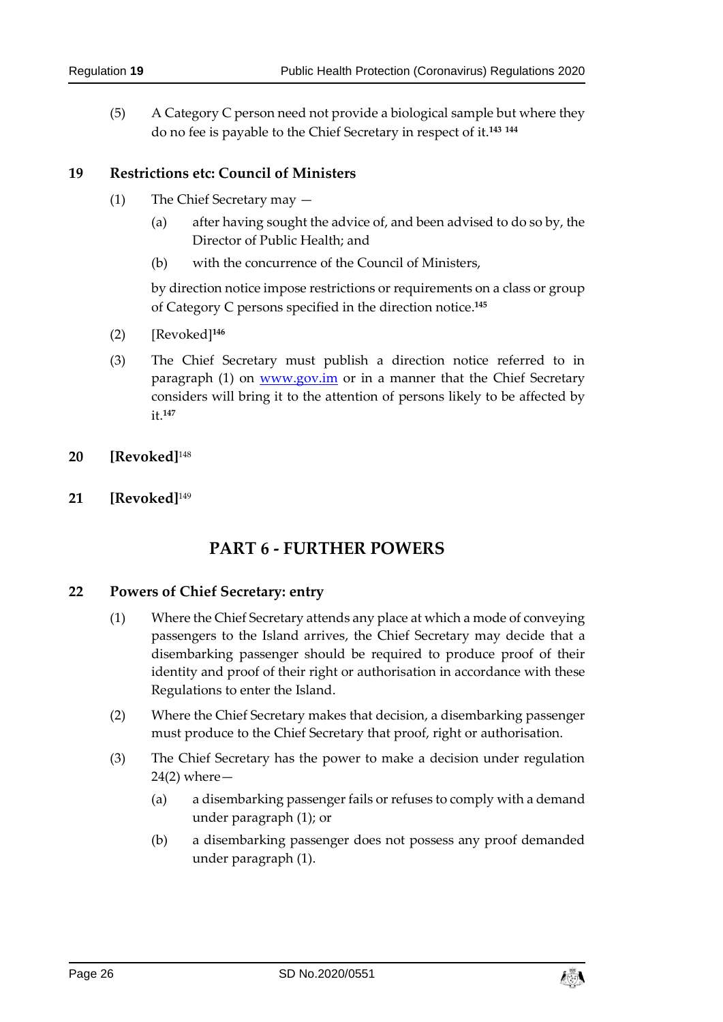(5) A Category C person need not provide a biological sample but where they do no fee is payable to the Chief Secretary in respect of it.**<sup>143</sup> <sup>144</sup>**

#### <span id="page-25-0"></span>**19 Restrictions etc: Council of Ministers**

- (1) The Chief Secretary may
	- (a) after having sought the advice of, and been advised to do so by, the Director of Public Health; and
	- (b) with the concurrence of the Council of Ministers,

by direction notice impose restrictions or requirements on a class or group of Category C persons specified in the direction notice. **145**

- (2) [Revoked]**<sup>146</sup>**
- (3) The Chief Secretary must publish a direction notice referred to in paragraph (1) on [www.gov.im](http://www.gov.im/) or in a manner that the Chief Secretary considers will bring it to the attention of persons likely to be affected by it.**<sup>147</sup>**
- <span id="page-25-1"></span>**20 [Revoked]**<sup>148</sup>
- <span id="page-25-3"></span><span id="page-25-2"></span>**21 [Revoked]**<sup>149</sup>

# **PART 6 - FURTHER POWERS**

#### <span id="page-25-4"></span>**22 Powers of Chief Secretary: entry**

- (1) Where the Chief Secretary attends any place at which a mode of conveying passengers to the Island arrives, the Chief Secretary may decide that a disembarking passenger should be required to produce proof of their identity and proof of their right or authorisation in accordance with these Regulations to enter the Island.
- (2) Where the Chief Secretary makes that decision, a disembarking passenger must produce to the Chief Secretary that proof, right or authorisation.
- (3) The Chief Secretary has the power to make a decision under regulation  $24(2)$  where  $-$ 
	- (a) a disembarking passenger fails or refuses to comply with a demand under paragraph (1); or
	- (b) a disembarking passenger does not possess any proof demanded under paragraph (1).

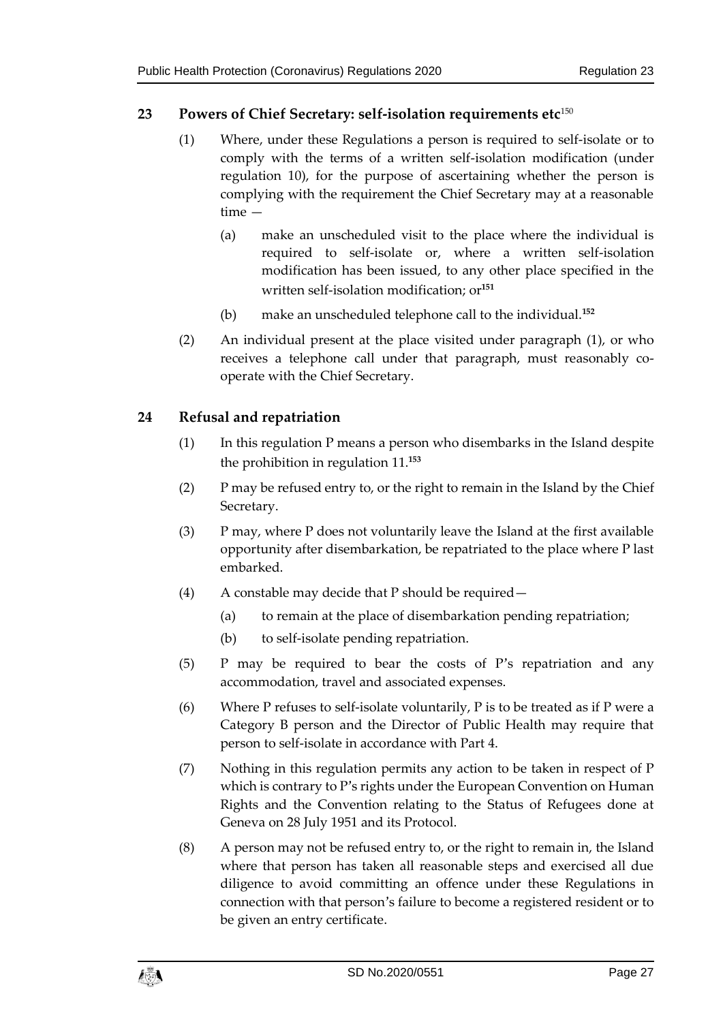#### <span id="page-26-0"></span>**23 Powers of Chief Secretary: self-isolation requirements etc**<sup>150</sup>

- (1) Where, under these Regulations a person is required to self-isolate or to comply with the terms of a written self-isolation modification (under regulation 10), for the purpose of ascertaining whether the person is complying with the requirement the Chief Secretary may at a reasonable time —
	- (a) make an unscheduled visit to the place where the individual is required to self-isolate or, where a written self-isolation modification has been issued, to any other place specified in the written self-isolation modification; or**<sup>151</sup>**
	- (b) make an unscheduled telephone call to the individual.**<sup>152</sup>**
- (2) An individual present at the place visited under paragraph (1), or who receives a telephone call under that paragraph, must reasonably cooperate with the Chief Secretary.

#### <span id="page-26-1"></span>**24 Refusal and repatriation**

- (1) In this regulation P means a person who disembarks in the Island despite the prohibition in regulation 11. **153**
- (2) P may be refused entry to, or the right to remain in the Island by the Chief Secretary.
- (3) P may, where P does not voluntarily leave the Island at the first available opportunity after disembarkation, be repatriated to the place where P last embarked.
- (4) A constable may decide that P should be required—
	- (a) to remain at the place of disembarkation pending repatriation;
	- (b) to self-isolate pending repatriation.
- (5) P may be required to bear the costs of P's repatriation and any accommodation, travel and associated expenses.
- (6) Where P refuses to self-isolate voluntarily, P is to be treated as if P were a Category B person and the Director of Public Health may require that person to self-isolate in accordance with Part 4.
- (7) Nothing in this regulation permits any action to be taken in respect of P which is contrary to P's rights under the European Convention on Human Rights and the Convention relating to the Status of Refugees done at Geneva on 28 July 1951 and its Protocol.
- (8) A person may not be refused entry to, or the right to remain in, the Island where that person has taken all reasonable steps and exercised all due diligence to avoid committing an offence under these Regulations in connection with that person's failure to become a registered resident or to be given an entry certificate.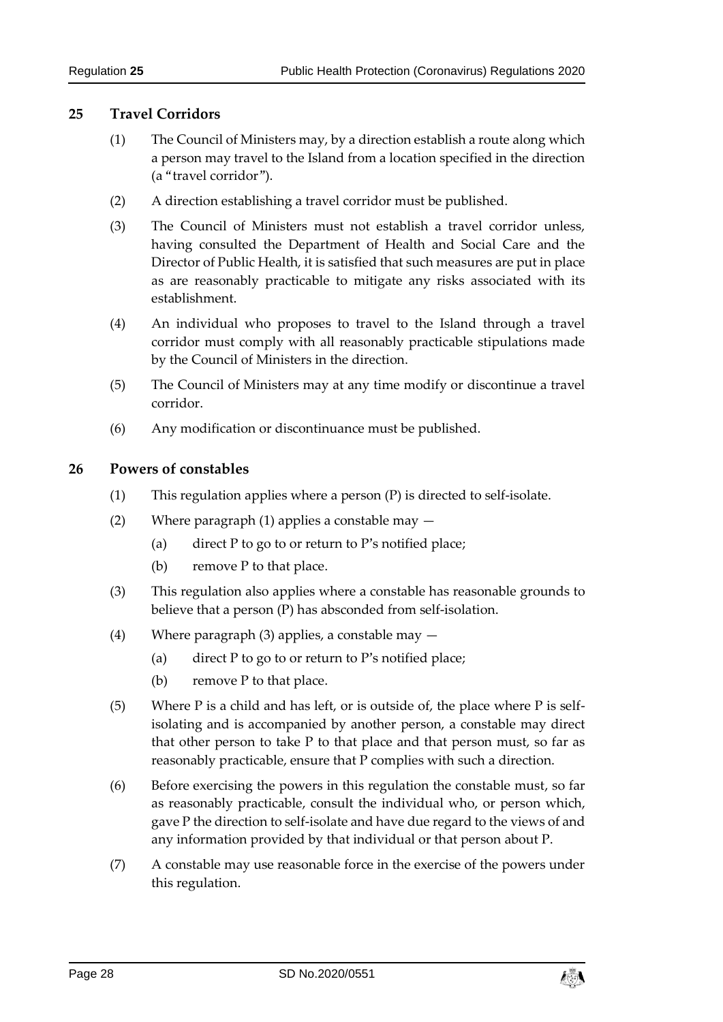#### <span id="page-27-0"></span>**25 Travel Corridors**

- (1) The Council of Ministers may, by a direction establish a route along which a person may travel to the Island from a location specified in the direction (a "travel corridor").
- (2) A direction establishing a travel corridor must be published.
- (3) The Council of Ministers must not establish a travel corridor unless, having consulted the Department of Health and Social Care and the Director of Public Health, it is satisfied that such measures are put in place as are reasonably practicable to mitigate any risks associated with its establishment.
- (4) An individual who proposes to travel to the Island through a travel corridor must comply with all reasonably practicable stipulations made by the Council of Ministers in the direction.
- (5) The Council of Ministers may at any time modify or discontinue a travel corridor.
- (6) Any modification or discontinuance must be published.

#### <span id="page-27-1"></span>**26 Powers of constables**

- (1) This regulation applies where a person (P) is directed to self-isolate.
- (2) Where paragraph (1) applies a constable may
	- (a) direct P to go to or return to P's notified place;
	- (b) remove P to that place.
- (3) This regulation also applies where a constable has reasonable grounds to believe that a person (P) has absconded from self-isolation.
- (4) Where paragraph (3) applies, a constable may
	- (a) direct P to go to or return to P's notified place;
	- (b) remove P to that place.
- (5) Where P is a child and has left, or is outside of, the place where P is selfisolating and is accompanied by another person, a constable may direct that other person to take P to that place and that person must, so far as reasonably practicable, ensure that P complies with such a direction.
- (6) Before exercising the powers in this regulation the constable must, so far as reasonably practicable, consult the individual who, or person which, gave P the direction to self-isolate and have due regard to the views of and any information provided by that individual or that person about P.
- (7) A constable may use reasonable force in the exercise of the powers under this regulation.

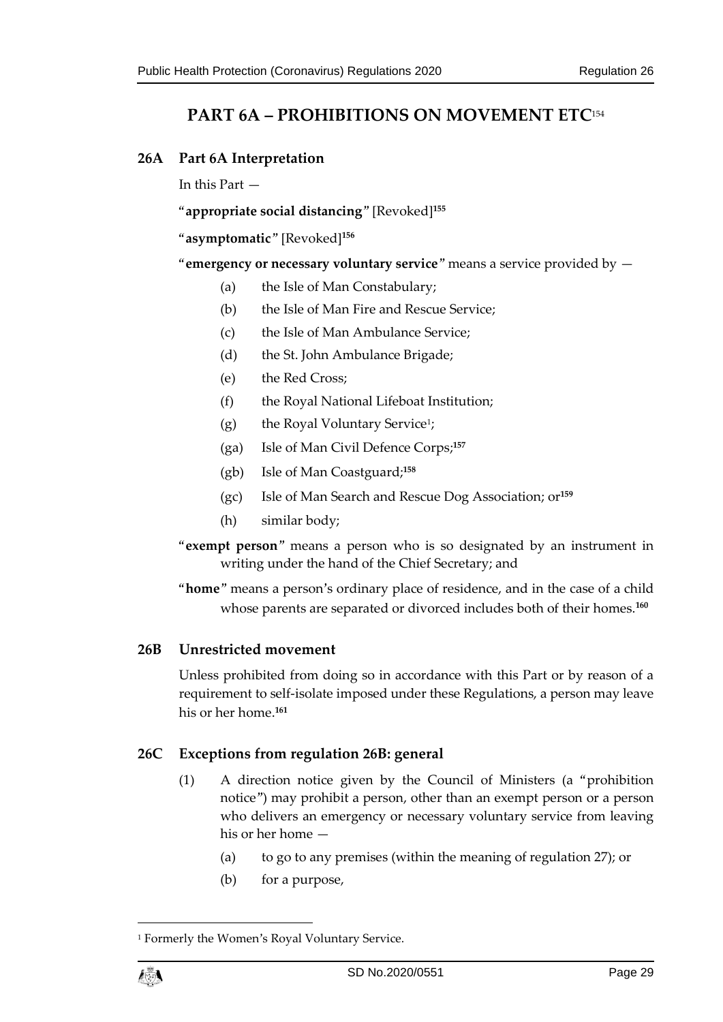# **PART 6A – PROHIBITIONS ON MOVEMENT ETC**<sup>154</sup>

#### <span id="page-28-1"></span><span id="page-28-0"></span>**26A Part 6A Interpretation**

In this Part —

"**appropriate social distancing**" [Revoked]**<sup>155</sup>**

"**asymptomatic**" [Revoked]**<sup>156</sup>**

"**emergency or necessary voluntary service**" means a service provided by —

- (a) the Isle of Man Constabulary;
- (b) the Isle of Man Fire and Rescue Service;
- (c) the Isle of Man Ambulance Service;
- (d) the St. John Ambulance Brigade;
- (e) the Red Cross;
- (f) the Royal National Lifeboat Institution;
- (g) the Royal Voluntary Service<sup>1</sup> ;
- (ga) Isle of Man Civil Defence Corps;**<sup>157</sup>**
- (gb) Isle of Man Coastguard;**<sup>158</sup>**
- (gc) Isle of Man Search and Rescue Dog Association; or**<sup>159</sup>**
- (h) similar body;
- "**exempt person**" means a person who is so designated by an instrument in writing under the hand of the Chief Secretary; and
- "**home**" means a person's ordinary place of residence, and in the case of a child whose parents are separated or divorced includes both of their homes.**<sup>160</sup>**

#### <span id="page-28-2"></span>**26B Unrestricted movement**

Unless prohibited from doing so in accordance with this Part or by reason of a requirement to self-isolate imposed under these Regulations, a person may leave his or her home. **161**

#### <span id="page-28-3"></span>**26C Exceptions from regulation 26B: general**

- (1) A direction notice given by the Council of Ministers (a "prohibition notice") may prohibit a person, other than an exempt person or a person who delivers an emergency or necessary voluntary service from leaving his or her home —
	- (a) to go to any premises (within the meaning of regulation 27); or
	- (b) for a purpose,

<sup>&</sup>lt;sup>1</sup> Formerly the Women's Royal Voluntary Service.



1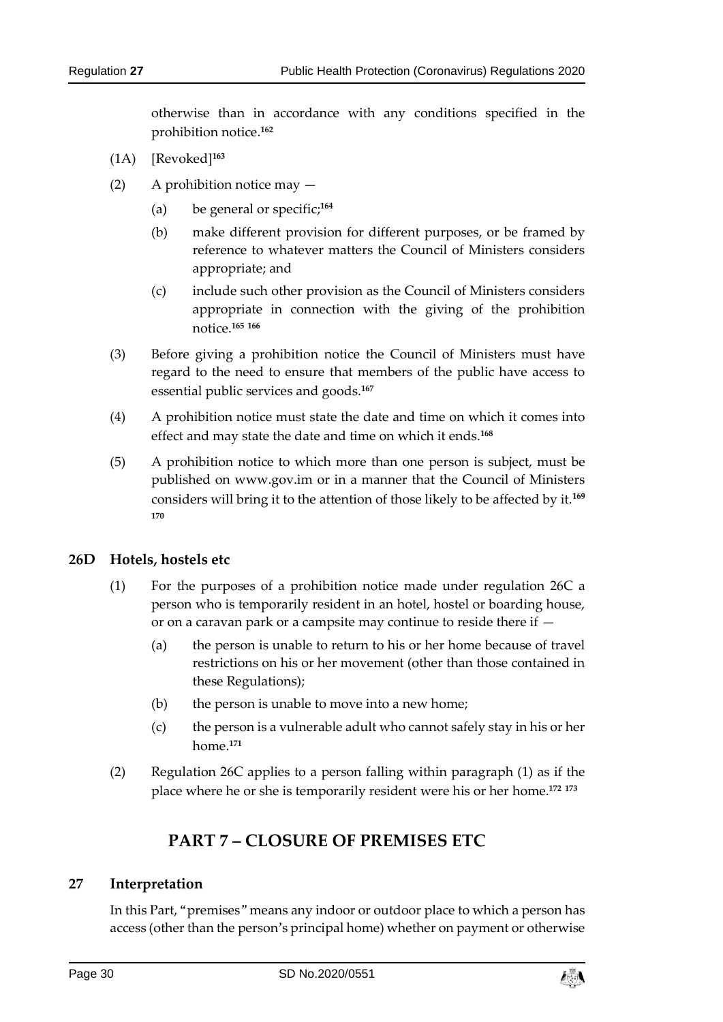otherwise than in accordance with any conditions specified in the prohibition notice. **162**

- (1A) [Revoked]**<sup>163</sup>**
- (2) A prohibition notice may
	- (a) be general or specific;**<sup>164</sup>**
	- (b) make different provision for different purposes, or be framed by reference to whatever matters the Council of Ministers considers appropriate; and
	- (c) include such other provision as the Council of Ministers considers appropriate in connection with the giving of the prohibition notice.**<sup>165</sup> <sup>166</sup>**
- (3) Before giving a prohibition notice the Council of Ministers must have regard to the need to ensure that members of the public have access to essential public services and goods.**<sup>167</sup>**
- (4) A prohibition notice must state the date and time on which it comes into effect and may state the date and time on which it ends.**<sup>168</sup>**
- (5) A prohibition notice to which more than one person is subject, must be published on www.gov.im or in a manner that the Council of Ministers considers will bring it to the attention of those likely to be affected by it.**<sup>169</sup> 170**

#### <span id="page-29-0"></span>**26D Hotels, hostels etc**

- (1) For the purposes of a prohibition notice made under regulation 26C a person who is temporarily resident in an hotel, hostel or boarding house, or on a caravan park or a campsite may continue to reside there if —
	- (a) the person is unable to return to his or her home because of travel restrictions on his or her movement (other than those contained in these Regulations);
	- (b) the person is unable to move into a new home;
	- (c) the person is a vulnerable adult who cannot safely stay in his or her home.**<sup>171</sup>**
- <span id="page-29-1"></span>(2) Regulation 26C applies to a person falling within paragraph (1) as if the place where he or she is temporarily resident were his or her home. **172 173**

# **PART 7 – CLOSURE OF PREMISES ETC**

#### <span id="page-29-2"></span>**27 Interpretation**

In this Part, "premises" means any indoor or outdoor place to which a person has access (other than the person's principal home) whether on payment or otherwise

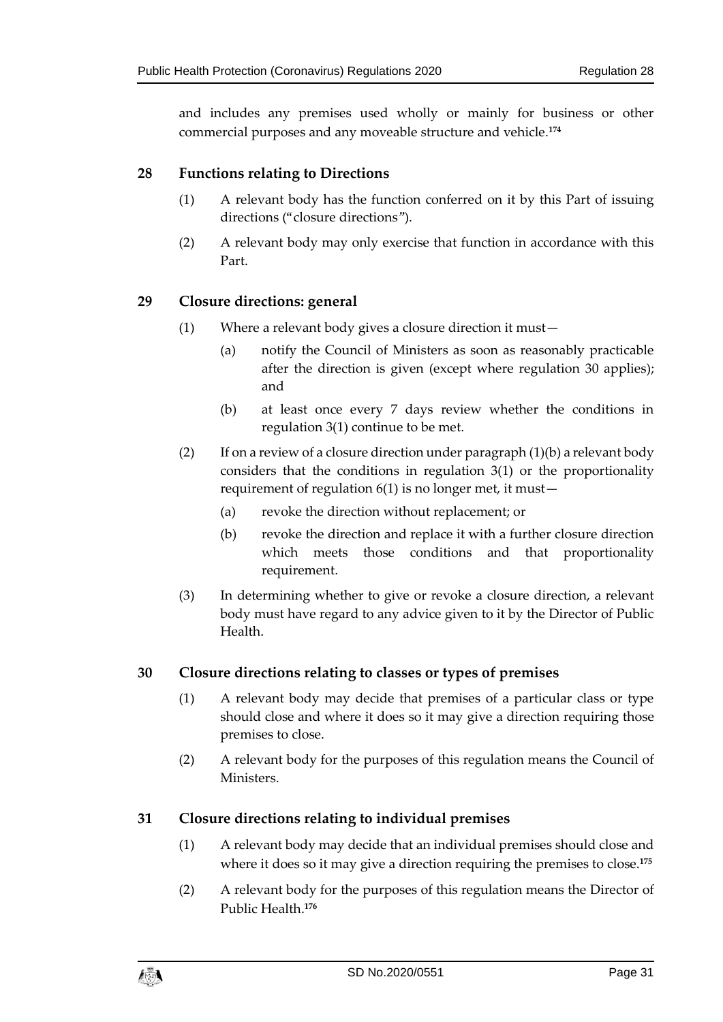and includes any premises used wholly or mainly for business or other commercial purposes and any moveable structure and vehicle.**<sup>174</sup>**

#### <span id="page-30-0"></span>**28 Functions relating to Directions**

- (1) A relevant body has the function conferred on it by this Part of issuing directions ("closure directions").
- (2) A relevant body may only exercise that function in accordance with this Part.

#### <span id="page-30-1"></span>**29 Closure directions: general**

- (1) Where a relevant body gives a closure direction it must—
	- (a) notify the Council of Ministers as soon as reasonably practicable after the direction is given (except where regulation 30 applies); and
	- (b) at least once every 7 days review whether the conditions in regulation 3(1) continue to be met.
- (2) If on a review of a closure direction under paragraph  $(1)(b)$  a relevant body considers that the conditions in regulation 3(1) or the proportionality requirement of regulation 6(1) is no longer met, it must—
	- (a) revoke the direction without replacement; or
	- (b) revoke the direction and replace it with a further closure direction which meets those conditions and that proportionality requirement.
- (3) In determining whether to give or revoke a closure direction, a relevant body must have regard to any advice given to it by the Director of Public Health.

#### <span id="page-30-2"></span>**30 Closure directions relating to classes or types of premises**

- (1) A relevant body may decide that premises of a particular class or type should close and where it does so it may give a direction requiring those premises to close.
- (2) A relevant body for the purposes of this regulation means the Council of Ministers.

#### <span id="page-30-3"></span>**31 Closure directions relating to individual premises**

- (1) A relevant body may decide that an individual premises should close and where it does so it may give a direction requiring the premises to close.**<sup>175</sup>**
- (2) A relevant body for the purposes of this regulation means the Director of Public Health. **176**

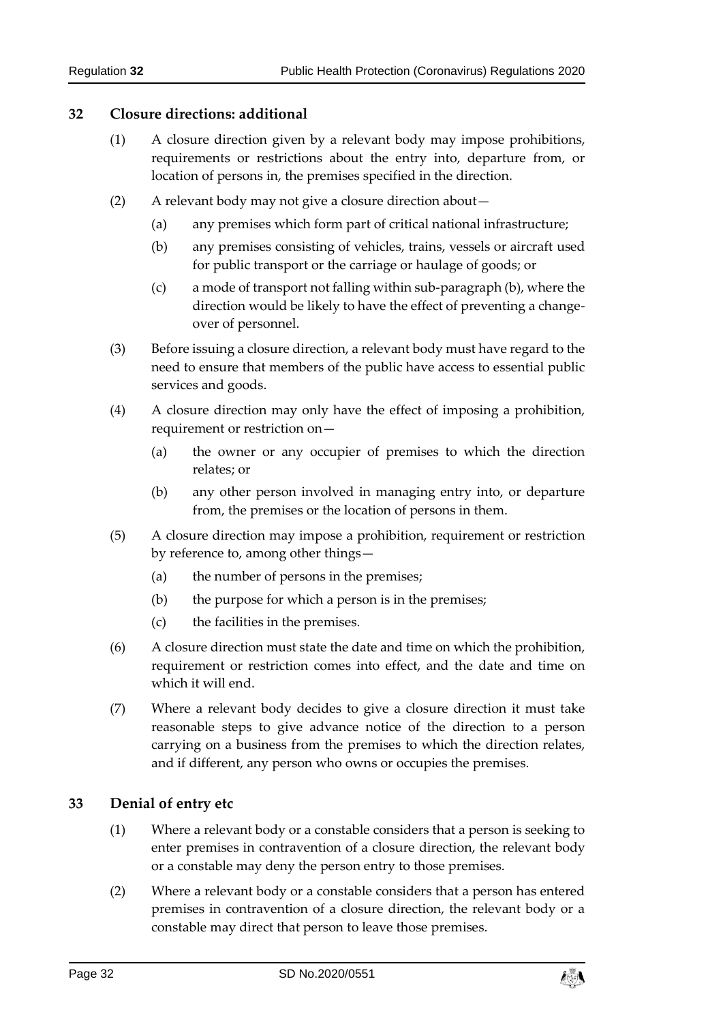#### <span id="page-31-0"></span>**32 Closure directions: additional**

- (1) A closure direction given by a relevant body may impose prohibitions, requirements or restrictions about the entry into, departure from, or location of persons in, the premises specified in the direction.
- (2) A relevant body may not give a closure direction about—
	- (a) any premises which form part of critical national infrastructure;
	- (b) any premises consisting of vehicles, trains, vessels or aircraft used for public transport or the carriage or haulage of goods; or
	- (c) a mode of transport not falling within sub-paragraph (b), where the direction would be likely to have the effect of preventing a changeover of personnel.
- (3) Before issuing a closure direction, a relevant body must have regard to the need to ensure that members of the public have access to essential public services and goods.
- (4) A closure direction may only have the effect of imposing a prohibition, requirement or restriction on—
	- (a) the owner or any occupier of premises to which the direction relates; or
	- (b) any other person involved in managing entry into, or departure from, the premises or the location of persons in them.
- (5) A closure direction may impose a prohibition, requirement or restriction by reference to, among other things—
	- (a) the number of persons in the premises;
	- (b) the purpose for which a person is in the premises;
	- (c) the facilities in the premises.
- (6) A closure direction must state the date and time on which the prohibition, requirement or restriction comes into effect, and the date and time on which it will end.
- (7) Where a relevant body decides to give a closure direction it must take reasonable steps to give advance notice of the direction to a person carrying on a business from the premises to which the direction relates, and if different, any person who owns or occupies the premises.

#### <span id="page-31-1"></span>**33 Denial of entry etc**

- (1) Where a relevant body or a constable considers that a person is seeking to enter premises in contravention of a closure direction, the relevant body or a constable may deny the person entry to those premises.
- (2) Where a relevant body or a constable considers that a person has entered premises in contravention of a closure direction, the relevant body or a constable may direct that person to leave those premises.

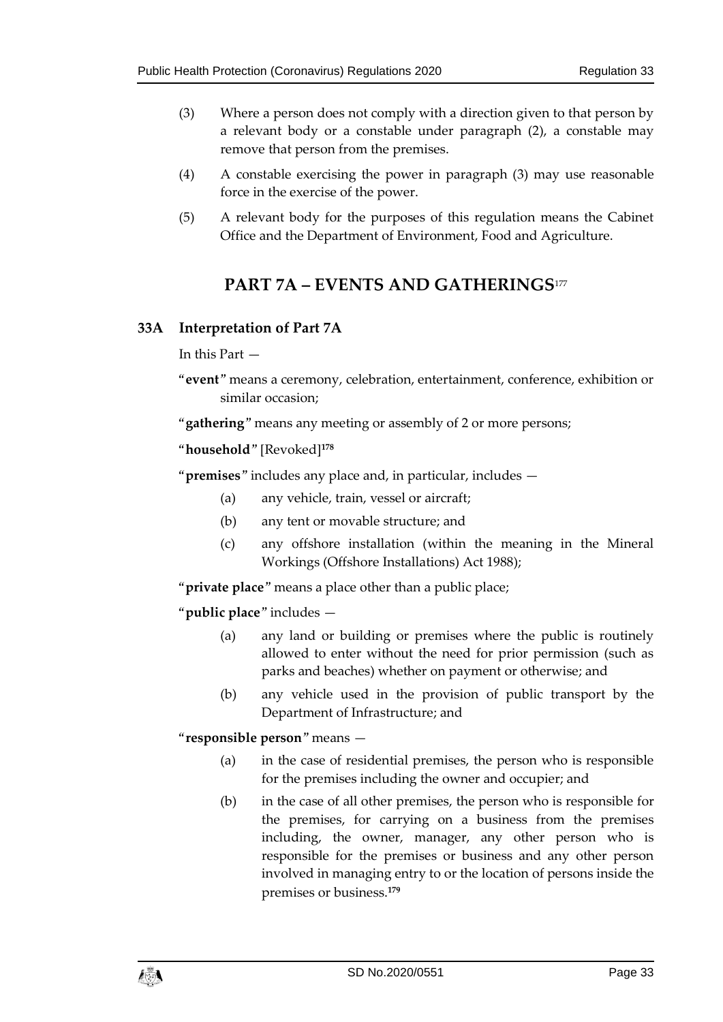- (3) Where a person does not comply with a direction given to that person by a relevant body or a constable under paragraph (2), a constable may remove that person from the premises.
- (4) A constable exercising the power in paragraph (3) may use reasonable force in the exercise of the power.
- <span id="page-32-0"></span>(5) A relevant body for the purposes of this regulation means the Cabinet Office and the Department of Environment, Food and Agriculture.

# **PART 7A – EVENTS AND GATHERINGS**<sup>177</sup>

#### <span id="page-32-1"></span>**33A Interpretation of Part 7A**

In this Part —

"**event**" means a ceremony, celebration, entertainment, conference, exhibition or similar occasion;

"**gathering**" means any meeting or assembly of 2 or more persons;

```
"household" [Revoked]178
```
"**premises**" includes any place and, in particular, includes —

- (a) any vehicle, train, vessel or aircraft;
- (b) any tent or movable structure; and
- (c) any offshore installation (within the meaning in the Mineral Workings (Offshore Installations) Act 1988);

"**private place**" means a place other than a public place;

"**public place**" includes —

- (a) any land or building or premises where the public is routinely allowed to enter without the need for prior permission (such as parks and beaches) whether on payment or otherwise; and
- (b) any vehicle used in the provision of public transport by the Department of Infrastructure; and

"**responsible person**" means —

- (a) in the case of residential premises, the person who is responsible for the premises including the owner and occupier; and
- (b) in the case of all other premises, the person who is responsible for the premises, for carrying on a business from the premises including, the owner, manager, any other person who is responsible for the premises or business and any other person involved in managing entry to or the location of persons inside the premises or business.**179**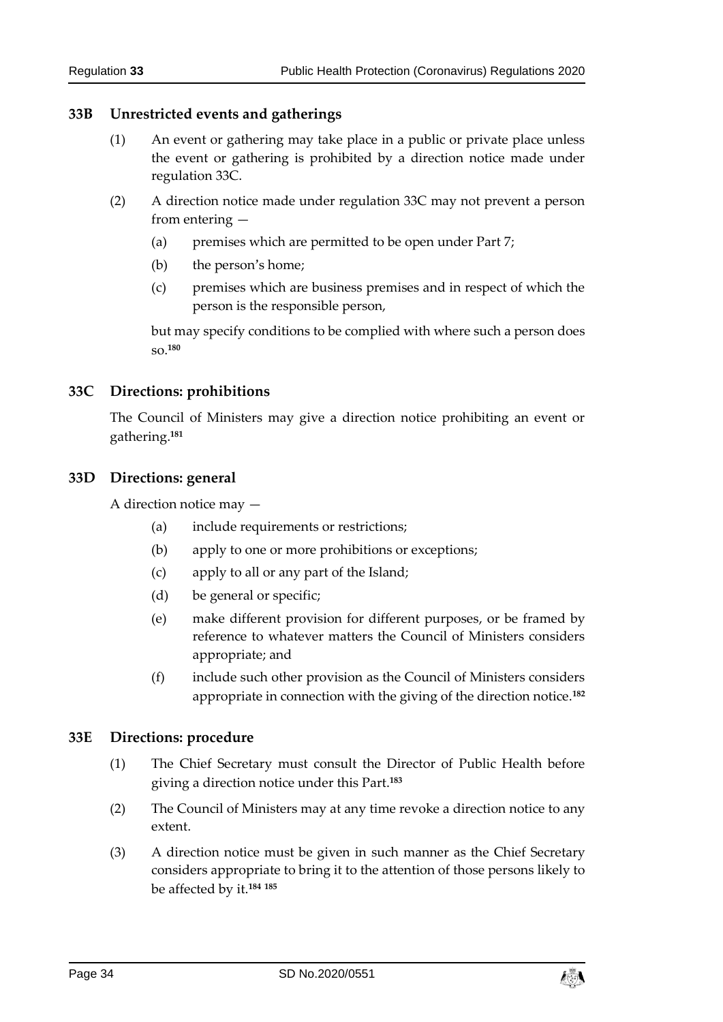#### <span id="page-33-0"></span>**33B Unrestricted events and gatherings**

- (1) An event or gathering may take place in a public or private place unless the event or gathering is prohibited by a direction notice made under regulation 33C.
- (2) A direction notice made under regulation 33C may not prevent a person from entering —
	- (a) premises which are permitted to be open under Part 7;
	- (b) the person's home;
	- (c) premises which are business premises and in respect of which the person is the responsible person,

but may specify conditions to be complied with where such a person does so.**<sup>180</sup>**

#### <span id="page-33-1"></span>**33C Directions: prohibitions**

The Council of Ministers may give a direction notice prohibiting an event or gathering. **181**

#### <span id="page-33-2"></span>**33D Directions: general**

A direction notice may —

- (a) include requirements or restrictions;
- (b) apply to one or more prohibitions or exceptions;
- (c) apply to all or any part of the Island;
- (d) be general or specific;
- (e) make different provision for different purposes, or be framed by reference to whatever matters the Council of Ministers considers appropriate; and
- (f) include such other provision as the Council of Ministers considers appropriate in connection with the giving of the direction notice.**<sup>182</sup>**

#### <span id="page-33-3"></span>**33E Directions: procedure**

- (1) The Chief Secretary must consult the Director of Public Health before giving a direction notice under this Part.**<sup>183</sup>**
- (2) The Council of Ministers may at any time revoke a direction notice to any extent.
- (3) A direction notice must be given in such manner as the Chief Secretary considers appropriate to bring it to the attention of those persons likely to be affected by it.**<sup>184</sup> <sup>185</sup>**

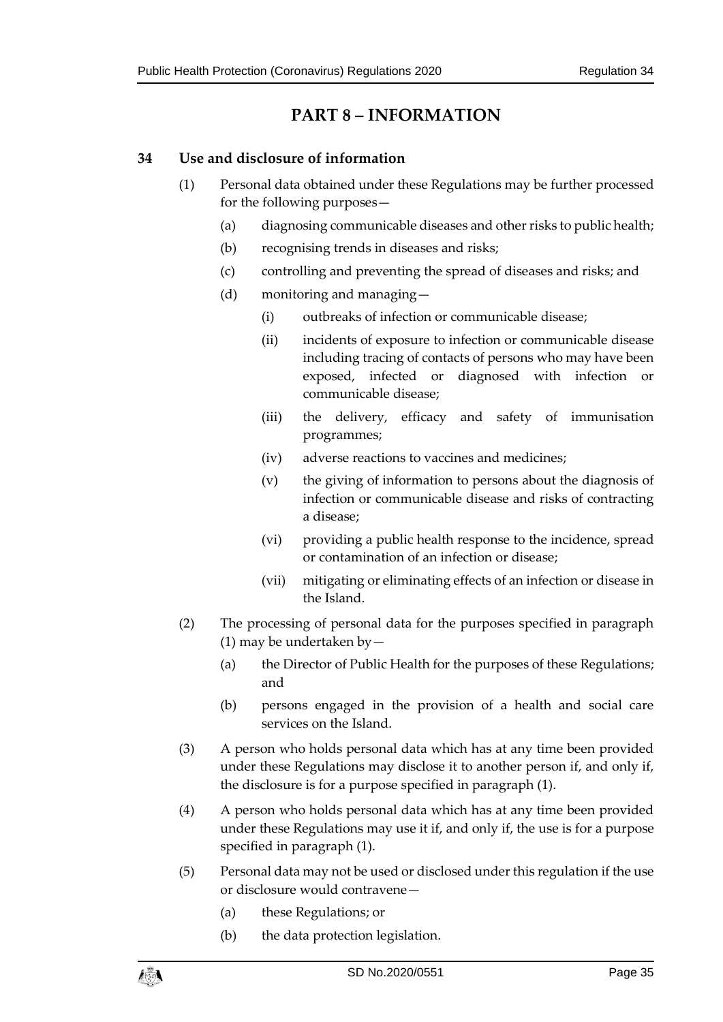# **PART 8 – INFORMATION**

#### <span id="page-34-1"></span><span id="page-34-0"></span>**34 Use and disclosure of information**

- (1) Personal data obtained under these Regulations may be further processed for the following purposes—
	- (a) diagnosing communicable diseases and other risks to public health;
	- (b) recognising trends in diseases and risks;
	- (c) controlling and preventing the spread of diseases and risks; and
	- (d) monitoring and managing—
		- (i) outbreaks of infection or communicable disease;
		- (ii) incidents of exposure to infection or communicable disease including tracing of contacts of persons who may have been exposed, infected or diagnosed with infection or communicable disease;
		- (iii) the delivery, efficacy and safety of immunisation programmes;
		- (iv) adverse reactions to vaccines and medicines;
		- (v) the giving of information to persons about the diagnosis of infection or communicable disease and risks of contracting a disease;
		- (vi) providing a public health response to the incidence, spread or contamination of an infection or disease;
		- (vii) mitigating or eliminating effects of an infection or disease in the Island.
- (2) The processing of personal data for the purposes specified in paragraph (1) may be undertaken by—
	- (a) the Director of Public Health for the purposes of these Regulations; and
	- (b) persons engaged in the provision of a health and social care services on the Island.
- (3) A person who holds personal data which has at any time been provided under these Regulations may disclose it to another person if, and only if, the disclosure is for a purpose specified in paragraph (1).
- (4) A person who holds personal data which has at any time been provided under these Regulations may use it if, and only if, the use is for a purpose specified in paragraph (1).
- (5) Personal data may not be used or disclosed under this regulation if the use or disclosure would contravene—
	- (a) these Regulations; or
	- (b) the data protection legislation.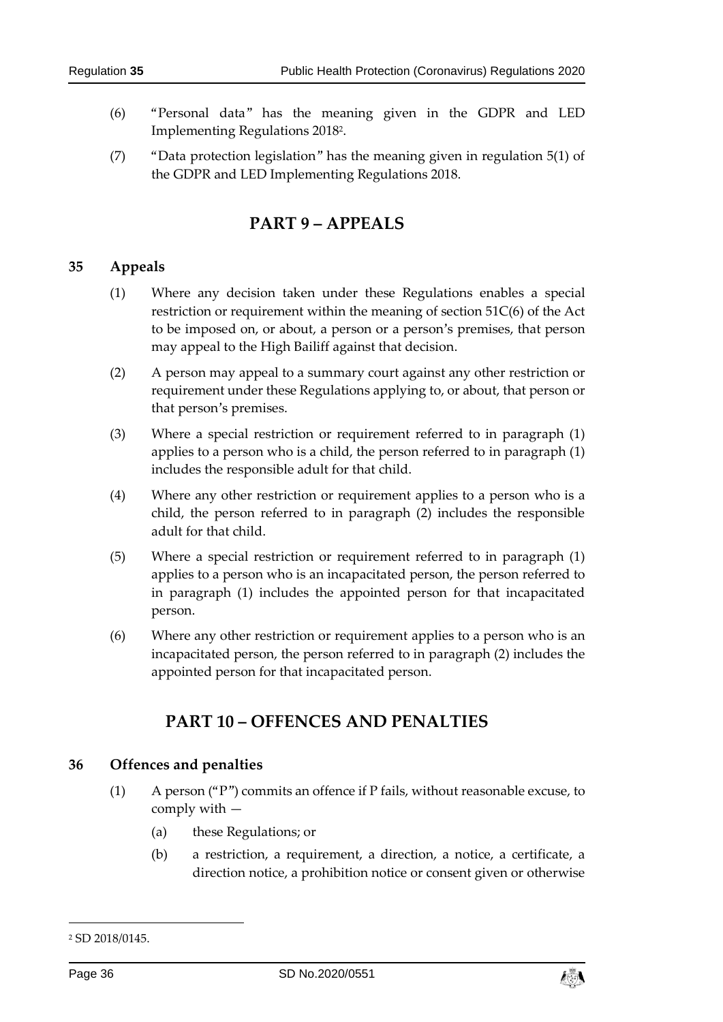- (6) "Personal data" has the meaning given in the GDPR and LED Implementing Regulations 2018<sup>2</sup> .
- <span id="page-35-0"></span>(7) "Data protection legislation" has the meaning given in regulation 5(1) of the GDPR and LED Implementing Regulations 2018.

# **PART 9 – APPEALS**

#### <span id="page-35-1"></span>**35 Appeals**

- (1) Where any decision taken under these Regulations enables a special restriction or requirement within the meaning of section 51C(6) of the Act to be imposed on, or about, a person or a person's premises, that person may appeal to the High Bailiff against that decision.
- (2) A person may appeal to a summary court against any other restriction or requirement under these Regulations applying to, or about, that person or that person's premises.
- (3) Where a special restriction or requirement referred to in paragraph (1) applies to a person who is a child, the person referred to in paragraph (1) includes the responsible adult for that child.
- (4) Where any other restriction or requirement applies to a person who is a child, the person referred to in paragraph (2) includes the responsible adult for that child.
- (5) Where a special restriction or requirement referred to in paragraph (1) applies to a person who is an incapacitated person, the person referred to in paragraph (1) includes the appointed person for that incapacitated person.
- <span id="page-35-2"></span>(6) Where any other restriction or requirement applies to a person who is an incapacitated person, the person referred to in paragraph (2) includes the appointed person for that incapacitated person.

# **PART 10 – OFFENCES AND PENALTIES**

#### <span id="page-35-3"></span>**36 Offences and penalties**

- (1) A person ("P") commits an offence if P fails, without reasonable excuse, to comply with —
	- (a) these Regulations; or
	- (b) a restriction, a requirement, a direction, a notice, a certificate, a direction notice, a prohibition notice or consent given or otherwise

-



<sup>2</sup> SD 2018/0145.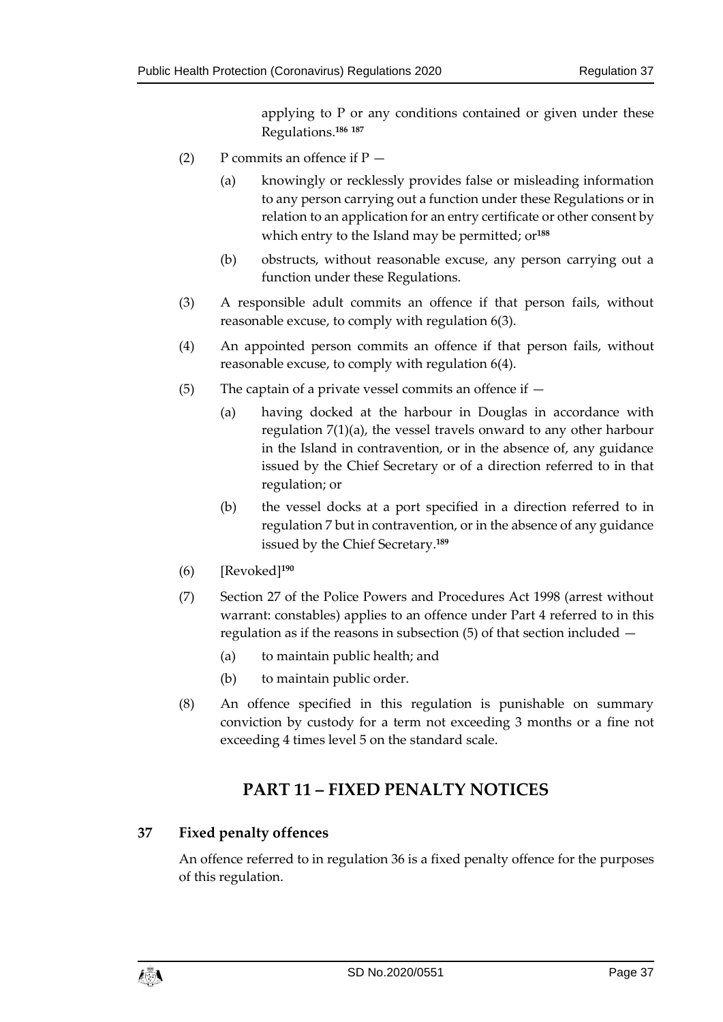applying to P or any conditions contained or given under these Regulations.**<sup>186</sup> <sup>187</sup>**

- (2) P commits an offence if  $P -$ 
	- (a) knowingly or recklessly provides false or misleading information to any person carrying out a function under these Regulations or in relation to an application for an entry certificate or other consent by which entry to the Island may be permitted; or**<sup>188</sup>**
	- (b) obstructs, without reasonable excuse, any person carrying out a function under these Regulations.
- (3) A responsible adult commits an offence if that person fails, without reasonable excuse, to comply with regulation 6(3).
- (4) An appointed person commits an offence if that person fails, without reasonable excuse, to comply with regulation 6(4).
- (5) The captain of a private vessel commits an offence if
	- (a) having docked at the harbour in Douglas in accordance with regulation 7(1)(a), the vessel travels onward to any other harbour in the Island in contravention, or in the absence of, any guidance issued by the Chief Secretary or of a direction referred to in that regulation; or
	- (b) the vessel docks at a port specified in a direction referred to in regulation 7 but in contravention, or in the absence of any guidance issued by the Chief Secretary. **189**
- (6) [Revoked]**<sup>190</sup>**
- (7) Section 27 of the Police Powers and Procedures Act 1998 (arrest without warrant: constables) applies to an offence under Part 4 referred to in this regulation as if the reasons in subsection (5) of that section included —
	- (a) to maintain public health; and
	- (b) to maintain public order.
- <span id="page-36-0"></span>(8) An offence specified in this regulation is punishable on summary conviction by custody for a term not exceeding 3 months or a fine not exceeding 4 times level 5 on the standard scale.

# **PART 11 – FIXED PENALTY NOTICES**

#### <span id="page-36-1"></span>**37 Fixed penalty offences**

An offence referred to in regulation 36 is a fixed penalty offence for the purposes of this regulation.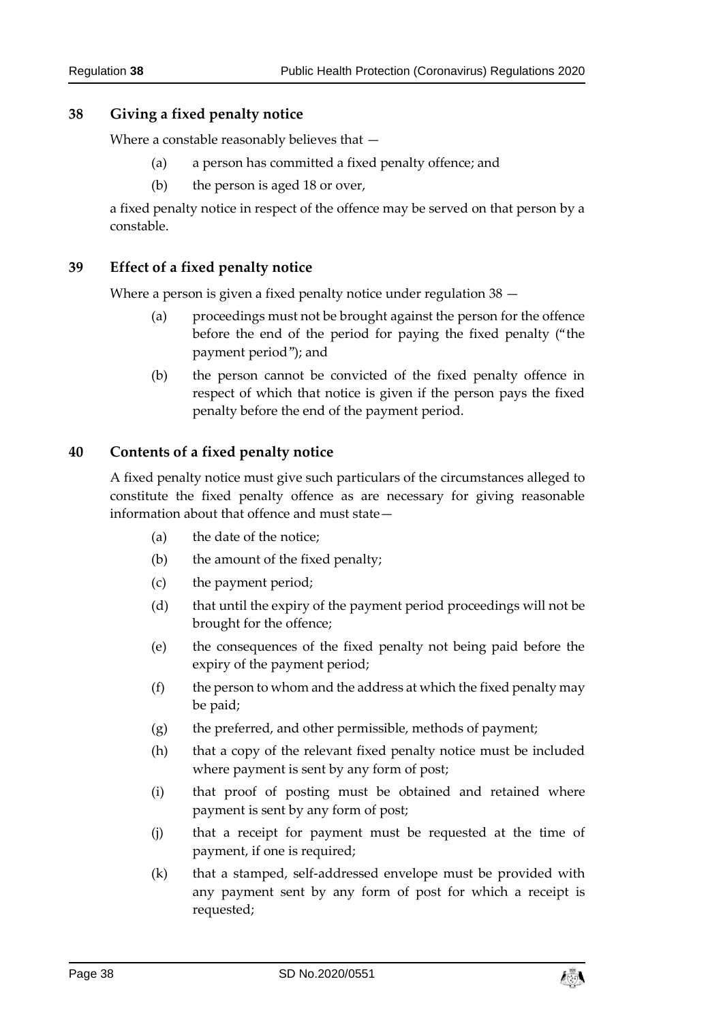#### <span id="page-37-0"></span>**38 Giving a fixed penalty notice**

Where a constable reasonably believes that —

- (a) a person has committed a fixed penalty offence; and
- (b) the person is aged 18 or over,

a fixed penalty notice in respect of the offence may be served on that person by a constable.

#### <span id="page-37-1"></span>**39 Effect of a fixed penalty notice**

Where a person is given a fixed penalty notice under regulation 38 —

- (a) proceedings must not be brought against the person for the offence before the end of the period for paying the fixed penalty ("the payment period"); and
- (b) the person cannot be convicted of the fixed penalty offence in respect of which that notice is given if the person pays the fixed penalty before the end of the payment period.

#### <span id="page-37-2"></span>**40 Contents of a fixed penalty notice**

A fixed penalty notice must give such particulars of the circumstances alleged to constitute the fixed penalty offence as are necessary for giving reasonable information about that offence and must state—

- (a) the date of the notice;
- (b) the amount of the fixed penalty;
- (c) the payment period;
- (d) that until the expiry of the payment period proceedings will not be brought for the offence;
- (e) the consequences of the fixed penalty not being paid before the expiry of the payment period;
- $(f)$  the person to whom and the address at which the fixed penalty may be paid;
- (g) the preferred, and other permissible, methods of payment;
- (h) that a copy of the relevant fixed penalty notice must be included where payment is sent by any form of post;
- (i) that proof of posting must be obtained and retained where payment is sent by any form of post;
- (j) that a receipt for payment must be requested at the time of payment, if one is required;
- (k) that a stamped, self-addressed envelope must be provided with any payment sent by any form of post for which a receipt is requested;

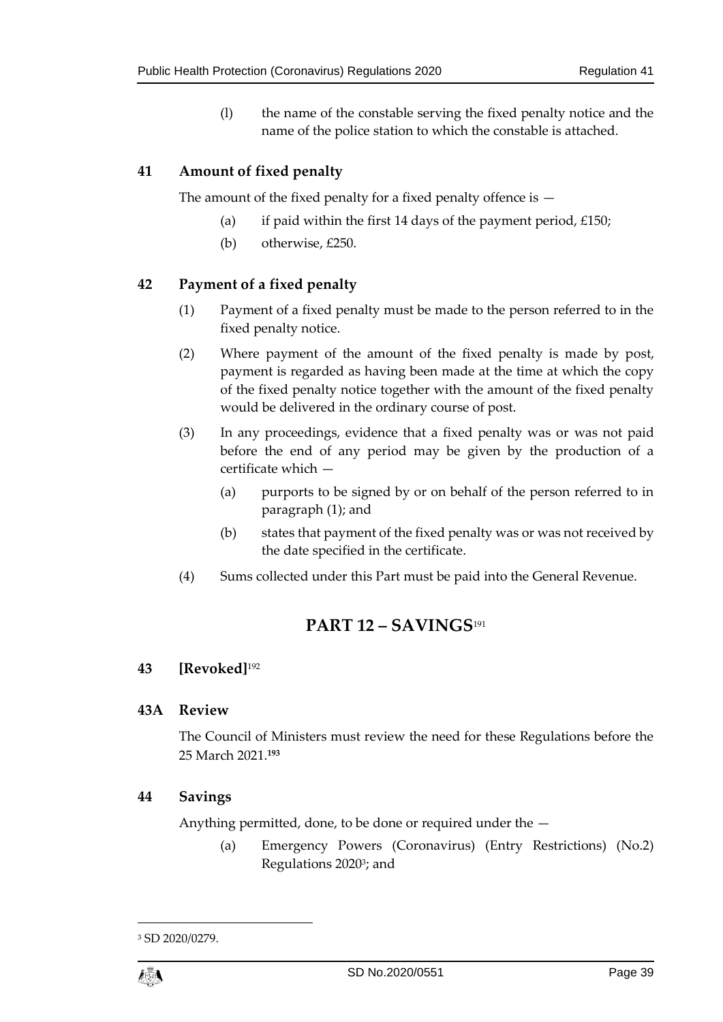(l) the name of the constable serving the fixed penalty notice and the name of the police station to which the constable is attached.

#### <span id="page-38-0"></span>**41 Amount of fixed penalty**

The amount of the fixed penalty for a fixed penalty offence is  $-$ 

- (a) if paid within the first 14 days of the payment period,  $£150;$
- (b) otherwise, £250.

#### <span id="page-38-1"></span>**42 Payment of a fixed penalty**

- (1) Payment of a fixed penalty must be made to the person referred to in the fixed penalty notice.
- (2) Where payment of the amount of the fixed penalty is made by post, payment is regarded as having been made at the time at which the copy of the fixed penalty notice together with the amount of the fixed penalty would be delivered in the ordinary course of post.
- (3) In any proceedings, evidence that a fixed penalty was or was not paid before the end of any period may be given by the production of a certificate which —
	- (a) purports to be signed by or on behalf of the person referred to in paragraph (1); and
	- (b) states that payment of the fixed penalty was or was not received by the date specified in the certificate.
- <span id="page-38-2"></span>(4) Sums collected under this Part must be paid into the General Revenue.

# **PART 12 – SAVINGS**<sup>191</sup>

#### <span id="page-38-3"></span>**43 [Revoked]**<sup>192</sup>

#### <span id="page-38-4"></span>**43A Review**

The Council of Ministers must review the need for these Regulations before the 25 March 2021.**<sup>193</sup>**

#### <span id="page-38-5"></span>**44 Savings**

Anything permitted, done, to be done or required under the —

(a) Emergency Powers (Coronavirus) (Entry Restrictions) (No.2) Regulations 2020<sup>3</sup>; and

1

<sup>3</sup> SD 2020/0279.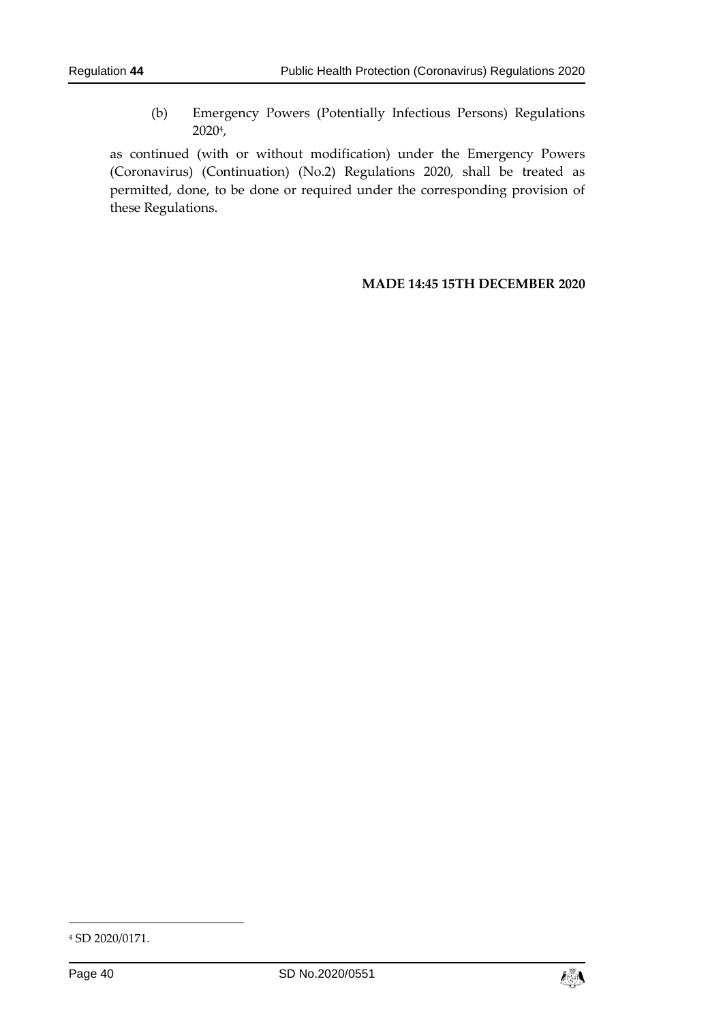(b) Emergency Powers (Potentially Infectious Persons) Regulations 2020<sup>4</sup> ,

as continued (with or without modification) under the Emergency Powers (Coronavirus) (Continuation) (No.2) Regulations 2020, shall be treated as permitted, done, to be done or required under the corresponding provision of these Regulations.

#### **MADE 14:45 15TH DECEMBER 2020**

-



<sup>4</sup> SD 2020/0171.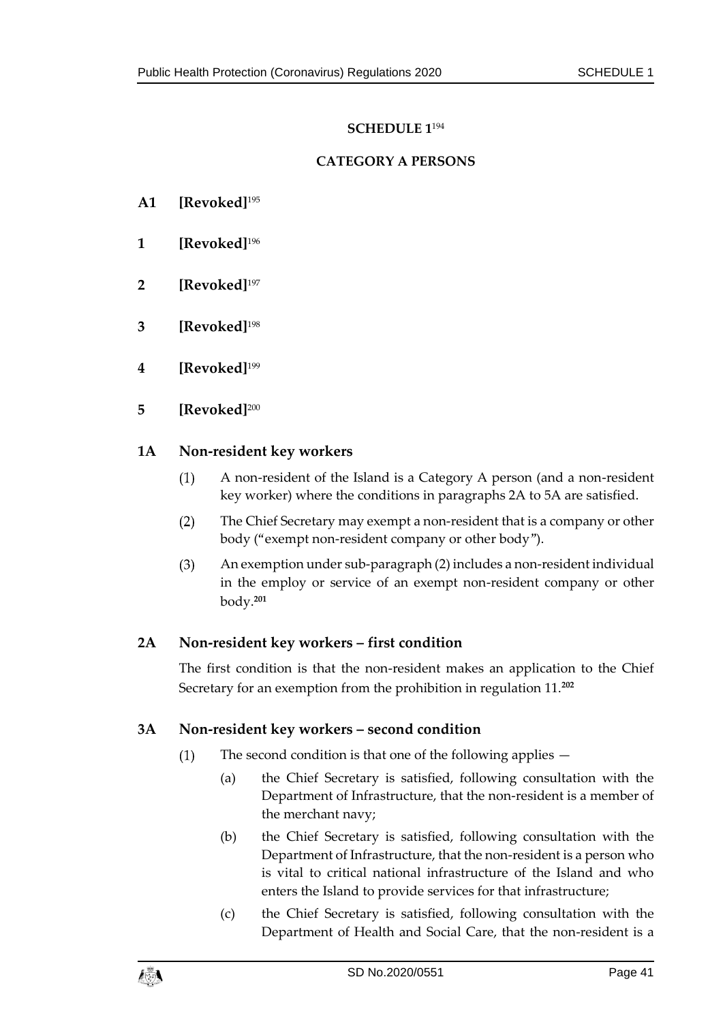## **SCHEDULE 1** 194

#### **CATEGORY A PERSONS**

- <span id="page-40-1"></span><span id="page-40-0"></span>**A1 [Revoked]**<sup>195</sup>
- **1 [Revoked]**<sup>196</sup>
- **2 [Revoked]**<sup>197</sup>
- **3 [Revoked]**<sup>198</sup>
- **4 [Revoked]**<sup>199</sup>
- **5 [Revoked]**<sup>200</sup>

#### **1A Non-resident key workers**

- $(1)$ A non-resident of the Island is a Category A person (and a non-resident key worker) where the conditions in paragraphs 2A to 5A are satisfied.
- $(2)$ The Chief Secretary may exempt a non-resident that is a company or other body ("exempt non-resident company or other body").
- $(3)$ An exemption under sub-paragraph (2) includes a non-resident individual in the employ or service of an exempt non-resident company or other body.**<sup>201</sup>**

#### **2A Non-resident key workers – first condition**

The first condition is that the non-resident makes an application to the Chief Secretary for an exemption from the prohibition in regulation 11.**<sup>202</sup>**

#### **3A Non-resident key workers – second condition**

- $(1)$ The second condition is that one of the following applies —
	- (a) the Chief Secretary is satisfied, following consultation with the Department of Infrastructure, that the non-resident is a member of the merchant navy;
	- (b) the Chief Secretary is satisfied, following consultation with the Department of Infrastructure, that the non-resident is a person who is vital to critical national infrastructure of the Island and who enters the Island to provide services for that infrastructure;
	- (c) the Chief Secretary is satisfied, following consultation with the Department of Health and Social Care, that the non-resident is a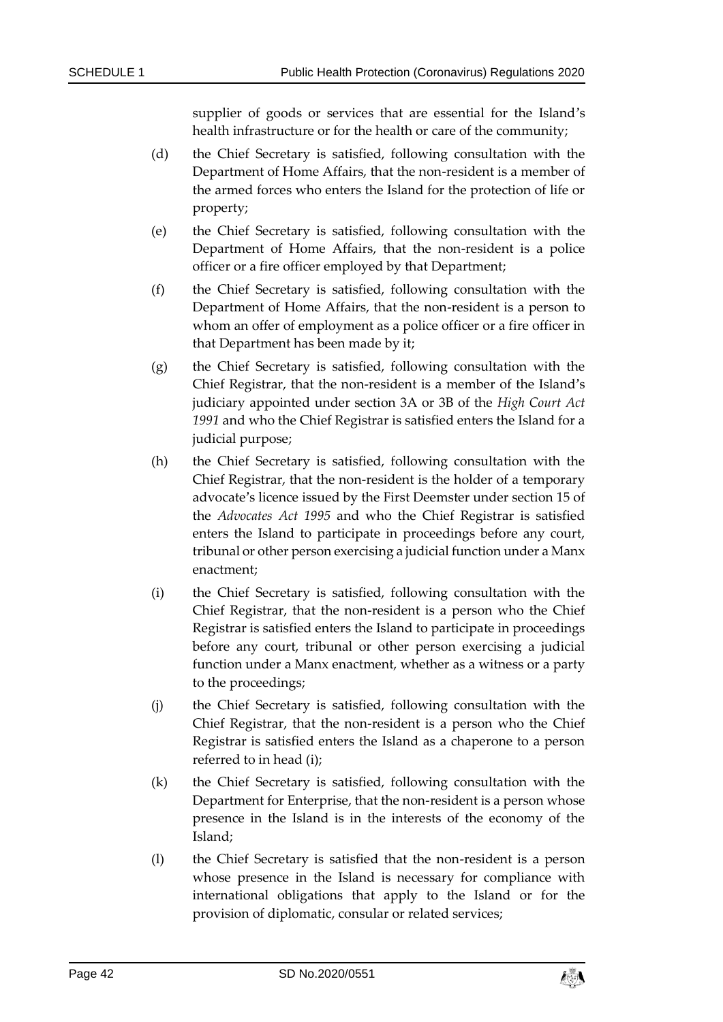supplier of goods or services that are essential for the Island's health infrastructure or for the health or care of the community;

- (d) the Chief Secretary is satisfied, following consultation with the Department of Home Affairs, that the non-resident is a member of the armed forces who enters the Island for the protection of life or property;
- (e) the Chief Secretary is satisfied, following consultation with the Department of Home Affairs, that the non-resident is a police officer or a fire officer employed by that Department;
- (f) the Chief Secretary is satisfied, following consultation with the Department of Home Affairs, that the non-resident is a person to whom an offer of employment as a police officer or a fire officer in that Department has been made by it;
- (g) the Chief Secretary is satisfied, following consultation with the Chief Registrar, that the non-resident is a member of the Island's judiciary appointed under section 3A or 3B of the *High Court Act 1991* and who the Chief Registrar is satisfied enters the Island for a judicial purpose;
- (h) the Chief Secretary is satisfied, following consultation with the Chief Registrar, that the non-resident is the holder of a temporary advocate's licence issued by the First Deemster under section 15 of the *Advocates Act 1995* and who the Chief Registrar is satisfied enters the Island to participate in proceedings before any court, tribunal or other person exercising a judicial function under a Manx enactment;
- (i) the Chief Secretary is satisfied, following consultation with the Chief Registrar, that the non-resident is a person who the Chief Registrar is satisfied enters the Island to participate in proceedings before any court, tribunal or other person exercising a judicial function under a Manx enactment, whether as a witness or a party to the proceedings;
- (j) the Chief Secretary is satisfied, following consultation with the Chief Registrar, that the non-resident is a person who the Chief Registrar is satisfied enters the Island as a chaperone to a person referred to in head (i);
- (k) the Chief Secretary is satisfied, following consultation with the Department for Enterprise, that the non-resident is a person whose presence in the Island is in the interests of the economy of the Island;
- (l) the Chief Secretary is satisfied that the non-resident is a person whose presence in the Island is necessary for compliance with international obligations that apply to the Island or for the provision of diplomatic, consular or related services;

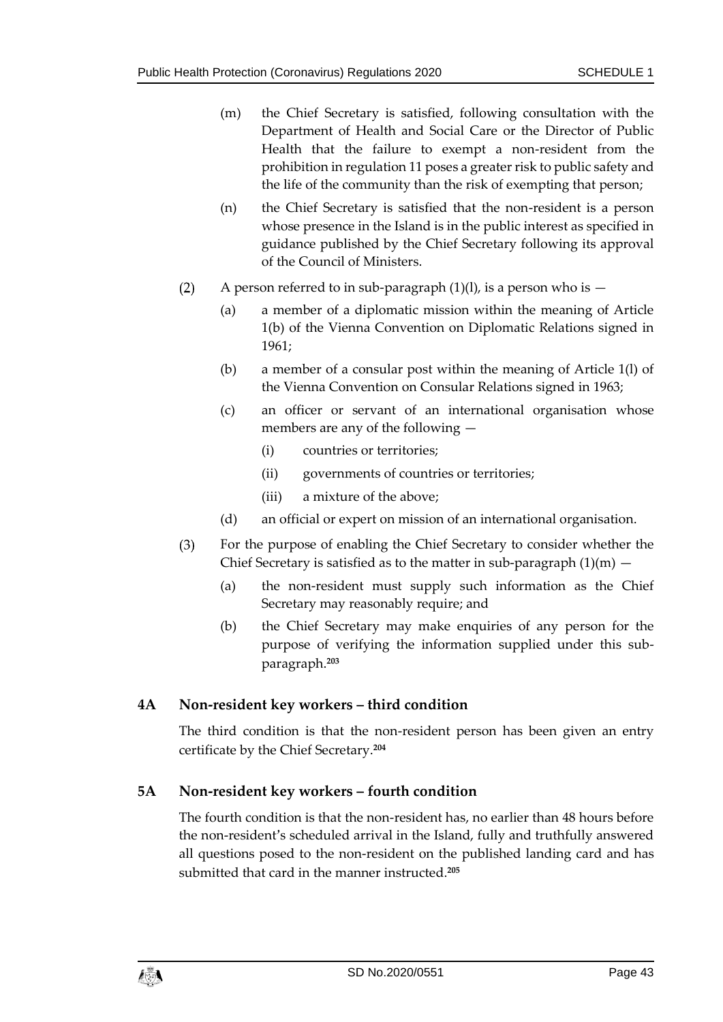- (m) the Chief Secretary is satisfied, following consultation with the Department of Health and Social Care or the Director of Public Health that the failure to exempt a non-resident from the prohibition in regulation 11 poses a greater risk to public safety and the life of the community than the risk of exempting that person;
- (n) the Chief Secretary is satisfied that the non-resident is a person whose presence in the Island is in the public interest as specified in guidance published by the Chief Secretary following its approval of the Council of Ministers.
- A person referred to in sub-paragraph  $(1)(l)$ , is a person who is  $(2)$ 
	- (a) a member of a diplomatic mission within the meaning of Article 1(b) of the Vienna Convention on Diplomatic Relations signed in 1961;
	- (b) a member of a consular post within the meaning of Article 1(l) of the Vienna Convention on Consular Relations signed in 1963;
	- (c) an officer or servant of an international organisation whose members are any of the following —
		- (i) countries or territories;
		- (ii) governments of countries or territories;
		- (iii) a mixture of the above;
	- (d) an official or expert on mission of an international organisation.
- For the purpose of enabling the Chief Secretary to consider whether the  $(3)$ Chief Secretary is satisfied as to the matter in sub-paragraph  $(1)(m)$  -
	- (a) the non-resident must supply such information as the Chief Secretary may reasonably require; and
	- (b) the Chief Secretary may make enquiries of any person for the purpose of verifying the information supplied under this subparagraph.**<sup>203</sup>**

#### **4A Non-resident key workers – third condition**

The third condition is that the non-resident person has been given an entry certificate by the Chief Secretary.**<sup>204</sup>**

#### **5A Non-resident key workers – fourth condition**

The fourth condition is that the non-resident has, no earlier than 48 hours before the non-resident's scheduled arrival in the Island, fully and truthfully answered all questions posed to the non-resident on the published landing card and has submitted that card in the manner instructed.**205**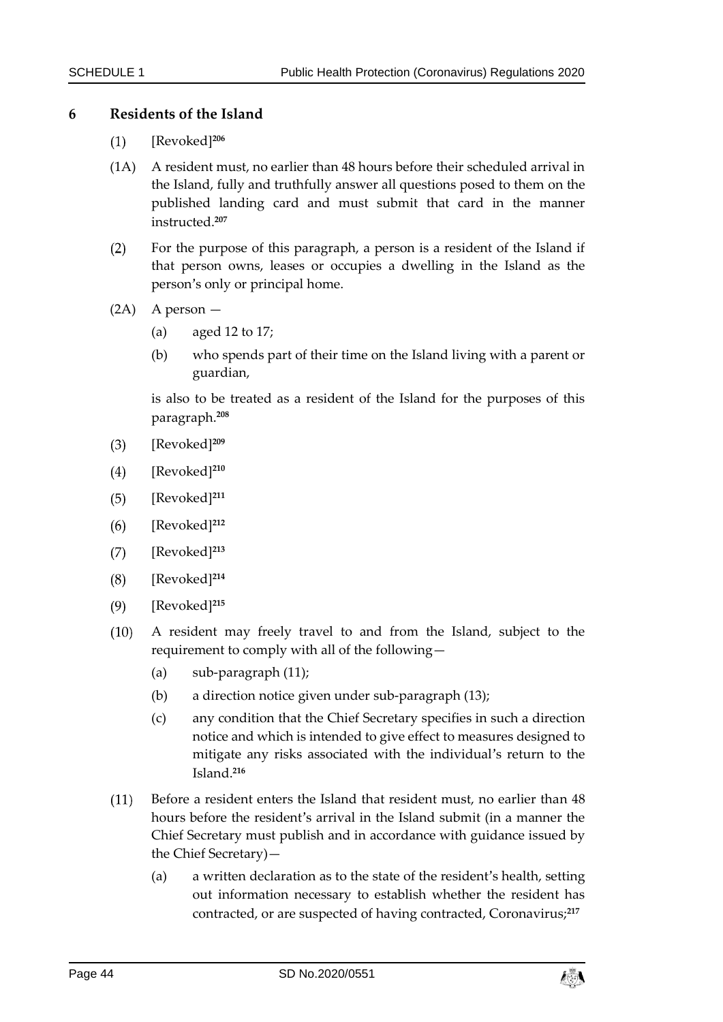#### **6 Residents of the Island**

- [Revoked]**<sup>206</sup>**  $(1)$
- (1A) A resident must, no earlier than 48 hours before their scheduled arrival in the Island, fully and truthfully answer all questions posed to them on the published landing card and must submit that card in the manner instructed.**<sup>207</sup>**
- $(2)$ For the purpose of this paragraph, a person is a resident of the Island if that person owns, leases or occupies a dwelling in the Island as the person's only or principal home.
- (2A) A person
	- (a) aged 12 to 17;
	- (b) who spends part of their time on the Island living with a parent or guardian,

is also to be treated as a resident of the Island for the purposes of this paragraph.**<sup>208</sup>**

- $(3)$ [Revoked]**<sup>209</sup>**
- [Revoked]**<sup>210</sup>**  $(4)$
- [Revoked]**<sup>211</sup>**  $(5)$
- $(6)$ [Revoked]**<sup>212</sup>**
- $(7)$ [Revoked]**<sup>213</sup>**
- $(8)$ [Revoked]**<sup>214</sup>**
- $(9)$ [Revoked]**<sup>215</sup>**
- $(10)$ A resident may freely travel to and from the Island, subject to the requirement to comply with all of the following—
	- (a) sub-paragraph (11);
	- (b) a direction notice given under sub-paragraph (13);
	- (c) any condition that the Chief Secretary specifies in such a direction notice and which is intended to give effect to measures designed to mitigate any risks associated with the individual's return to the Island.**<sup>216</sup>**
- Before a resident enters the Island that resident must, no earlier than 48  $(11)$ hours before the resident's arrival in the Island submit (in a manner the Chief Secretary must publish and in accordance with guidance issued by the Chief Secretary)—
	- (a) a written declaration as to the state of the resident's health, setting out information necessary to establish whether the resident has contracted, or are suspected of having contracted, Coronavirus;**217**

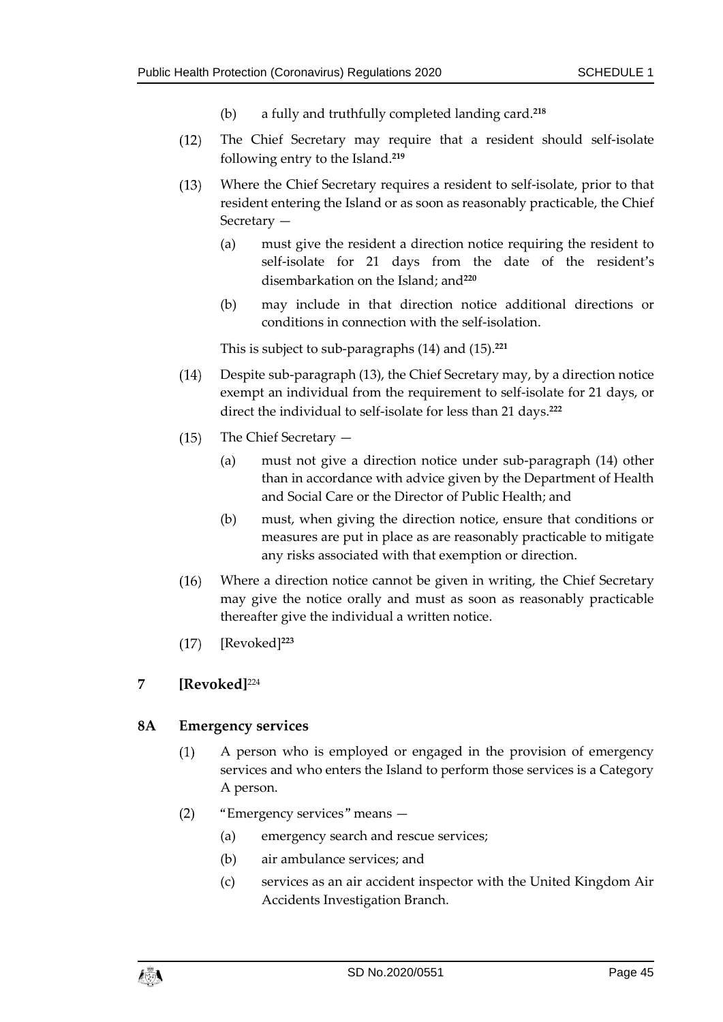- (b) a fully and truthfully completed landing card.**<sup>218</sup>**
- $(12)$ The Chief Secretary may require that a resident should self-isolate following entry to the Island.**<sup>219</sup>**
- $(13)$ Where the Chief Secretary requires a resident to self-isolate, prior to that resident entering the Island or as soon as reasonably practicable, the Chief Secretary —
	- (a) must give the resident a direction notice requiring the resident to self-isolate for 21 days from the date of the resident's disembarkation on the Island; and**<sup>220</sup>**
	- (b) may include in that direction notice additional directions or conditions in connection with the self-isolation.

This is subject to sub-paragraphs (14) and (15).**<sup>221</sup>**

- Despite sub-paragraph (13), the Chief Secretary may, by a direction notice  $(14)$ exempt an individual from the requirement to self-isolate for 21 days, or direct the individual to self-isolate for less than 21 days.**<sup>222</sup>**
- $(15)$ The Chief Secretary —
	- (a) must not give a direction notice under sub-paragraph (14) other than in accordance with advice given by the Department of Health and Social Care or the Director of Public Health; and
	- (b) must, when giving the direction notice, ensure that conditions or measures are put in place as are reasonably practicable to mitigate any risks associated with that exemption or direction.
- $(16)$ Where a direction notice cannot be given in writing, the Chief Secretary may give the notice orally and must as soon as reasonably practicable thereafter give the individual a written notice.
- $(17)$ [Revoked]**<sup>223</sup>**

#### **7 [Revoked]**<sup>224</sup>

#### **8A Emergency services**

- A person who is employed or engaged in the provision of emergency  $(1)$ services and who enters the Island to perform those services is a Category A person.
- "Emergency services" means  $(2)$ 
	- (a) emergency search and rescue services;
	- (b) air ambulance services; and
	- (c) services as an air accident inspector with the United Kingdom Air Accidents Investigation Branch.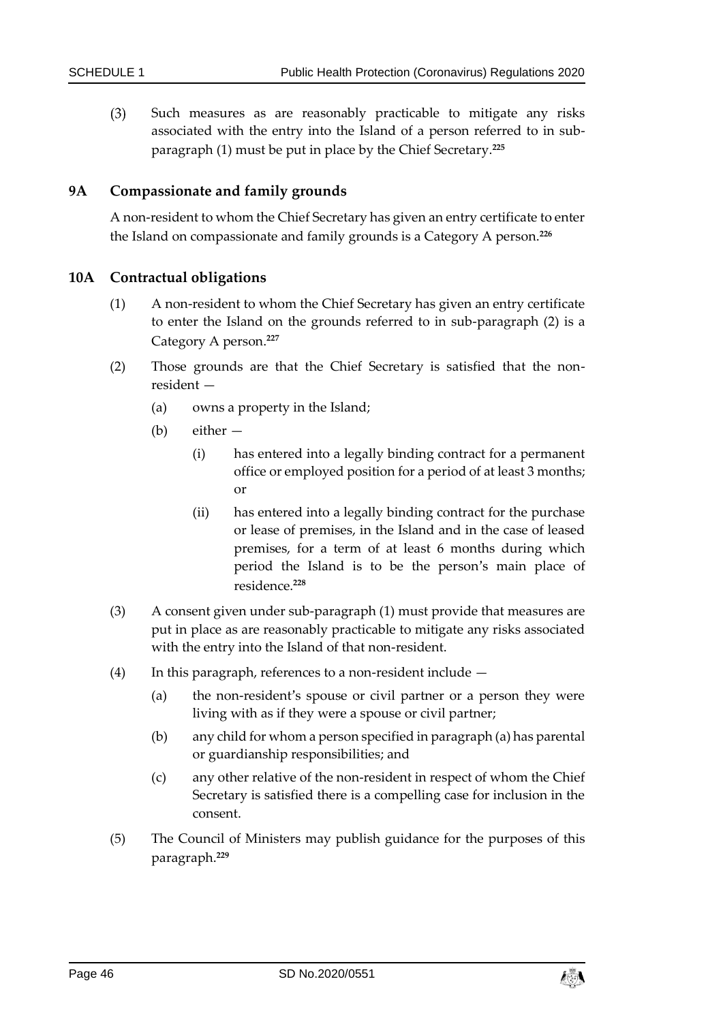$(3)$ Such measures as are reasonably practicable to mitigate any risks associated with the entry into the Island of a person referred to in subparagraph (1) must be put in place by the Chief Secretary.**<sup>225</sup>**

#### **9A Compassionate and family grounds**

A non-resident to whom the Chief Secretary has given an entry certificate to enter the Island on compassionate and family grounds is a Category A person.**<sup>226</sup>**

#### **10A Contractual obligations**

- (1) A non-resident to whom the Chief Secretary has given an entry certificate to enter the Island on the grounds referred to in sub-paragraph (2) is a Category A person. **227**
- (2) Those grounds are that the Chief Secretary is satisfied that the nonresident —
	- (a) owns a property in the Island;
	- (b) either
		- (i) has entered into a legally binding contract for a permanent office or employed position for a period of at least 3 months; or
		- (ii) has entered into a legally binding contract for the purchase or lease of premises, in the Island and in the case of leased premises, for a term of at least 6 months during which period the Island is to be the person's main place of residence.**<sup>228</sup>**
- (3) A consent given under sub-paragraph (1) must provide that measures are put in place as are reasonably practicable to mitigate any risks associated with the entry into the Island of that non-resident.
- (4) In this paragraph, references to a non-resident include  $-$ 
	- (a) the non-resident's spouse or civil partner or a person they were living with as if they were a spouse or civil partner;
	- (b) any child for whom a person specified in paragraph (a) has parental or guardianship responsibilities; and
	- (c) any other relative of the non-resident in respect of whom the Chief Secretary is satisfied there is a compelling case for inclusion in the consent.
- (5) The Council of Ministers may publish guidance for the purposes of this paragraph.**229**

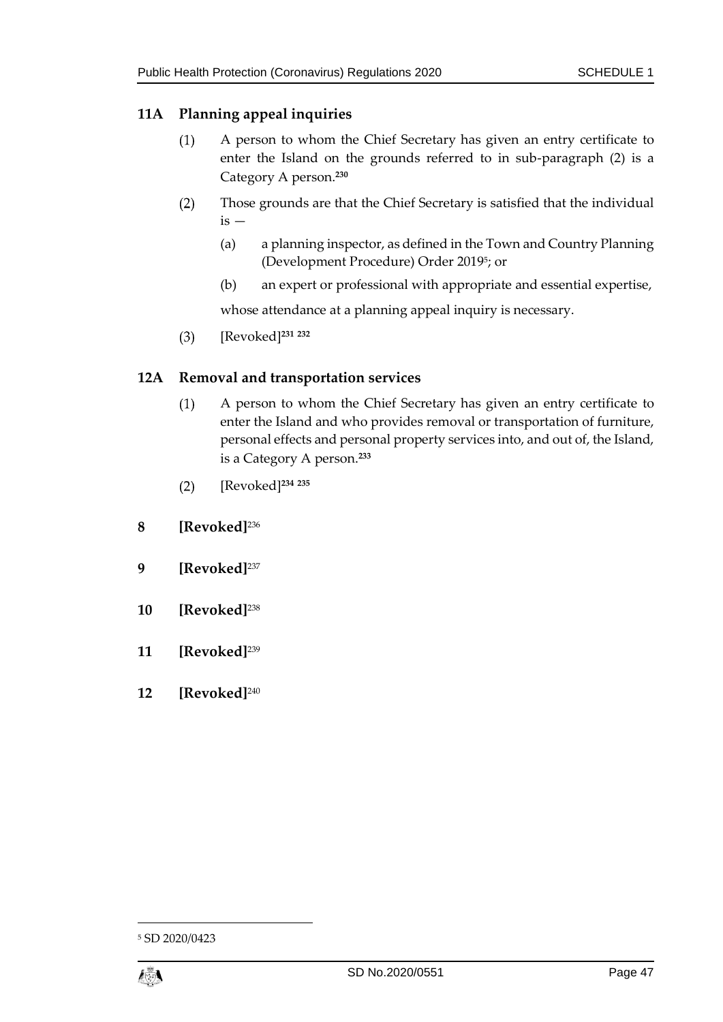#### **11A Planning appeal inquiries**

- A person to whom the Chief Secretary has given an entry certificate to  $(1)$ enter the Island on the grounds referred to in sub-paragraph (2) is a Category A person.**<sup>230</sup>**
- $(2)$ Those grounds are that the Chief Secretary is satisfied that the individual  $is -$ 
	- (a) a planning inspector, as defined in the Town and Country Planning (Development Procedure) Order 2019<sup>5</sup> ; or
	- (b) an expert or professional with appropriate and essential expertise,

whose attendance at a planning appeal inquiry is necessary.

[Revoked]**<sup>231</sup> <sup>232</sup>**  $(3)$ 

#### **12A Removal and transportation services**

- $(1)$ A person to whom the Chief Secretary has given an entry certificate to enter the Island and who provides removal or transportation of furniture, personal effects and personal property services into, and out of, the Island, is a Category A person.**<sup>233</sup>**
- [Revoked]**<sup>234</sup> <sup>235</sup>**  $(2)$
- **8 [Revoked]**<sup>236</sup>
- **9 [Revoked]**<sup>237</sup>
- **10 [Revoked]**<sup>238</sup>
- **11 [Revoked]**<sup>239</sup>
- **12 [Revoked]**<sup>240</sup>

<sup>5</sup> SD 2020/0423



1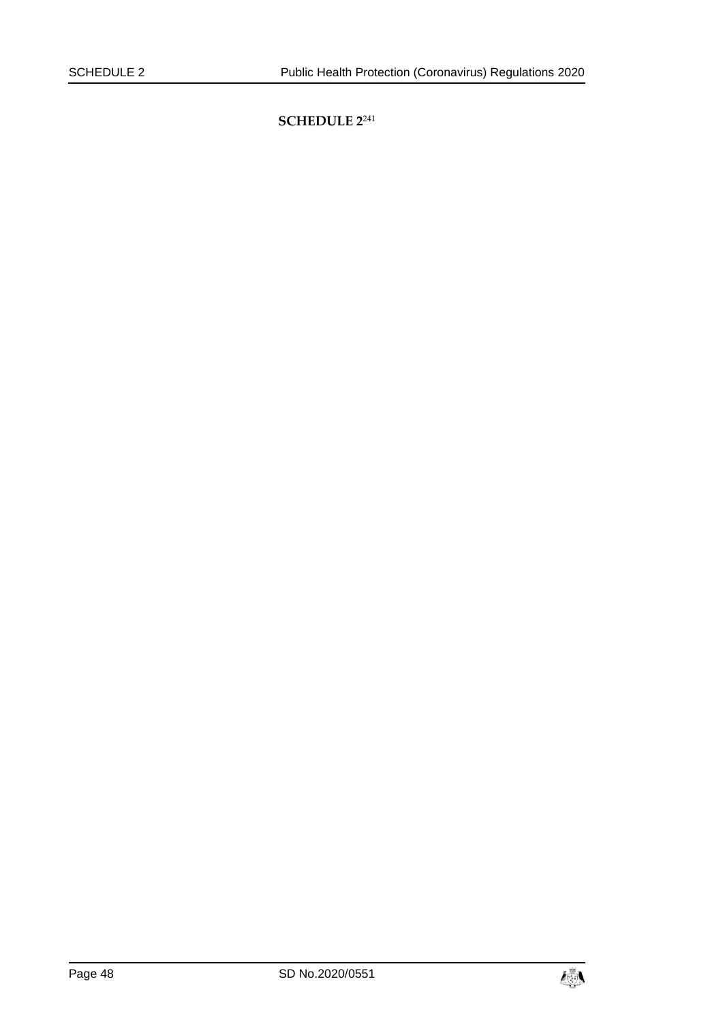<span id="page-47-0"></span>**SCHEDULE 2**241

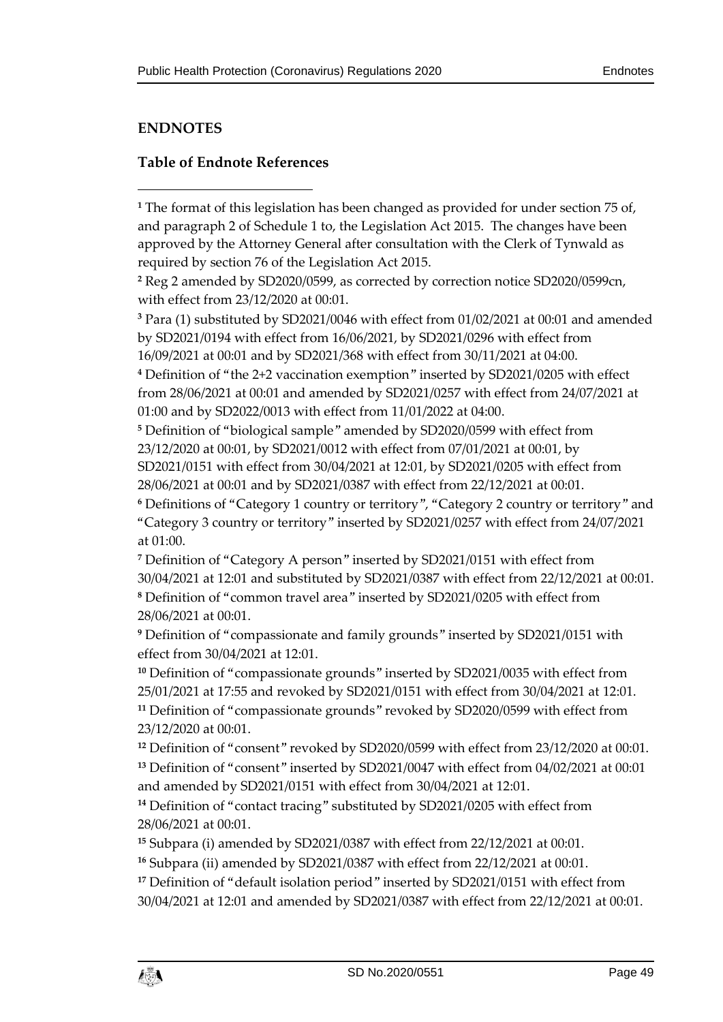## <span id="page-48-0"></span>**ENDNOTES**

1

#### <span id="page-48-1"></span>**Table of Endnote References**

**<sup>1</sup>** The format of this legislation has been changed as provided for under section 75 of, and paragraph 2 of Schedule 1 to, the Legislation Act 2015. The changes have been approved by the Attorney General after consultation with the Clerk of Tynwald as required by section 76 of the Legislation Act 2015.

**<sup>2</sup>** Reg 2 amended by SD2020/0599, as corrected by correction notice SD2020/0599cn, with effect from 23/12/2020 at 00:01.

**<sup>3</sup>** Para (1) substituted by SD2021/0046 with effect from 01/02/2021 at 00:01 and amended by SD2021/0194 with effect from 16/06/2021, by SD2021/0296 with effect from 16/09/2021 at 00:01 and by SD2021/368 with effect from 30/11/2021 at 04:00.

**<sup>4</sup>** Definition of "the 2+2 vaccination exemption" inserted by SD2021/0205 with effect from 28/06/2021 at 00:01 and amended by SD2021/0257 with effect from 24/07/2021 at 01:00 and by SD2022/0013 with effect from 11/01/2022 at 04:00.

**<sup>5</sup>** Definition of "biological sample" amended by SD2020/0599 with effect from 23/12/2020 at 00:01, by SD2021/0012 with effect from 07/01/2021 at 00:01, by SD2021/0151 with effect from 30/04/2021 at 12:01, by SD2021/0205 with effect from 28/06/2021 at 00:01 and by SD2021/0387 with effect from 22/12/2021 at 00:01.

**<sup>6</sup>** Definitions of "Category 1 country or territory", "Category 2 country or territory" and "Category 3 country or territory" inserted by SD2021/0257 with effect from 24/07/2021 at 01:00.

**<sup>7</sup>** Definition of "Category A person" inserted by SD2021/0151 with effect from 30/04/2021 at 12:01 and substituted by SD2021/0387 with effect from 22/12/2021 at 00:01. **<sup>8</sup>** Definition of "common travel area" inserted by SD2021/0205 with effect from 28/06/2021 at 00:01.

**<sup>9</sup>** Definition of "compassionate and family grounds" inserted by SD2021/0151 with effect from 30/04/2021 at 12:01.

**<sup>10</sup>** Definition of "compassionate grounds" inserted by SD2021/0035 with effect from 25/01/2021 at 17:55 and revoked by SD2021/0151 with effect from 30/04/2021 at 12:01. **<sup>11</sup>** Definition of "compassionate grounds" revoked by SD2020/0599 with effect from 23/12/2020 at 00:01.

**<sup>12</sup>** Definition of "consent" revoked by SD2020/0599 with effect from 23/12/2020 at 00:01. **<sup>13</sup>** Definition of "consent" inserted by SD2021/0047 with effect from 04/02/2021 at 00:01 and amended by SD2021/0151 with effect from 30/04/2021 at 12:01.

**<sup>14</sup>** Definition of "contact tracing" substituted by SD2021/0205 with effect from 28/06/2021 at 00:01.

**<sup>15</sup>** Subpara (i) amended by SD2021/0387 with effect from 22/12/2021 at 00:01.

**<sup>16</sup>** Subpara (ii) amended by SD2021/0387 with effect from 22/12/2021 at 00:01.

<sup>17</sup> Definition of "default isolation period" inserted by SD2021/0151 with effect from 30/04/2021 at 12:01 and amended by SD2021/0387 with effect from 22/12/2021 at 00:01.

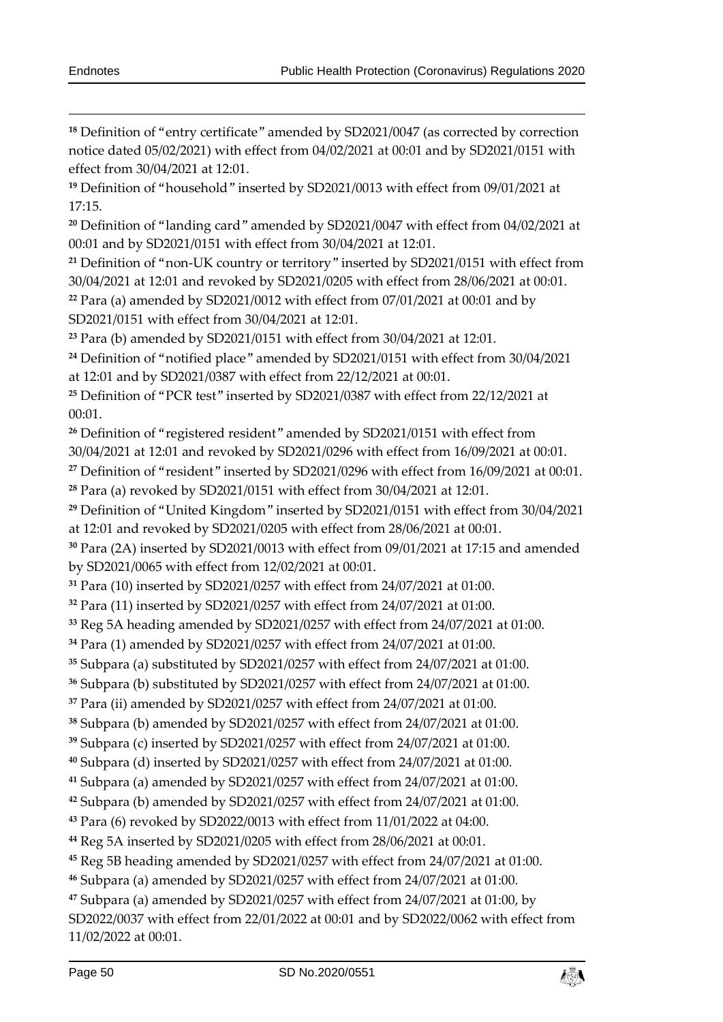<sup>18</sup> Definition of "entry certificate" amended by SD2021/0047 (as corrected by correction notice dated 05/02/2021) with effect from 04/02/2021 at 00:01 and by SD2021/0151 with effect from 30/04/2021 at 12:01.

 Definition of "household" inserted by SD2021/0013 with effect from 09/01/2021 at 17:15.

 Definition of "landing card" amended by SD2021/0047 with effect from 04/02/2021 at 00:01 and by SD2021/0151 with effect from 30/04/2021 at 12:01.

 Definition of "non-UK country or territory" inserted by SD2021/0151 with effect from 30/04/2021 at 12:01 and revoked by SD2021/0205 with effect from 28/06/2021 at 00:01. Para (a) amended by SD2021/0012 with effect from 07/01/2021 at 00:01 and by

SD2021/0151 with effect from 30/04/2021 at 12:01.

Para (b) amended by SD2021/0151 with effect from 30/04/2021 at 12:01.

 Definition of "notified place" amended by SD2021/0151 with effect from 30/04/2021 at 12:01 and by SD2021/0387 with effect from 22/12/2021 at 00:01.

 Definition of "PCR test" inserted by SD2021/0387 with effect from 22/12/2021 at 00:01.

Definition of "registered resident" amended by SD2021/0151 with effect from

30/04/2021 at 12:01 and revoked by SD2021/0296 with effect from 16/09/2021 at 00:01.

Definition of "resident" inserted by SD2021/0296 with effect from 16/09/2021 at 00:01.

Para (a) revoked by SD2021/0151 with effect from 30/04/2021 at 12:01.

 Definition of "United Kingdom" inserted by SD2021/0151 with effect from 30/04/2021 at 12:01 and revoked by SD2021/0205 with effect from 28/06/2021 at 00:01.

 Para (2A) inserted by SD2021/0013 with effect from 09/01/2021 at 17:15 and amended by SD2021/0065 with effect from 12/02/2021 at 00:01.

Para (10) inserted by SD2021/0257 with effect from 24/07/2021 at 01:00.

Para (11) inserted by SD2021/0257 with effect from 24/07/2021 at 01:00.

Reg 5A heading amended by SD2021/0257 with effect from 24/07/2021 at 01:00.

Para (1) amended by SD2021/0257 with effect from 24/07/2021 at 01:00.

Subpara (a) substituted by SD2021/0257 with effect from 24/07/2021 at 01:00.

Subpara (b) substituted by SD2021/0257 with effect from 24/07/2021 at 01:00.

Para (ii) amended by SD2021/0257 with effect from 24/07/2021 at 01:00.

Subpara (b) amended by SD2021/0257 with effect from 24/07/2021 at 01:00.

Subpara (c) inserted by SD2021/0257 with effect from 24/07/2021 at 01:00.

Subpara (d) inserted by SD2021/0257 with effect from 24/07/2021 at 01:00.

Subpara (a) amended by SD2021/0257 with effect from 24/07/2021 at 01:00.

Subpara (b) amended by SD2021/0257 with effect from 24/07/2021 at 01:00.

Para (6) revoked by SD2022/0013 with effect from 11/01/2022 at 04:00.

Reg 5A inserted by SD2021/0205 with effect from 28/06/2021 at 00:01.

Reg 5B heading amended by SD2021/0257 with effect from 24/07/2021 at 01:00.

Subpara (a) amended by SD2021/0257 with effect from 24/07/2021 at 01:00.

 Subpara (a) amended by SD2021/0257 with effect from 24/07/2021 at 01:00, by SD2022/0037 with effect from 22/01/2022 at 00:01 and by SD2022/0062 with effect from 11/02/2022 at 00:01.

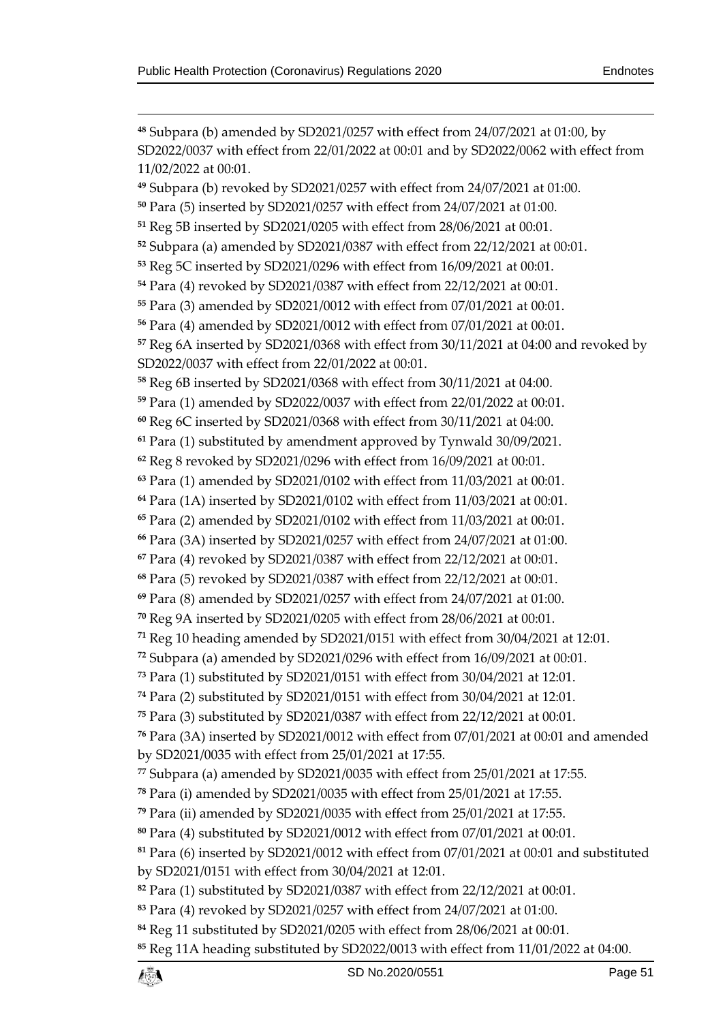$\overline{a}$  Subpara (b) amended by SD2021/0257 with effect from 24/07/2021 at 01:00, by SD2022/0037 with effect from 22/01/2022 at 00:01 and by SD2022/0062 with effect from 11/02/2022 at 00:01. Subpara (b) revoked by SD2021/0257 with effect from 24/07/2021 at 01:00. Para (5) inserted by SD2021/0257 with effect from 24/07/2021 at 01:00. Reg 5B inserted by SD2021/0205 with effect from 28/06/2021 at 00:01. Subpara (a) amended by SD2021/0387 with effect from 22/12/2021 at 00:01. Reg 5C inserted by SD2021/0296 with effect from 16/09/2021 at 00:01. Para (4) revoked by SD2021/0387 with effect from 22/12/2021 at 00:01. Para (3) amended by SD2021/0012 with effect from 07/01/2021 at 00:01. Para (4) amended by SD2021/0012 with effect from 07/01/2021 at 00:01. Reg 6A inserted by SD2021/0368 with effect from 30/11/2021 at 04:00 and revoked by SD2022/0037 with effect from 22/01/2022 at 00:01. Reg 6B inserted by SD2021/0368 with effect from 30/11/2021 at 04:00. Para (1) amended by SD2022/0037 with effect from 22/01/2022 at 00:01. Reg 6C inserted by SD2021/0368 with effect from 30/11/2021 at 04:00. Para (1) substituted by amendment approved by Tynwald 30/09/2021. Reg 8 revoked by SD2021/0296 with effect from 16/09/2021 at 00:01. Para (1) amended by SD2021/0102 with effect from 11/03/2021 at 00:01. Para (1A) inserted by SD2021/0102 with effect from 11/03/2021 at 00:01. Para (2) amended by SD2021/0102 with effect from 11/03/2021 at 00:01. Para (3A) inserted by SD2021/0257 with effect from 24/07/2021 at 01:00. Para (4) revoked by SD2021/0387 with effect from 22/12/2021 at 00:01. Para (5) revoked by SD2021/0387 with effect from 22/12/2021 at 00:01. Para (8) amended by SD2021/0257 with effect from 24/07/2021 at 01:00. Reg 9A inserted by SD2021/0205 with effect from 28/06/2021 at 00:01. Reg 10 heading amended by SD2021/0151 with effect from 30/04/2021 at 12:01. Subpara (a) amended by SD2021/0296 with effect from 16/09/2021 at 00:01. Para (1) substituted by SD2021/0151 with effect from 30/04/2021 at 12:01. Para (2) substituted by SD2021/0151 with effect from 30/04/2021 at 12:01. Para (3) substituted by SD2021/0387 with effect from 22/12/2021 at 00:01. Para (3A) inserted by SD2021/0012 with effect from 07/01/2021 at 00:01 and amended by SD2021/0035 with effect from 25/01/2021 at 17:55. Subpara (a) amended by SD2021/0035 with effect from 25/01/2021 at 17:55. Para (i) amended by SD2021/0035 with effect from 25/01/2021 at 17:55. Para (ii) amended by SD2021/0035 with effect from 25/01/2021 at 17:55. Para (4) substituted by SD2021/0012 with effect from 07/01/2021 at 00:01. Para (6) inserted by SD2021/0012 with effect from 07/01/2021 at 00:01 and substituted by SD2021/0151 with effect from 30/04/2021 at 12:01. Para (1) substituted by SD2021/0387 with effect from 22/12/2021 at 00:01. Para (4) revoked by SD2021/0257 with effect from 24/07/2021 at 01:00. Reg 11 substituted by SD2021/0205 with effect from 28/06/2021 at 00:01. Reg 11A heading substituted by SD2022/0013 with effect from 11/01/2022 at 04:00.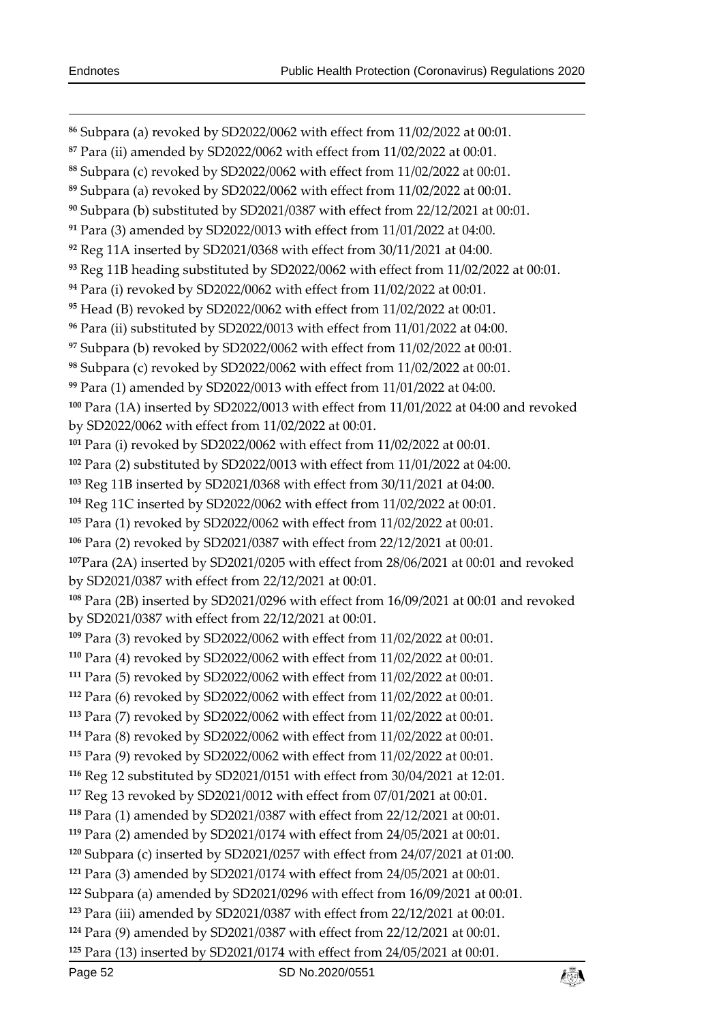Subpara (a) revoked by SD2022/0062 with effect from 11/02/2022 at 00:01. Para (ii) amended by SD2022/0062 with effect from 11/02/2022 at 00:01. Subpara (c) revoked by SD2022/0062 with effect from 11/02/2022 at 00:01. Subpara (a) revoked by SD2022/0062 with effect from 11/02/2022 at 00:01. Subpara (b) substituted by SD2021/0387 with effect from 22/12/2021 at 00:01. Para (3) amended by SD2022/0013 with effect from 11/01/2022 at 04:00. Reg 11A inserted by SD2021/0368 with effect from 30/11/2021 at 04:00. Reg 11B heading substituted by SD2022/0062 with effect from 11/02/2022 at 00:01. Para (i) revoked by SD2022/0062 with effect from 11/02/2022 at 00:01. Head (B) revoked by SD2022/0062 with effect from 11/02/2022 at 00:01. Para (ii) substituted by SD2022/0013 with effect from 11/01/2022 at 04:00. Subpara (b) revoked by SD2022/0062 with effect from 11/02/2022 at 00:01. Subpara (c) revoked by SD2022/0062 with effect from 11/02/2022 at 00:01. Para (1) amended by SD2022/0013 with effect from 11/01/2022 at 04:00. Para (1A) inserted by SD2022/0013 with effect from 11/01/2022 at 04:00 and revoked by SD2022/0062 with effect from 11/02/2022 at 00:01. Para (i) revoked by SD2022/0062 with effect from 11/02/2022 at 00:01. Para (2) substituted by SD2022/0013 with effect from 11/01/2022 at 04:00. Reg 11B inserted by SD2021/0368 with effect from 30/11/2021 at 04:00. Reg 11C inserted by SD2022/0062 with effect from 11/02/2022 at 00:01. Para (1) revoked by SD2022/0062 with effect from 11/02/2022 at 00:01. Para (2) revoked by SD2021/0387 with effect from 22/12/2021 at 00:01. Para (2A) inserted by SD2021/0205 with effect from 28/06/2021 at 00:01 and revoked by SD2021/0387 with effect from 22/12/2021 at 00:01. Para (2B) inserted by SD2021/0296 with effect from 16/09/2021 at 00:01 and revoked by SD2021/0387 with effect from 22/12/2021 at 00:01. Para (3) revoked by SD2022/0062 with effect from 11/02/2022 at 00:01. Para (4) revoked by SD2022/0062 with effect from 11/02/2022 at 00:01. Para (5) revoked by SD2022/0062 with effect from 11/02/2022 at 00:01. Para (6) revoked by SD2022/0062 with effect from 11/02/2022 at 00:01. Para (7) revoked by SD2022/0062 with effect from 11/02/2022 at 00:01. Para (8) revoked by SD2022/0062 with effect from 11/02/2022 at 00:01. Para (9) revoked by SD2022/0062 with effect from 11/02/2022 at 00:01. Reg 12 substituted by SD2021/0151 with effect from 30/04/2021 at 12:01. Reg 13 revoked by SD2021/0012 with effect from 07/01/2021 at 00:01. Para (1) amended by SD2021/0387 with effect from 22/12/2021 at 00:01. Para (2) amended by SD2021/0174 with effect from 24/05/2021 at 00:01. Subpara (c) inserted by SD2021/0257 with effect from 24/07/2021 at 01:00. Para (3) amended by SD2021/0174 with effect from 24/05/2021 at 00:01. Subpara (a) amended by SD2021/0296 with effect from 16/09/2021 at 00:01. Para (iii) amended by SD2021/0387 with effect from 22/12/2021 at 00:01. Para (9) amended by SD2021/0387 with effect from 22/12/2021 at 00:01. Para (13) inserted by SD2021/0174 with effect from 24/05/2021 at 00:01.

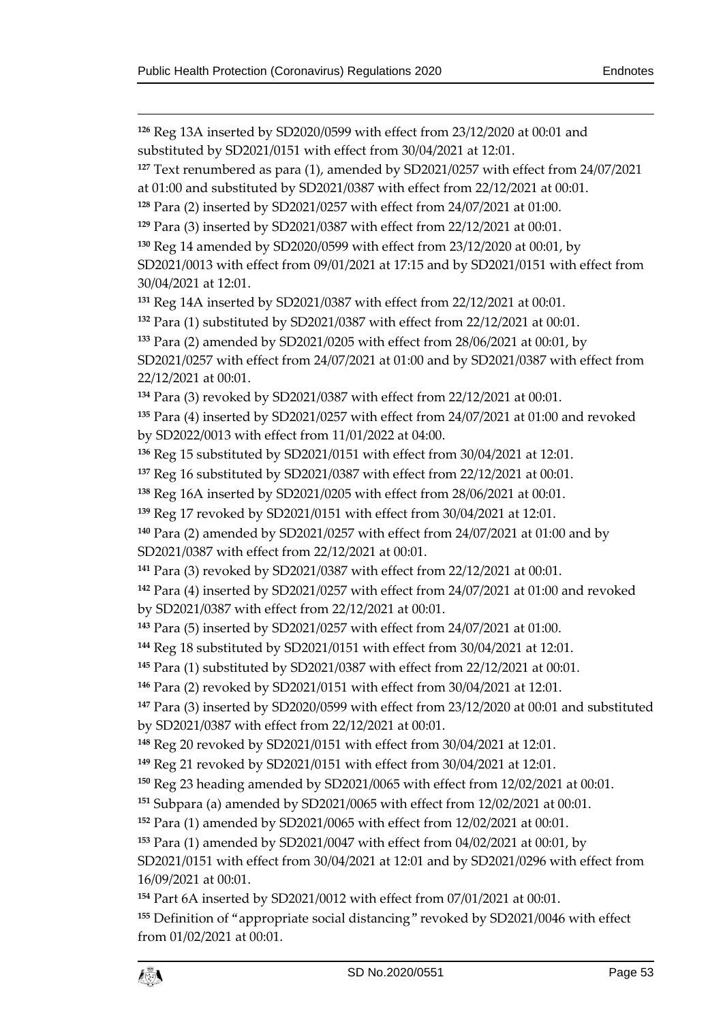$\overline{a}$ 

 Reg 13A inserted by SD2020/0599 with effect from 23/12/2020 at 00:01 and substituted by SD2021/0151 with effect from 30/04/2021 at 12:01.

 Text renumbered as para (1), amended by SD2021/0257 with effect from 24/07/2021 at 01:00 and substituted by SD2021/0387 with effect from 22/12/2021 at 00:01.

Para (2) inserted by SD2021/0257 with effect from 24/07/2021 at 01:00.

Para (3) inserted by SD2021/0387 with effect from 22/12/2021 at 00:01.

Reg 14 amended by SD2020/0599 with effect from 23/12/2020 at 00:01, by

SD2021/0013 with effect from 09/01/2021 at 17:15 and by SD2021/0151 with effect from 30/04/2021 at 12:01.

Reg 14A inserted by SD2021/0387 with effect from 22/12/2021 at 00:01.

Para (1) substituted by SD2021/0387 with effect from 22/12/2021 at 00:01.

Para (2) amended by SD2021/0205 with effect from 28/06/2021 at 00:01, by

SD2021/0257 with effect from 24/07/2021 at 01:00 and by SD2021/0387 with effect from 22/12/2021 at 00:01.

Para (3) revoked by SD2021/0387 with effect from 22/12/2021 at 00:01.

 Para (4) inserted by SD2021/0257 with effect from 24/07/2021 at 01:00 and revoked by SD2022/0013 with effect from 11/01/2022 at 04:00.

Reg 15 substituted by SD2021/0151 with effect from 30/04/2021 at 12:01.

Reg 16 substituted by SD2021/0387 with effect from 22/12/2021 at 00:01.

Reg 16A inserted by SD2021/0205 with effect from 28/06/2021 at 00:01.

Reg 17 revoked by SD2021/0151 with effect from 30/04/2021 at 12:01.

 Para (2) amended by SD2021/0257 with effect from 24/07/2021 at 01:00 and by SD2021/0387 with effect from 22/12/2021 at 00:01.

Para (3) revoked by SD2021/0387 with effect from 22/12/2021 at 00:01.

 Para (4) inserted by SD2021/0257 with effect from 24/07/2021 at 01:00 and revoked by SD2021/0387 with effect from 22/12/2021 at 00:01.

Para (5) inserted by SD2021/0257 with effect from 24/07/2021 at 01:00.

Reg 18 substituted by SD2021/0151 with effect from 30/04/2021 at 12:01.

Para (1) substituted by SD2021/0387 with effect from 22/12/2021 at 00:01.

Para (2) revoked by SD2021/0151 with effect from 30/04/2021 at 12:01.

 Para (3) inserted by SD2020/0599 with effect from 23/12/2020 at 00:01 and substituted by SD2021/0387 with effect from 22/12/2021 at 00:01.

Reg 20 revoked by SD2021/0151 with effect from 30/04/2021 at 12:01.

Reg 21 revoked by SD2021/0151 with effect from 30/04/2021 at 12:01.

Reg 23 heading amended by SD2021/0065 with effect from 12/02/2021 at 00:01.

Subpara (a) amended by SD2021/0065 with effect from 12/02/2021 at 00:01.

Para (1) amended by SD2021/0065 with effect from 12/02/2021 at 00:01.

Para (1) amended by SD2021/0047 with effect from 04/02/2021 at 00:01, by

SD2021/0151 with effect from 30/04/2021 at 12:01 and by SD2021/0296 with effect from 16/09/2021 at 00:01.

Part 6A inserted by SD2021/0012 with effect from 07/01/2021 at 00:01.

 Definition of "appropriate social distancing" revoked by SD2021/0046 with effect from 01/02/2021 at 00:01.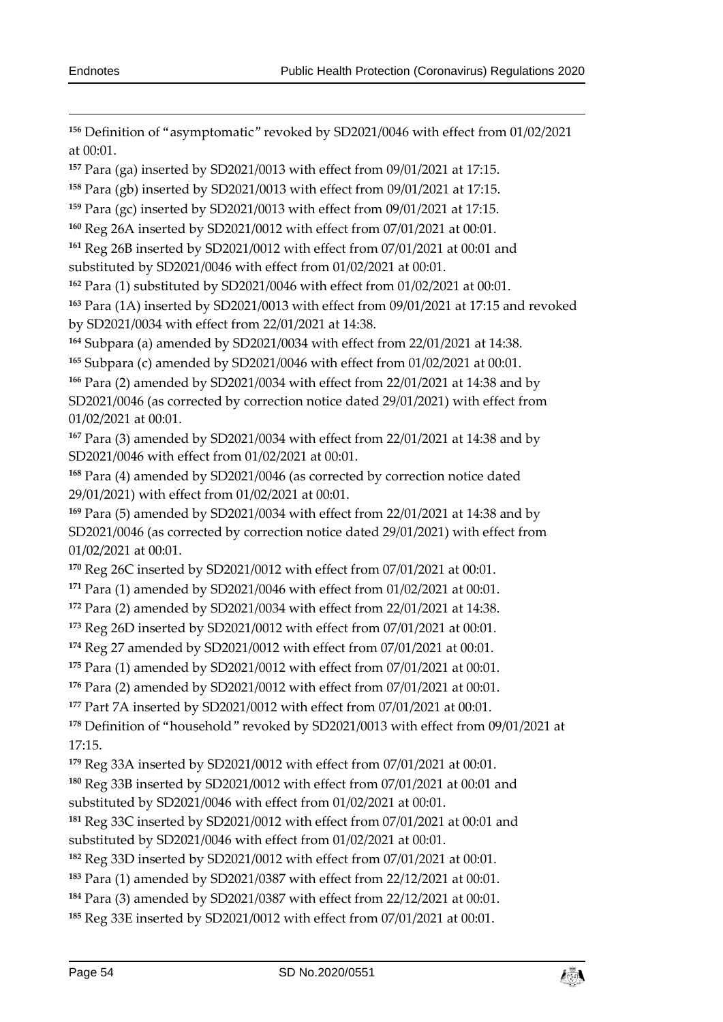Definition of "asymptomatic" revoked by SD2021/0046 with effect from 01/02/2021 at 00:01.

Para (ga) inserted by SD2021/0013 with effect from 09/01/2021 at 17:15.

Para (gb) inserted by SD2021/0013 with effect from 09/01/2021 at 17:15.

Para (gc) inserted by SD2021/0013 with effect from 09/01/2021 at 17:15.

Reg 26A inserted by SD2021/0012 with effect from 07/01/2021 at 00:01.

 Reg 26B inserted by SD2021/0012 with effect from 07/01/2021 at 00:01 and substituted by SD2021/0046 with effect from 01/02/2021 at 00:01.

Para (1) substituted by SD2021/0046 with effect from 01/02/2021 at 00:01.

 Para (1A) inserted by SD2021/0013 with effect from 09/01/2021 at 17:15 and revoked by SD2021/0034 with effect from 22/01/2021 at 14:38.

Subpara (a) amended by SD2021/0034 with effect from 22/01/2021 at 14:38.

Subpara (c) amended by SD2021/0046 with effect from 01/02/2021 at 00:01.

 Para (2) amended by SD2021/0034 with effect from 22/01/2021 at 14:38 and by SD2021/0046 (as corrected by correction notice dated 29/01/2021) with effect from 01/02/2021 at 00:01.

 Para (3) amended by SD2021/0034 with effect from 22/01/2021 at 14:38 and by SD2021/0046 with effect from 01/02/2021 at 00:01.

 Para (4) amended by SD2021/0046 (as corrected by correction notice dated 29/01/2021) with effect from 01/02/2021 at 00:01.

 Para (5) amended by SD2021/0034 with effect from 22/01/2021 at 14:38 and by SD2021/0046 (as corrected by correction notice dated 29/01/2021) with effect from 01/02/2021 at 00:01.

Reg 26C inserted by SD2021/0012 with effect from 07/01/2021 at 00:01.

Para (1) amended by SD2021/0046 with effect from 01/02/2021 at 00:01.

Para (2) amended by SD2021/0034 with effect from 22/01/2021 at 14:38.

Reg 26D inserted by SD2021/0012 with effect from 07/01/2021 at 00:01.

Reg 27 amended by SD2021/0012 with effect from 07/01/2021 at 00:01.

Para (1) amended by SD2021/0012 with effect from 07/01/2021 at 00:01.

Para (2) amended by SD2021/0012 with effect from 07/01/2021 at 00:01.

Part 7A inserted by SD2021/0012 with effect from 07/01/2021 at 00:01.

 Definition of "household" revoked by SD2021/0013 with effect from 09/01/2021 at 17:15.

Reg 33A inserted by SD2021/0012 with effect from 07/01/2021 at 00:01.

Reg 33B inserted by SD2021/0012 with effect from 07/01/2021 at 00:01 and

substituted by SD2021/0046 with effect from 01/02/2021 at 00:01.

 Reg 33C inserted by SD2021/0012 with effect from 07/01/2021 at 00:01 and substituted by SD2021/0046 with effect from 01/02/2021 at 00:01.

Reg 33D inserted by SD2021/0012 with effect from 07/01/2021 at 00:01.

Para (1) amended by SD2021/0387 with effect from 22/12/2021 at 00:01.

Para (3) amended by SD2021/0387 with effect from 22/12/2021 at 00:01.

Reg 33E inserted by SD2021/0012 with effect from 07/01/2021 at 00:01.

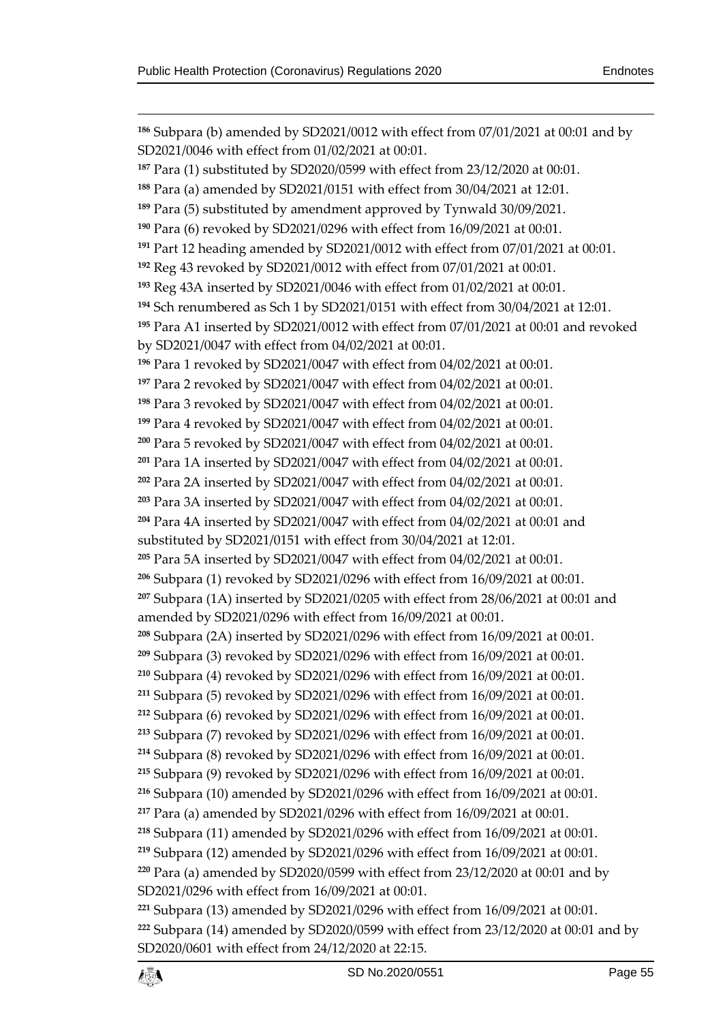$\overline{a}$  Subpara (b) amended by SD2021/0012 with effect from 07/01/2021 at 00:01 and by SD2021/0046 with effect from 01/02/2021 at 00:01. Para (1) substituted by SD2020/0599 with effect from 23/12/2020 at 00:01. Para (a) amended by SD2021/0151 with effect from 30/04/2021 at 12:01. Para (5) substituted by amendment approved by Tynwald 30/09/2021. Para (6) revoked by SD2021/0296 with effect from 16/09/2021 at 00:01. Part 12 heading amended by SD2021/0012 with effect from 07/01/2021 at 00:01. Reg 43 revoked by SD2021/0012 with effect from 07/01/2021 at 00:01. Reg 43A inserted by SD2021/0046 with effect from 01/02/2021 at 00:01. Sch renumbered as Sch 1 by SD2021/0151 with effect from 30/04/2021 at 12:01. Para A1 inserted by SD2021/0012 with effect from 07/01/2021 at 00:01 and revoked by SD2021/0047 with effect from 04/02/2021 at 00:01. Para 1 revoked by SD2021/0047 with effect from 04/02/2021 at 00:01. Para 2 revoked by SD2021/0047 with effect from 04/02/2021 at 00:01. Para 3 revoked by SD2021/0047 with effect from 04/02/2021 at 00:01. Para 4 revoked by SD2021/0047 with effect from 04/02/2021 at 00:01. Para 5 revoked by SD2021/0047 with effect from 04/02/2021 at 00:01. Para 1A inserted by SD2021/0047 with effect from 04/02/2021 at 00:01. Para 2A inserted by SD2021/0047 with effect from 04/02/2021 at 00:01. Para 3A inserted by SD2021/0047 with effect from 04/02/2021 at 00:01. Para 4A inserted by SD2021/0047 with effect from 04/02/2021 at 00:01 and substituted by SD2021/0151 with effect from 30/04/2021 at 12:01. Para 5A inserted by SD2021/0047 with effect from 04/02/2021 at 00:01. Subpara (1) revoked by SD2021/0296 with effect from 16/09/2021 at 00:01. Subpara (1A) inserted by SD2021/0205 with effect from 28/06/2021 at 00:01 and amended by SD2021/0296 with effect from 16/09/2021 at 00:01. Subpara (2A) inserted by SD2021/0296 with effect from 16/09/2021 at 00:01. Subpara (3) revoked by SD2021/0296 with effect from 16/09/2021 at 00:01. Subpara (4) revoked by SD2021/0296 with effect from 16/09/2021 at 00:01. Subpara (5) revoked by SD2021/0296 with effect from 16/09/2021 at 00:01. Subpara (6) revoked by SD2021/0296 with effect from 16/09/2021 at 00:01. Subpara (7) revoked by SD2021/0296 with effect from 16/09/2021 at 00:01. Subpara (8) revoked by SD2021/0296 with effect from 16/09/2021 at 00:01. Subpara (9) revoked by SD2021/0296 with effect from 16/09/2021 at 00:01. Subpara (10) amended by SD2021/0296 with effect from 16/09/2021 at 00:01. Para (a) amended by SD2021/0296 with effect from 16/09/2021 at 00:01. Subpara (11) amended by SD2021/0296 with effect from 16/09/2021 at 00:01. Subpara (12) amended by SD2021/0296 with effect from 16/09/2021 at 00:01. Para (a) amended by SD2020/0599 with effect from 23/12/2020 at 00:01 and by SD2021/0296 with effect from 16/09/2021 at 00:01. Subpara (13) amended by SD2021/0296 with effect from 16/09/2021 at 00:01. Subpara (14) amended by SD2020/0599 with effect from 23/12/2020 at 00:01 and by SD2020/0601 with effect from 24/12/2020 at 22:15.